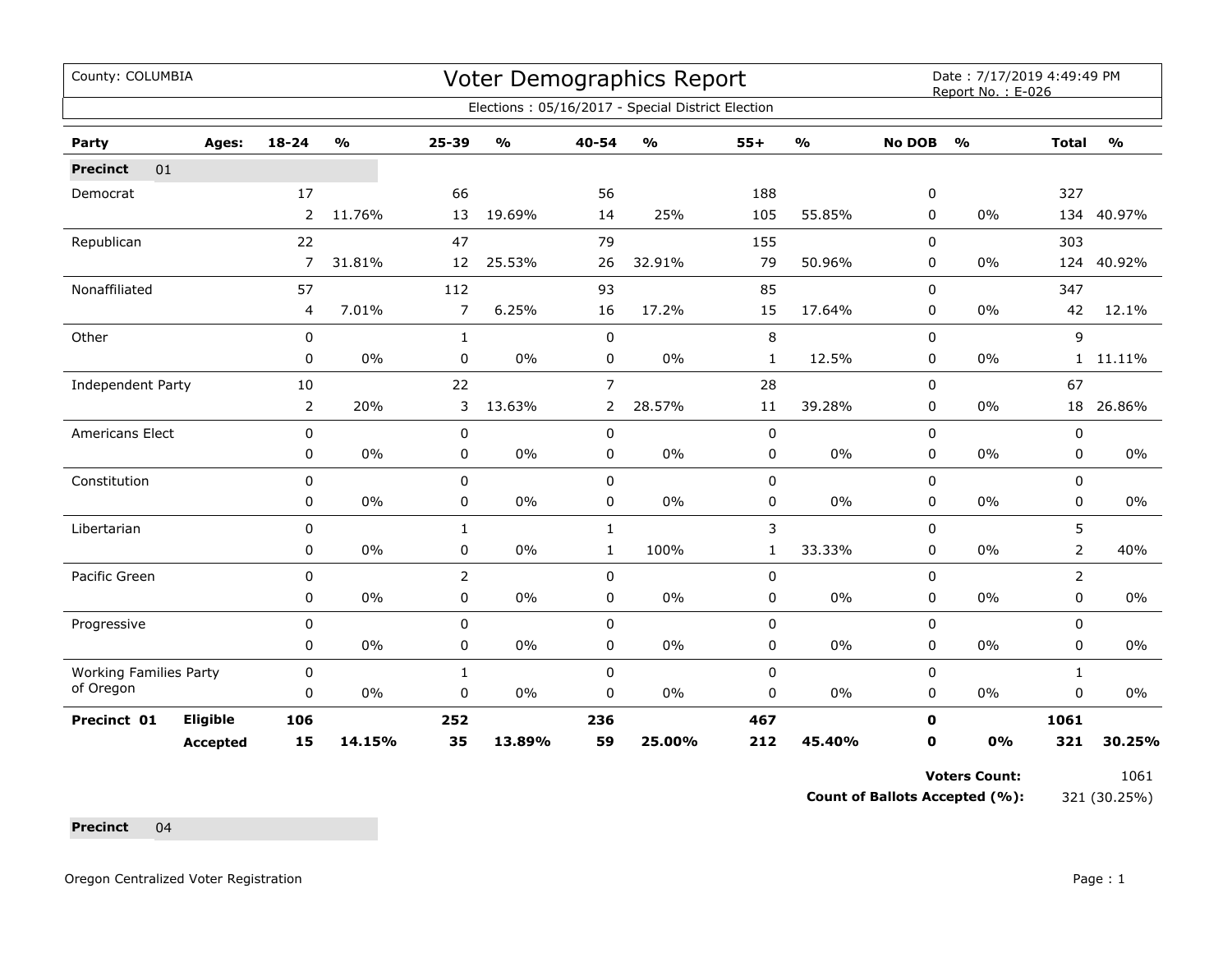| County: COLUMBIA              |                 |                |                         |                |                                   |                | Voter Demographics Report                         |              |               |               | Date: 7/17/2019 4:49:49 PM<br>Report No.: E-026 |                |               |
|-------------------------------|-----------------|----------------|-------------------------|----------------|-----------------------------------|----------------|---------------------------------------------------|--------------|---------------|---------------|-------------------------------------------------|----------------|---------------|
|                               |                 |                |                         |                |                                   |                | Elections: 05/16/2017 - Special District Election |              |               |               |                                                 |                |               |
| Party                         | Ages:           | 18-24          | $\mathbf{O}/\mathbf{o}$ | 25-39          | $\mathsf{o}\mathsf{v}_\mathsf{o}$ | 40-54          | $\frac{0}{0}$                                     | $55+$        | $\frac{1}{2}$ | <b>No DOB</b> | $\frac{1}{2}$                                   | <b>Total</b>   | $\frac{1}{2}$ |
| 01<br><b>Precinct</b>         |                 |                |                         |                |                                   |                |                                                   |              |               |               |                                                 |                |               |
| Democrat                      |                 | 17             |                         | 66             |                                   | 56             |                                                   | 188          |               | 0             |                                                 | 327            |               |
|                               |                 | $\overline{2}$ | 11.76%                  | 13             | 19.69%                            | 14             | 25%                                               | 105          | 55.85%        | 0             | 0%                                              |                | 134 40.97%    |
| Republican                    |                 | 22             |                         | 47             |                                   | 79             |                                                   | 155          |               | 0             |                                                 | 303            |               |
|                               |                 | $\overline{7}$ | 31.81%                  | 12             | 25.53%                            | 26             | 32.91%                                            | 79           | 50.96%        | 0             | 0%                                              | 124            | 40.92%        |
| Nonaffiliated                 |                 | 57             |                         | 112            |                                   | 93             |                                                   | 85           |               | $\Omega$      |                                                 | 347            |               |
|                               |                 | 4              | 7.01%                   | $\overline{7}$ | 6.25%                             | 16             | 17.2%                                             | 15           | 17.64%        | 0             | 0%                                              | 42             | 12.1%         |
| Other                         |                 | $\mathbf 0$    |                         | $\mathbf{1}$   |                                   | $\mathbf 0$    |                                                   | 8            |               | $\mathbf 0$   |                                                 | 9              |               |
|                               |                 | 0              | 0%                      | $\mathbf 0$    | $0\%$                             | 0              | $0\%$                                             | $\mathbf{1}$ | 12.5%         | 0             | 0%                                              | 1              | 11.11%        |
| Independent Party             |                 | 10             |                         | 22             |                                   | $\overline{7}$ |                                                   | 28           |               | 0             |                                                 | 67             |               |
|                               |                 | 2              | 20%                     | 3              | 13.63%                            | $\overline{2}$ | 28.57%                                            | 11           | 39.28%        | 0             | 0%                                              |                | 18 26.86%     |
| Americans Elect               |                 | 0              |                         | $\pmb{0}$      |                                   | 0              |                                                   | 0            |               | 0             |                                                 | 0              |               |
|                               |                 | 0              | 0%                      | 0              | 0%                                | 0              | $0\%$                                             | 0            | $0\%$         | 0             | 0%                                              | 0              | 0%            |
| Constitution                  |                 | 0              |                         | 0              |                                   | $\mathbf 0$    |                                                   | 0            |               | 0             |                                                 | 0              |               |
|                               |                 | 0              | 0%                      | 0              | 0%                                | 0              | 0%                                                | 0            | 0%            | 0             | 0%                                              | 0              | 0%            |
| Libertarian                   |                 | 0              |                         | $\mathbf{1}$   |                                   | $\mathbf{1}$   |                                                   | 3            |               | 0             |                                                 | 5              |               |
|                               |                 | 0              | $0\%$                   | 0              | $0\%$                             | $\mathbf{1}$   | 100%                                              | $\mathbf{1}$ | 33.33%        | $\mathbf 0$   | 0%                                              | $\overline{2}$ | 40%           |
| Pacific Green                 |                 | $\mathbf 0$    |                         | $\overline{2}$ |                                   | $\mathbf 0$    |                                                   | 0            |               | 0             |                                                 | $\overline{2}$ |               |
|                               |                 | 0              | 0%                      | $\mathsf 0$    | $0\%$                             | 0              | $0\%$                                             | $\mathsf 0$  | $0\%$         | 0             | 0%                                              | 0              | $0\%$         |
| Progressive                   |                 | $\mathbf 0$    |                         | $\mathbf 0$    |                                   | $\mathbf 0$    |                                                   | 0            |               | $\mathbf 0$   |                                                 | 0              |               |
|                               |                 | 0              | $0\%$                   | $\pmb{0}$      | $0\%$                             | 0              | $0\%$                                             | 0            | 0%            | 0             | 0%                                              | 0              | 0%            |
| <b>Working Families Party</b> |                 | 0              |                         | $\mathbf{1}$   |                                   | $\mathbf 0$    |                                                   | $\pmb{0}$    |               | $\mathbf 0$   |                                                 | $\mathbf{1}$   |               |
| of Oregon                     |                 | 0              | 0%                      | 0              | 0%                                | 0              | 0%                                                | 0            | $0\%$         | 0             | 0%                                              | 0              | 0%            |
| Precinct 01                   | <b>Eligible</b> | 106            |                         | 252            |                                   | 236            |                                                   | 467          |               | $\mathbf 0$   |                                                 | 1061           |               |
|                               | <b>Accepted</b> | 15             | 14.15%                  | 35             | 13.89%                            | 59             | 25.00%                                            | 212          | 45.40%        | 0             | 0%                                              | 321            | 30.25%        |

**Voters Count:** 1061

**Count of Ballots Accepted (%):** 321 (30.25%)

**Precinct** 04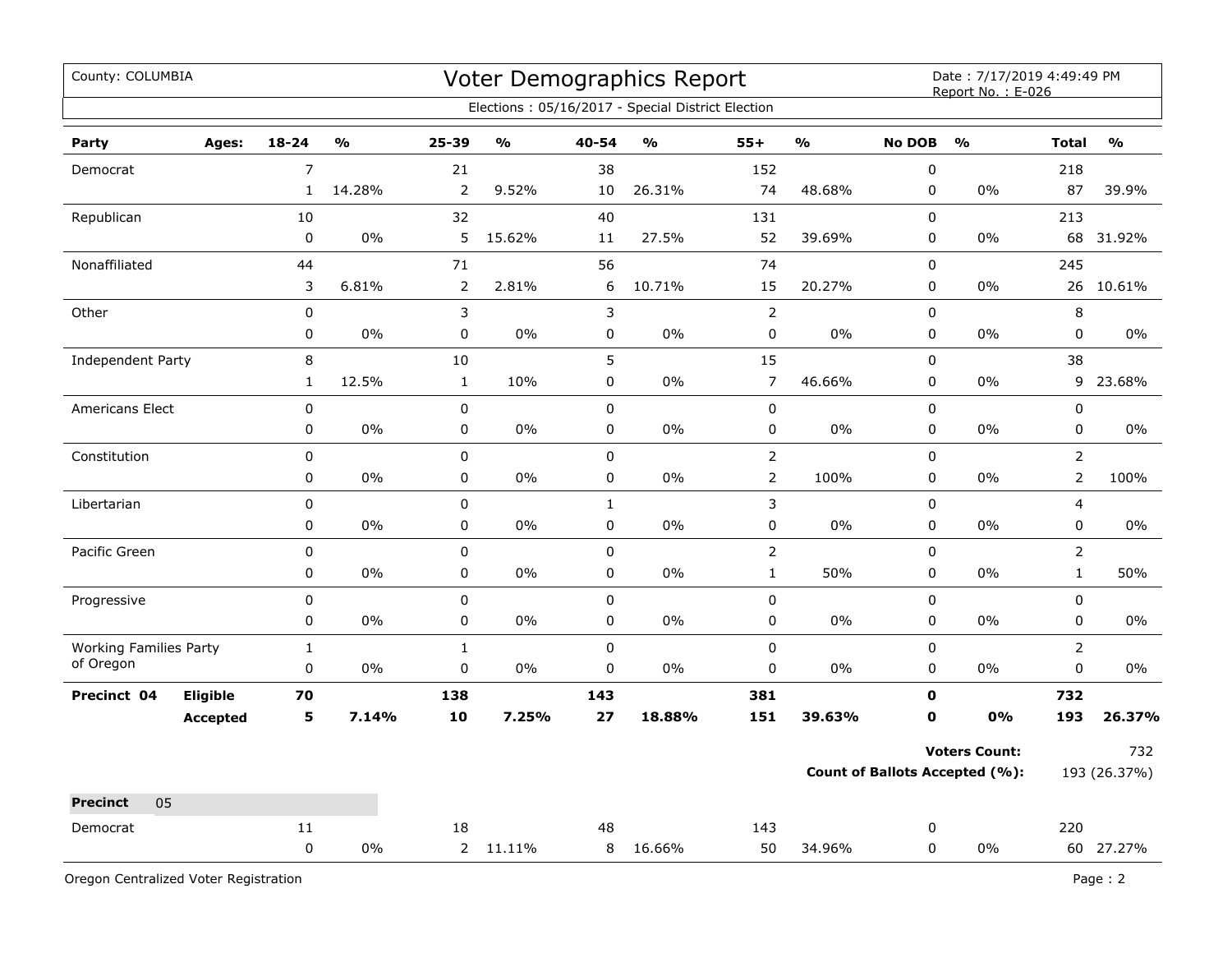| County: COLUMBIA                           |                 |                           |               |                   |                         |                        | Voter Demographics Report                         |                            |                         |                | Date: 7/17/2019 4:49:49 PM<br>Report No.: E-026 |                             |               |
|--------------------------------------------|-----------------|---------------------------|---------------|-------------------|-------------------------|------------------------|---------------------------------------------------|----------------------------|-------------------------|----------------|-------------------------------------------------|-----------------------------|---------------|
|                                            |                 |                           |               |                   |                         |                        | Elections: 05/16/2017 - Special District Election |                            |                         |                |                                                 |                             |               |
| Party                                      | Ages:           | $18 - 24$                 | $\frac{1}{2}$ | 25-39             | $\mathbf{0}/\mathbf{0}$ | 40-54                  | $\mathbf{O}/\mathbf{o}$                           | $55+$                      | $\mathbf{O}/\mathbf{O}$ | <b>No DOB</b>  | $\frac{1}{2}$                                   | <b>Total</b>                | $\frac{0}{0}$ |
| Democrat                                   |                 | $\overline{7}$            |               | 21                |                         | 38                     |                                                   | 152                        |                         | $\pmb{0}$      |                                                 | 218                         |               |
|                                            |                 | $\mathbf{1}$              | 14.28%        | 2                 | 9.52%                   | 10                     | 26.31%                                            | 74                         | 48.68%                  | 0              | 0%                                              | 87                          | 39.9%         |
| Republican                                 |                 | 10                        |               | 32                |                         | 40                     |                                                   | 131                        |                         | $\mathsf 0$    |                                                 | 213                         |               |
|                                            |                 | $\pmb{0}$                 | $0\%$         | 5                 | 15.62%                  | 11                     | 27.5%                                             | 52                         | 39.69%                  | $\mathbf 0$    | 0%                                              | 68                          | 31.92%        |
| Nonaffiliated                              |                 | 44                        |               | $71\,$            |                         | 56                     |                                                   | 74                         |                         | 0              |                                                 | 245                         |               |
|                                            |                 | 3                         | 6.81%         | $\overline{2}$    | 2.81%                   | 6                      | 10.71%                                            | 15                         | 20.27%                  | 0              | 0%                                              | 26                          | 10.61%        |
| Other                                      |                 | $\pmb{0}$                 |               | 3                 |                         | 3                      |                                                   | $\overline{2}$             |                         | $\pmb{0}$      |                                                 | 8                           |               |
|                                            |                 | 0                         | 0%            | 0                 | 0%                      | $\pmb{0}$              | 0%                                                | $\pmb{0}$                  | 0%                      | $\pmb{0}$      | 0%                                              | $\pmb{0}$                   | 0%            |
| Independent Party                          |                 | 8                         |               | 10                |                         | 5                      |                                                   | 15                         |                         | $\mathsf 0$    |                                                 | 38                          |               |
|                                            |                 | $\mathbf{1}$              | 12.5%         | $\mathbf{1}$      | 10%                     | $\pmb{0}$              | 0%                                                | $\overline{7}$             | 46.66%                  | $\pmb{0}$      | $0\%$                                           | 9                           | 23.68%        |
| Americans Elect                            |                 | $\pmb{0}$                 |               | $\pmb{0}$         |                         | $\pmb{0}$              |                                                   | $\pmb{0}$                  |                         | 0              |                                                 | $\pmb{0}$                   |               |
|                                            |                 | 0                         | 0%            | 0                 | 0%                      | $\pmb{0}$              | 0%                                                | 0                          | 0%                      | $\mathbf 0$    | $0\%$                                           | $\mathbf 0$                 | $0\%$         |
| Constitution                               |                 | 0                         |               | 0                 |                         | $\mathbf 0$            |                                                   | $\overline{2}$             |                         | $\mathbf 0$    |                                                 | $\overline{2}$              |               |
|                                            |                 | 0                         | 0%            | $\pmb{0}$         | 0%                      | $\pmb{0}$              | 0%                                                | $\overline{2}$             | 100%                    | $\pmb{0}$      | 0%                                              | $\overline{2}$              | 100%          |
| Libertarian                                |                 | 0                         |               | $\mathbf 0$       |                         | $\mathbf{1}$           |                                                   | 3                          |                         | $\pmb{0}$      |                                                 | $\overline{4}$              |               |
|                                            |                 | 0                         | 0%            | 0                 | 0%                      | $\pmb{0}$              | 0%                                                | 0                          | $0\%$                   | 0              | 0%                                              | 0                           | $0\%$         |
| Pacific Green                              |                 | $\mathbf 0$               |               | $\mathbf 0$       |                         | $\mathbf 0$            |                                                   | $\overline{2}$             |                         | $\pmb{0}$      |                                                 | $\overline{2}$              |               |
|                                            |                 | 0                         | $0\%$         | 0                 | 0%                      | $\mathbf 0$            | 0%                                                | $\mathbf{1}$               | 50%                     | $\mathbf 0$    | 0%                                              | $\mathbf{1}$                | 50%           |
| Progressive                                |                 | $\pmb{0}$<br>0            |               | $\mathbf 0$<br>0  | 0%                      | $\pmb{0}$<br>$\pmb{0}$ | 0%                                                | 0                          | $0\%$                   | $\pmb{0}$<br>0 | $0\%$                                           | $\pmb{0}$<br>$\pmb{0}$      |               |
|                                            |                 |                           | 0%            |                   |                         |                        |                                                   | 0                          |                         |                |                                                 |                             | 0%            |
| <b>Working Families Party</b><br>of Oregon |                 | $\mathbf{1}$<br>$\pmb{0}$ | 0%            | $\mathbf{1}$<br>0 | 0%                      | $\pmb{0}$<br>0         | 0%                                                | $\mathbf 0$<br>$\mathbf 0$ | 0%                      | $\pmb{0}$<br>0 | 0%                                              | $\overline{2}$<br>$\pmb{0}$ | 0%            |
|                                            | Eligible        | 70                        |               |                   |                         |                        |                                                   | 381                        |                         | $\mathbf 0$    |                                                 | 732                         |               |
| Precinct 04                                | <b>Accepted</b> | 5                         | 7.14%         | 138<br>10         | 7.25%                   | 143<br>27              | 18.88%                                            | 151                        | 39.63%                  | $\mathbf o$    | 0%                                              | 193                         | 26.37%        |
|                                            |                 |                           |               |                   |                         |                        |                                                   |                            |                         |                |                                                 |                             |               |
|                                            |                 |                           |               |                   |                         |                        |                                                   |                            |                         |                | <b>Voters Count:</b>                            |                             | 732           |
|                                            |                 |                           |               |                   |                         |                        |                                                   |                            |                         |                | <b>Count of Ballots Accepted (%):</b>           |                             | 193 (26.37%)  |
| 05<br><b>Precinct</b>                      |                 |                           |               |                   |                         |                        |                                                   |                            |                         |                |                                                 |                             |               |
| Democrat                                   |                 | 11                        |               | 18                |                         | 48                     |                                                   | 143                        |                         | 0              |                                                 | 220                         |               |
|                                            |                 | $\pmb{0}$                 | 0%            |                   | 2 11.11%                | 8                      | 16.66%                                            | 50                         | 34.96%                  | $\mathbf 0$    | 0%                                              |                             | 60 27.27%     |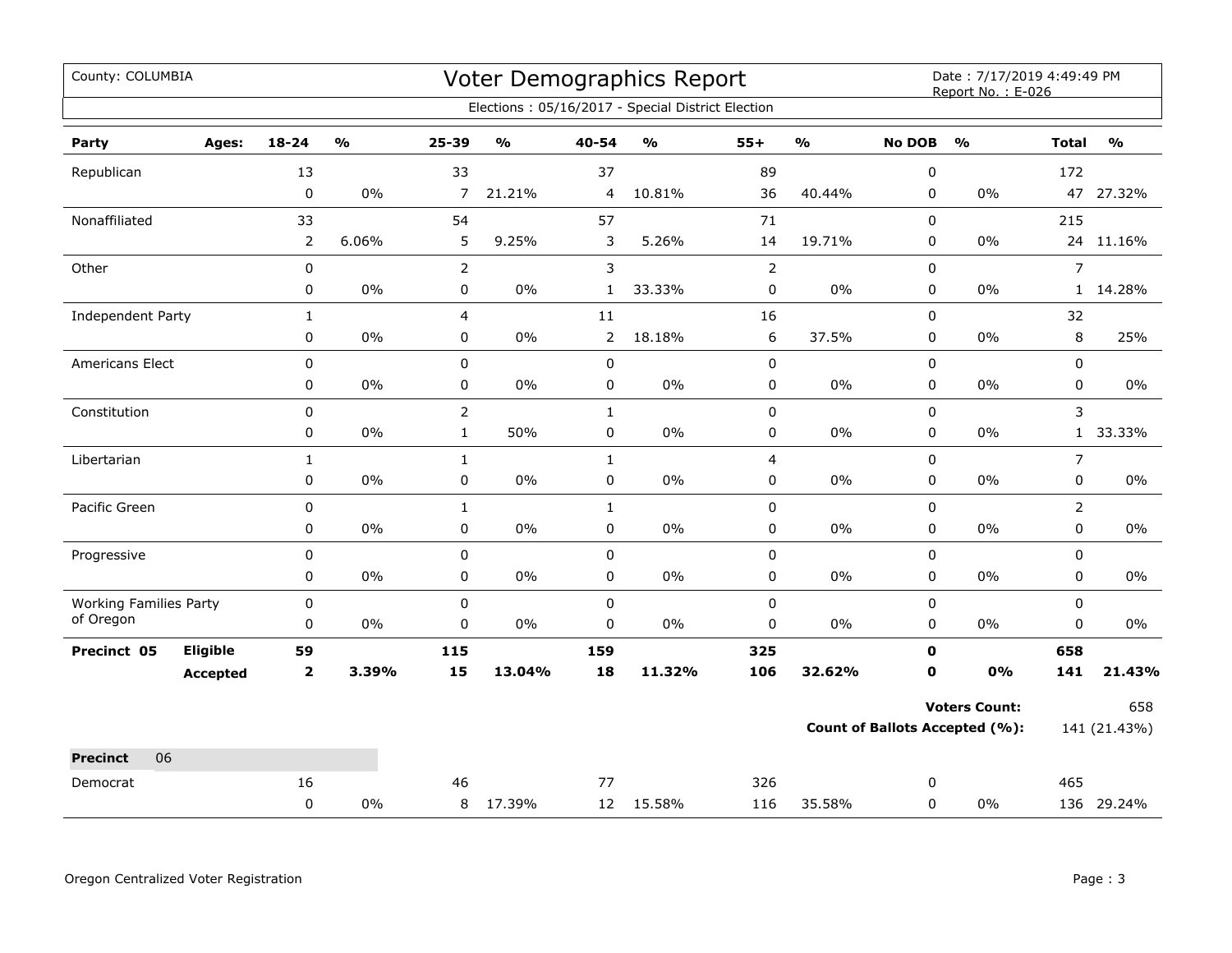| County: COLUMBIA                           |                 |                |       |                |               |                | Voter Demographics Report                         |                |               |               | Date: 7/17/2019 4:49:49 PM<br>Report No.: E-026 |                |               |
|--------------------------------------------|-----------------|----------------|-------|----------------|---------------|----------------|---------------------------------------------------|----------------|---------------|---------------|-------------------------------------------------|----------------|---------------|
|                                            |                 |                |       |                |               |                | Elections: 05/16/2017 - Special District Election |                |               |               |                                                 |                |               |
| Party                                      | Ages:           | $18 - 24$      | %     | 25-39          | $\frac{1}{2}$ | 40-54          | $\frac{1}{2}$                                     | $55+$          | $\frac{0}{0}$ | <b>No DOB</b> | $\frac{1}{2}$                                   | <b>Total</b>   | $\frac{1}{2}$ |
| Republican                                 |                 | 13             |       | 33             |               | 37             |                                                   | 89             |               | $\pmb{0}$     |                                                 | 172            |               |
|                                            |                 | $\mathbf 0$    | 0%    | $\overline{7}$ | 21.21%        | 4              | 10.81%                                            | 36             | 40.44%        | $\mathbf 0$   | $0\%$                                           |                | 47 27.32%     |
| Nonaffiliated                              |                 | 33             |       | 54             |               | 57             |                                                   | 71             |               | $\mathbf 0$   |                                                 | 215            |               |
|                                            |                 | $\overline{2}$ | 6.06% | 5              | 9.25%         | 3              | 5.26%                                             | 14             | 19.71%        | 0             | 0%                                              |                | 24 11.16%     |
| Other                                      |                 | $\pmb{0}$      |       | $\overline{2}$ |               | 3              |                                                   | $\overline{2}$ |               | $\mathbf 0$   |                                                 | $\overline{7}$ |               |
|                                            |                 | 0              | $0\%$ | 0              | $0\%$         | $\mathbf{1}$   | 33.33%                                            | 0              | $0\%$         | $\pmb{0}$     | $0\%$                                           |                | 1 14.28%      |
| Independent Party                          |                 | $\mathbf{1}$   |       | 4              |               | 11             |                                                   | 16             |               | 0             |                                                 | 32             |               |
|                                            |                 | 0              | $0\%$ | 0              | $0\%$         | $\overline{2}$ | 18.18%                                            | 6              | 37.5%         | 0             | 0%                                              | 8              | 25%           |
| Americans Elect                            |                 | 0              |       | $\pmb{0}$      |               | $\mathbf 0$    |                                                   | $\pmb{0}$      |               | $\mathbf 0$   |                                                 | $\mathbf 0$    |               |
|                                            |                 | 0              | $0\%$ | 0              | $0\%$         | 0              | $0\%$                                             | 0              | $0\%$         | 0             | $0\%$                                           | 0              | $0\%$         |
| Constitution                               |                 | 0              |       | $\overline{2}$ |               | $\mathbf{1}$   |                                                   | $\pmb{0}$      |               | $\mathbf 0$   |                                                 | 3              |               |
|                                            |                 | 0              | 0%    | $\mathbf{1}$   | 50%           | $\pmb{0}$      | $0\%$                                             | 0              | 0%            | $\pmb{0}$     | $0\%$                                           |                | 1 33.33%      |
| Libertarian                                |                 | $\mathbf{1}$   |       | $\mathbf{1}$   |               | $\mathbf{1}$   |                                                   | 4              |               | $\mathbf 0$   |                                                 | $\overline{7}$ |               |
|                                            |                 | 0              | $0\%$ | 0              | $0\%$         | $\pmb{0}$      | $0\%$                                             | 0              | $0\%$         | 0             | 0%                                              | 0              | $0\%$         |
| Pacific Green                              |                 | $\pmb{0}$      |       | $\mathbf{1}$   |               | $\mathbf{1}$   |                                                   | $\pmb{0}$      |               | $\pmb{0}$     |                                                 | $\overline{2}$ |               |
|                                            |                 | 0              | 0%    | 0              | $0\%$         | 0              | $0\%$                                             | 0              | $0\%$         | $\mathbf 0$   | $0\%$                                           | $\mathbf 0$    | $0\%$         |
| Progressive                                |                 | 0              |       | $\pmb{0}$      |               | $\pmb{0}$      |                                                   | 0              |               | 0             |                                                 | 0              |               |
|                                            |                 | 0              | 0%    | 0              | 0%            | $\mathbf 0$    | 0%                                                | 0              | 0%            | 0             | 0%                                              | 0              | 0%            |
| <b>Working Families Party</b><br>of Oregon |                 | $\pmb{0}$      |       | $\mathsf 0$    |               | $\mathbf 0$    |                                                   | $\pmb{0}$      |               | $\mathsf 0$   |                                                 | $\mathsf 0$    |               |
|                                            |                 | 0              | 0%    | $\mathbf 0$    | 0%            | $\mathsf 0$    | $0\%$                                             | $\pmb{0}$      | $0\%$         | $\mathbf 0$   | $0\%$                                           | $\mathsf 0$    | $0\%$         |
| Precinct 05                                | Eligible        | 59             |       | 115            |               | 159            |                                                   | 325            |               | 0             |                                                 | 658            |               |
|                                            | <b>Accepted</b> | $\mathbf 2$    | 3.39% | 15             | 13.04%        | 18             | 11.32%                                            | 106            | 32.62%        | $\mathbf 0$   | 0%                                              | 141            | 21.43%        |
|                                            |                 |                |       |                |               |                |                                                   |                |               |               | <b>Voters Count:</b>                            |                | 658           |
|                                            |                 |                |       |                |               |                |                                                   |                |               |               | <b>Count of Ballots Accepted (%):</b>           |                | 141 (21.43%)  |
| <b>Precinct</b><br>06                      |                 |                |       |                |               |                |                                                   |                |               |               |                                                 |                |               |
| Democrat                                   |                 | 16             |       | 46             |               | 77             |                                                   | 326            |               | 0             |                                                 | 465            |               |
|                                            |                 | $\mathbf 0$    | 0%    |                | 8 17.39%      |                | 12 15.58%                                         | 116            | 35.58%        | $\mathbf 0$   | $0\%$                                           |                | 136 29.24%    |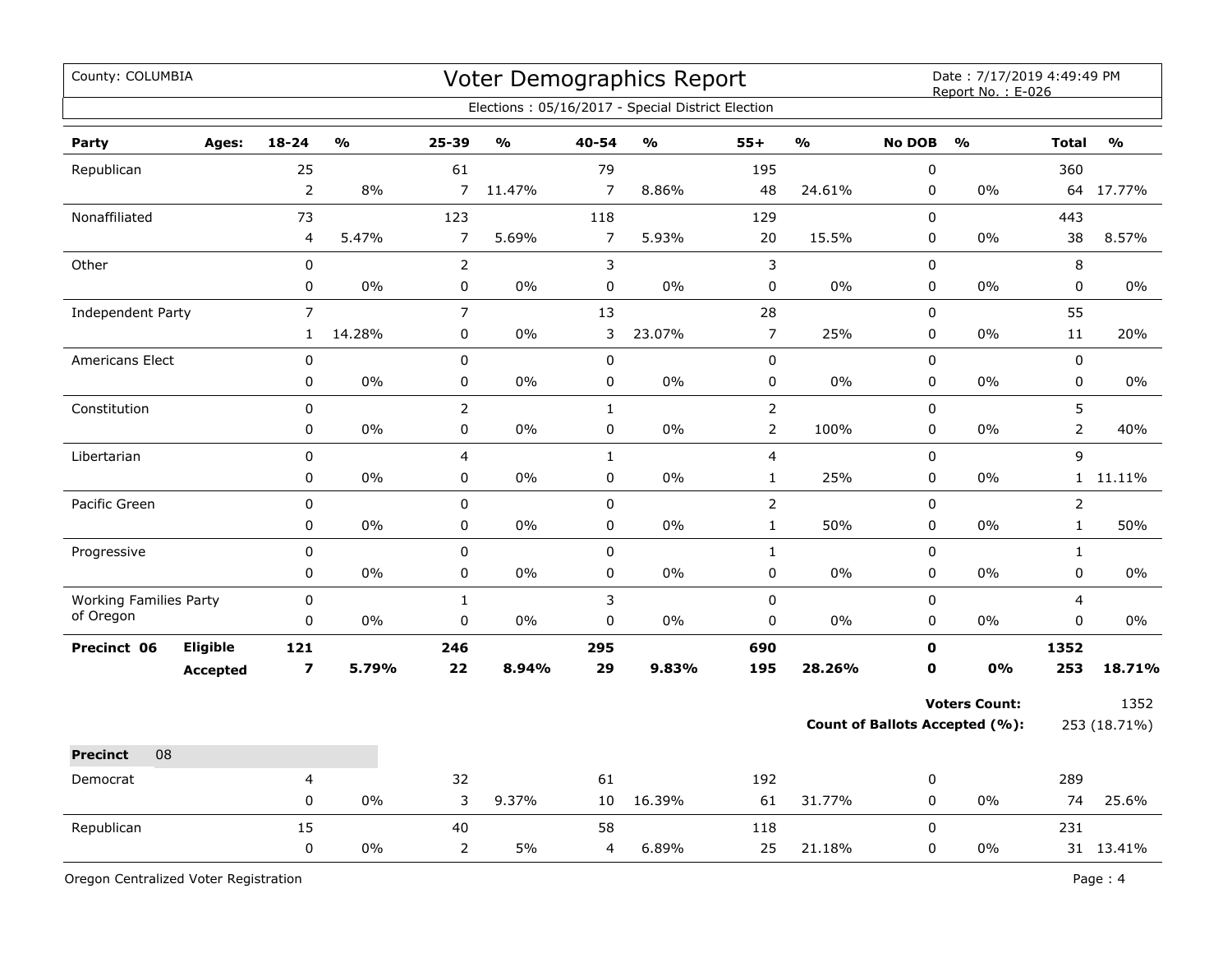| County: COLUMBIA              |                 |                |                         |                |               |                | <b>Voter Demographics Report</b>                  |                         |                         |               | Date: 7/17/2019 4:49:49 PM<br>Report No.: E-026 |                |               |
|-------------------------------|-----------------|----------------|-------------------------|----------------|---------------|----------------|---------------------------------------------------|-------------------------|-------------------------|---------------|-------------------------------------------------|----------------|---------------|
|                               |                 |                |                         |                |               |                | Elections: 05/16/2017 - Special District Election |                         |                         |               |                                                 |                |               |
| Party                         | Ages:           | $18 - 24$      | $\mathbf{O}/\mathbf{O}$ | $25 - 39$      | $\frac{1}{2}$ | 40-54          | $\frac{1}{2}$                                     | $55+$                   | $\mathbf{O}/\mathbf{O}$ | <b>No DOB</b> | $\frac{1}{2}$                                   | <b>Total</b>   | $\frac{1}{2}$ |
| Republican                    |                 | 25             |                         | 61             |               | 79             |                                                   | 195                     |                         | $\pmb{0}$     |                                                 | 360            |               |
|                               |                 | $\mathbf 2$    | 8%                      | $\overline{7}$ | 11.47%        | 7              | 8.86%                                             | 48                      | 24.61%                  | 0             | 0%                                              | 64             | 17.77%        |
| Nonaffiliated                 |                 | 73             |                         | 123            |               | 118            |                                                   | 129                     |                         | $\mathbf 0$   |                                                 | 443            |               |
|                               |                 | 4              | 5.47%                   | $\overline{7}$ | 5.69%         | $\overline{7}$ | 5.93%                                             | 20                      | 15.5%                   | $\pmb{0}$     | $0\%$                                           | 38             | 8.57%         |
| Other                         |                 | $\mathbf 0$    |                         | $\overline{2}$ |               | $\mathfrak{Z}$ |                                                   | $\mathsf{3}$            |                         | $\mathbf 0$   |                                                 | 8              |               |
|                               |                 | $\pmb{0}$      | 0%                      | 0              | 0%            | $\pmb{0}$      | 0%                                                | $\pmb{0}$               | 0%                      | 0             | 0%                                              | 0              | 0%            |
| Independent Party             |                 | $\overline{7}$ |                         | $\overline{7}$ |               | 13             |                                                   | 28                      |                         | $\mathsf 0$   |                                                 | 55             |               |
|                               |                 | $\mathbf{1}$   | 14.28%                  | 0              | 0%            | 3              | 23.07%                                            | $\overline{7}$          | 25%                     | $\mathsf 0$   | 0%                                              | 11             | 20%           |
| Americans Elect               |                 | $\mathbf 0$    |                         | $\pmb{0}$      |               | $\pmb{0}$      |                                                   | $\pmb{0}$               |                         | $\pmb{0}$     |                                                 | $\pmb{0}$      |               |
|                               |                 | $\pmb{0}$      | 0%                      | $\pmb{0}$      | 0%            | 0              | 0%                                                | $\pmb{0}$               | 0%                      | 0             | 0%                                              | $\pmb{0}$      | 0%            |
| Constitution                  |                 | $\pmb{0}$      |                         | $\overline{2}$ |               | $\mathbf{1}$   |                                                   | $\overline{2}$          |                         | $\mathsf 0$   |                                                 | 5              |               |
|                               |                 | $\pmb{0}$      | 0%                      | 0              | 0%            | $\pmb{0}$      | 0%                                                | $\overline{2}$          | 100%                    | $\mathsf 0$   | 0%                                              | $\overline{2}$ | 40%           |
| Libertarian                   |                 | $\pmb{0}$      |                         | 4              |               | $\mathbf{1}$   |                                                   | $\overline{\mathbf{4}}$ |                         | $\pmb{0}$     |                                                 | 9              |               |
|                               |                 | $\pmb{0}$      | $0\%$                   | 0              | $0\%$         | $\pmb{0}$      | $0\%$                                             | $\mathbf{1}$            | 25%                     | 0             | 0%                                              |                | 1 11.11%      |
| Pacific Green                 |                 | $\pmb{0}$      |                         | 0              |               | $\pmb{0}$      |                                                   | $\mathbf 2$             |                         | $\pmb{0}$     |                                                 | $\overline{2}$ |               |
|                               |                 | $\mathbf 0$    | 0%                      | 0              | 0%            | $\mathbf 0$    | 0%                                                | $\mathbf 1$             | 50%                     | $\mathbf 0$   | $0\%$                                           | $\mathbf{1}$   | 50%           |
| Progressive                   |                 | $\pmb{0}$      |                         | 0              |               | $\pmb{0}$      |                                                   | $\mathbf 1$             |                         | $\pmb{0}$     |                                                 | $\mathbf{1}$   |               |
|                               |                 | $\mathbf 0$    | $0\%$                   | 0              | 0%            | $\mathbf 0$    | 0%                                                | $\pmb{0}$               | 0%                      | $\mathbf 0$   | 0%                                              | $\pmb{0}$      | 0%            |
| <b>Working Families Party</b> |                 | $\mathbf 0$    |                         | $\mathbf 1$    |               | $\mathsf 3$    |                                                   | $\pmb{0}$               |                         | $\mathbf 0$   |                                                 | $\overline{4}$ |               |
| of Oregon                     |                 | 0              | 0%                      | 0              | 0%            | 0              | 0%                                                | 0                       | 0%                      | $\pmb{0}$     | $0\%$                                           | 0              | $0\%$         |
| Precinct 06                   | Eligible        | 121            |                         | 246            |               | 295            |                                                   | 690                     |                         | 0             |                                                 | 1352           |               |
|                               | <b>Accepted</b> | $\overline{ }$ | 5.79%                   | 22             | 8.94%         | 29             | 9.83%                                             | 195                     | 28.26%                  | $\mathbf o$   | 0%                                              | 253            | 18.71%        |
|                               |                 |                |                         |                |               |                |                                                   |                         |                         |               | <b>Voters Count:</b>                            |                | 1352          |
|                               |                 |                |                         |                |               |                |                                                   |                         |                         |               | <b>Count of Ballots Accepted (%):</b>           |                | 253 (18.71%)  |
| 08<br><b>Precinct</b>         |                 |                |                         |                |               |                |                                                   |                         |                         |               |                                                 |                |               |
| Democrat                      |                 | 4              |                         | 32             |               | 61             |                                                   | 192                     |                         | 0             |                                                 | 289            |               |
|                               |                 | $\pmb{0}$      | $0\%$                   | 3              | 9.37%         | 10             | 16.39%                                            | 61                      | 31.77%                  | 0             | $0\%$                                           | 74             | 25.6%         |
| Republican                    |                 | 15             |                         | 40             |               | 58             |                                                   | 118                     |                         | $\mathbf 0$   |                                                 | 231            |               |
|                               |                 | $\mathbf 0$    | $0\%$                   | $\overline{2}$ | 5%            | 4              | 6.89%                                             | 25                      | 21.18%                  | $\pmb{0}$     | 0%                                              |                | 31 13.41%     |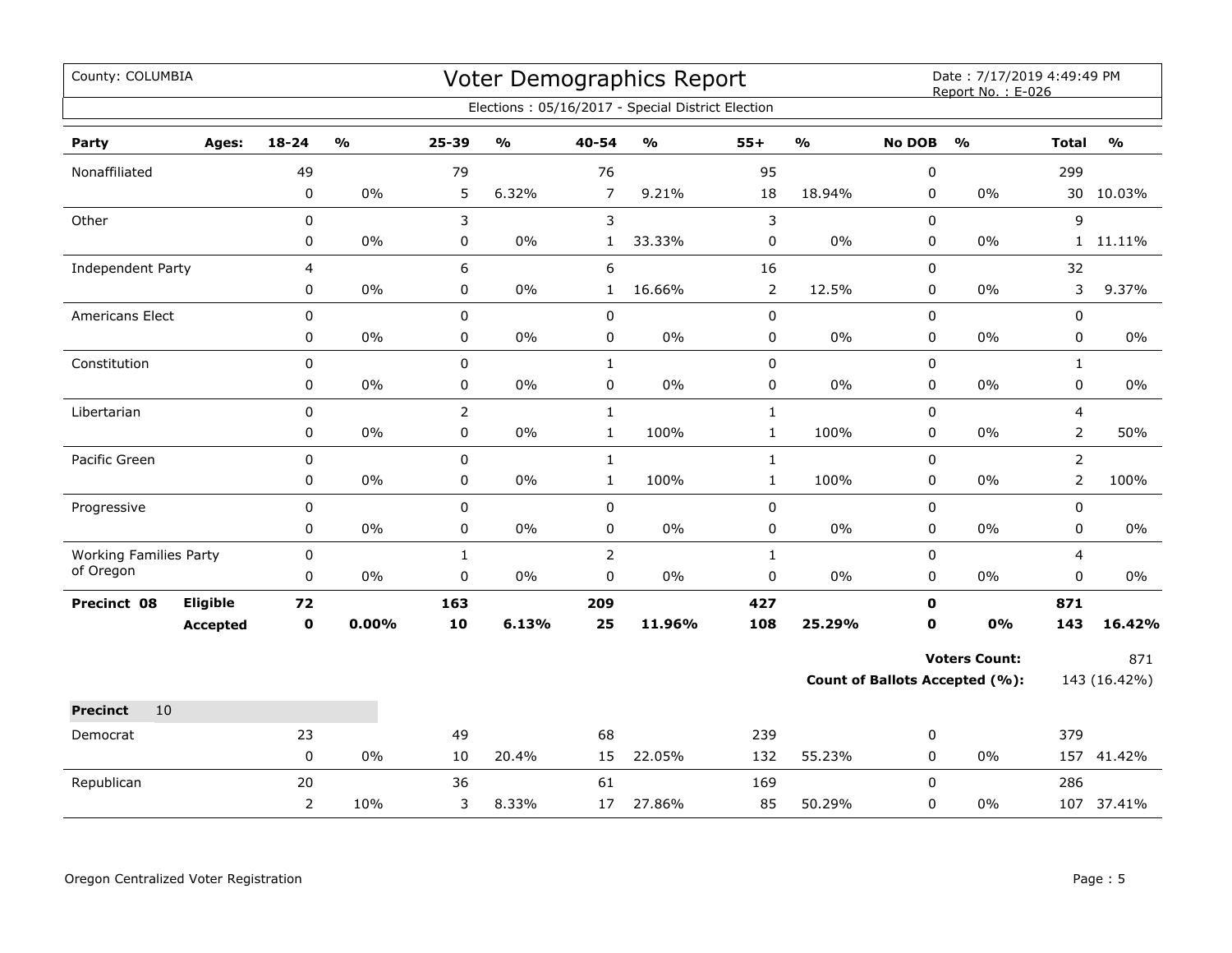| County: COLUMBIA              |          |                |                                   |                |                                   |                | <b>Voter Demographics Report</b><br>Elections: 05/16/2017 - Special District Election |                |        |               | Date: 7/17/2019 4:49:49 PM<br>Report No.: E-026 |                |               |
|-------------------------------|----------|----------------|-----------------------------------|----------------|-----------------------------------|----------------|---------------------------------------------------------------------------------------|----------------|--------|---------------|-------------------------------------------------|----------------|---------------|
|                               |          |                |                                   |                |                                   |                |                                                                                       |                |        |               |                                                 |                |               |
| Party                         | Ages:    | 18-24          | $\mathsf{o}\mathsf{v}_\mathsf{o}$ | 25-39          | $\mathsf{o}\mathsf{v}_\mathsf{o}$ | $40 - 54$      | $\mathsf{o}\mathsf{v}_\mathsf{o}$                                                     | $55+$          | %      | <b>No DOB</b> | $\frac{0}{0}$                                   | <b>Total</b>   | $\frac{0}{0}$ |
| Nonaffiliated                 |          | 49             |                                   | 79             |                                   | 76             |                                                                                       | 95             |        | 0             |                                                 | 299            |               |
|                               |          | $\mathbf 0$    | $0\%$                             | 5              | 6.32%                             | $\overline{7}$ | 9.21%                                                                                 | 18             | 18.94% | 0             | 0%                                              |                | 30 10.03%     |
| Other                         |          | $\pmb{0}$      |                                   | 3              |                                   | 3              |                                                                                       | $\mathsf 3$    |        | 0             |                                                 | 9              |               |
|                               |          | 0              | 0%                                | 0              | $0\%$                             | $\mathbf{1}$   | 33.33%                                                                                | $\pmb{0}$      | 0%     | 0             | 0%                                              |                | 1 11.11%      |
| Independent Party             |          | 4              |                                   | 6              |                                   | 6              |                                                                                       | 16             |        | 0             |                                                 | 32             |               |
|                               |          | $\pmb{0}$      | $0\%$                             | 0              | $0\%$                             | $\mathbf{1}$   | 16.66%                                                                                | $\mathsf{2}\,$ | 12.5%  | 0             | 0%                                              | 3              | 9.37%         |
| Americans Elect               |          | $\mathbf 0$    |                                   | 0              |                                   | $\mathbf 0$    |                                                                                       | 0              |        | 0             |                                                 | 0              |               |
|                               |          | 0              | $0\%$                             | 0              | 0%                                | 0              | $0\%$                                                                                 | 0              | 0%     | 0             | 0%                                              | 0              | 0%            |
| Constitution                  |          | $\mathbf 0$    |                                   | 0              |                                   | $\mathbf{1}$   |                                                                                       | $\pmb{0}$      |        | 0             |                                                 | $\mathbf{1}$   |               |
|                               |          | $\pmb{0}$      | $0\%$                             | 0              | $0\%$                             | $\pmb{0}$      | $0\%$                                                                                 | $\mathsf 0$    | $0\%$  | 0             | 0%                                              | 0              | $0\%$         |
| Libertarian                   |          | $\pmb{0}$      |                                   | $\overline{2}$ |                                   | $\mathbf 1$    |                                                                                       | $\mathbf 1$    |        | 0             |                                                 | 4              |               |
|                               |          | 0              | $0\%$                             | 0              | $0\%$                             | $\mathbf 1$    | 100%                                                                                  | $\mathbf{1}$   | 100%   | 0             | 0%                                              | $\overline{2}$ | 50%           |
| Pacific Green                 |          | $\mathbf 0$    |                                   | 0              |                                   | $\mathbf{1}$   |                                                                                       | $\mathbf{1}$   |        | 0             |                                                 | $\overline{2}$ |               |
|                               |          | 0              | 0%                                | 0              | $0\%$                             | $\mathbf{1}$   | 100%                                                                                  | $\mathbf{1}$   | 100%   | 0             | 0%                                              | $\overline{2}$ | 100%          |
| Progressive                   |          | $\pmb{0}$      |                                   | 0              |                                   | $\pmb{0}$      |                                                                                       | $\pmb{0}$      |        | 0             |                                                 | 0              |               |
|                               |          | 0              | $0\%$                             | 0              | $0\%$                             | $\pmb{0}$      | $0\%$                                                                                 | $\mathsf 0$    | 0%     | 0             | 0%                                              | 0              | 0%            |
| <b>Working Families Party</b> |          | $\pmb{0}$      |                                   | $\mathbf{1}$   |                                   | $\overline{2}$ |                                                                                       | $\mathbf 1$    |        | 0             |                                                 | 4              |               |
| of Oregon                     |          | $\mathbf 0$    | $0\%$                             | 0              | $0\%$                             | $\mathbf 0$    | $0\%$                                                                                 | $\pmb{0}$      | $0\%$  | 0             | 0%                                              | 0              | $0\%$         |
| Precinct 08                   | Eligible | 72             |                                   | 163            |                                   | 209            |                                                                                       | 427            |        | O             |                                                 | 871            |               |
|                               | Accepted | $\mathbf 0$    | 0.00%                             | 10             | 6.13%                             | 25             | 11.96%                                                                                | 108            | 25.29% | $\mathbf 0$   | 0%                                              | 143            | 16.42%        |
|                               |          |                |                                   |                |                                   |                |                                                                                       |                |        |               | <b>Voters Count:</b>                            |                | 871           |
|                               |          |                |                                   |                |                                   |                |                                                                                       |                |        |               | Count of Ballots Accepted (%):                  |                | 143 (16.42%)  |
| <b>Precinct</b><br>10         |          |                |                                   |                |                                   |                |                                                                                       |                |        |               |                                                 |                |               |
| Democrat                      |          | 23             |                                   | 49             |                                   | 68             |                                                                                       | 239            |        | 0             |                                                 | 379            |               |
|                               |          | $\mathsf 0$    | $0\%$                             | 10             | 20.4%                             | 15             | 22.05%                                                                                | 132            | 55.23% | 0             | $0\%$                                           |                | 157 41.42%    |
| Republican                    |          | 20             |                                   | 36             |                                   | 61             |                                                                                       | 169            |        | 0             |                                                 | 286            |               |
|                               |          | $\overline{2}$ | 10%                               | 3              | 8.33%                             | 17             | 27.86%                                                                                | 85             | 50.29% | 0             | 0%                                              |                | 107 37.41%    |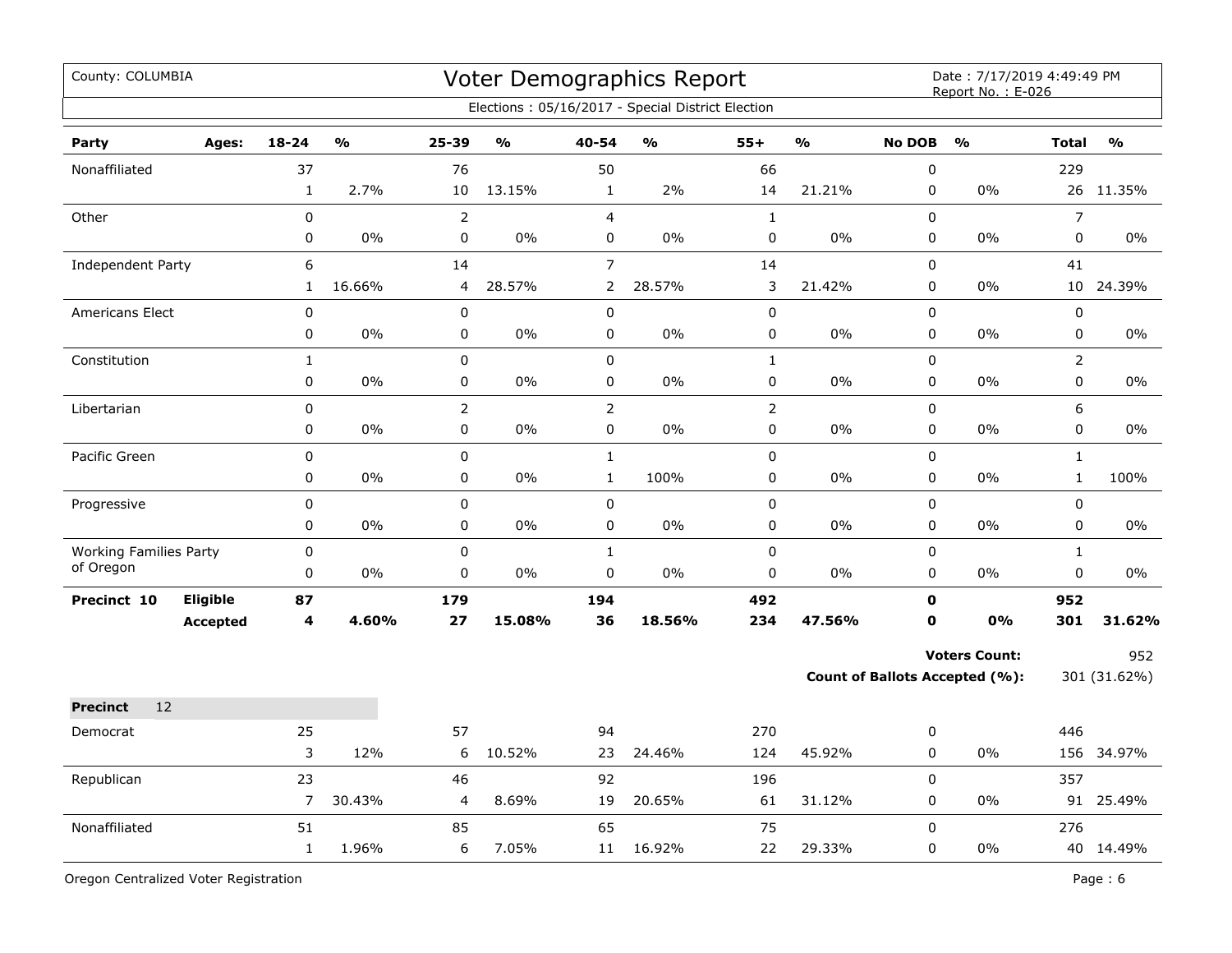| County: COLUMBIA                           |                             |                          |                                   |                             |               |                                  | Voter Demographics Report<br>Elections: 05/16/2017 - Special District Election |                             |               |                            | Date: 7/17/2019 4:49:49 PM<br>Report No.: E-026               |                              |                     |
|--------------------------------------------|-----------------------------|--------------------------|-----------------------------------|-----------------------------|---------------|----------------------------------|--------------------------------------------------------------------------------|-----------------------------|---------------|----------------------------|---------------------------------------------------------------|------------------------------|---------------------|
| Party                                      | Ages:                       | $18 - 24$                | $\mathsf{o}\mathsf{v}_\mathsf{o}$ | 25-39                       | $\frac{0}{0}$ | 40-54                            | $\mathsf{o}\mathsf{v}_\mathsf{o}$                                              | $55+$                       | $\frac{0}{0}$ | <b>No DOB</b>              | $\frac{0}{0}$                                                 | <b>Total</b>                 | $\frac{0}{0}$       |
| Nonaffiliated                              |                             | 37<br>$\mathbf 1$        | 2.7%                              | 76<br>10                    | 13.15%        | 50<br>$\mathbf{1}$               | 2%                                                                             | 66<br>14                    | 21.21%        | 0<br>0                     | 0%                                                            | 229                          | 26 11.35%           |
| Other                                      |                             | $\pmb{0}$<br>$\pmb{0}$   | 0%                                | $\overline{2}$<br>$\pmb{0}$ | 0%            | $\overline{4}$<br>0              | 0%                                                                             | $\mathbf{1}$<br>$\pmb{0}$   | 0%            | $\mathbf 0$<br>0           | 0%                                                            | $\overline{7}$<br>$\pmb{0}$  | $0\%$               |
| Independent Party                          |                             | 6<br>$\mathbf{1}$        | 16.66%                            | 14<br>4                     | 28.57%        | $\overline{7}$<br>$\overline{2}$ | 28.57%                                                                         | 14<br>3                     | 21.42%        | 0<br>0                     | 0%                                                            | 41                           | 10 24.39%           |
| <b>Americans Elect</b>                     |                             | $\pmb{0}$<br>0           | 0%                                | $\pmb{0}$<br>$\pmb{0}$      | 0%            | $\pmb{0}$<br>0                   | 0%                                                                             | $\pmb{0}$<br>$\pmb{0}$      | 0%            | 0<br>0                     | 0%                                                            | $\pmb{0}$<br>0               | 0%                  |
| Constitution                               |                             | $\mathbf{1}$<br>0        | 0%                                | $\mathbf 0$<br>$\pmb{0}$    | 0%            | $\pmb{0}$<br>0                   | 0%                                                                             | $\mathbf{1}$<br>0           | 0%            | 0<br>0                     | 0%                                                            | $\overline{2}$<br>0          | 0%                  |
| Libertarian                                |                             | 0<br>0                   | 0%                                | $\overline{2}$<br>$\pmb{0}$ | 0%            | $\overline{2}$<br>0              | 0%                                                                             | $\overline{2}$<br>$\pmb{0}$ | 0%            | 0<br>0                     | 0%                                                            | 6<br>$\pmb{0}$               | 0%                  |
| Pacific Green                              |                             | 0<br>$\mathbf 0$         | 0%                                | $\mathbf 0$<br>$\pmb{0}$    | 0%            | $\mathbf{1}$<br>$\mathbf{1}$     | 100%                                                                           | $\pmb{0}$<br>$\pmb{0}$      | 0%            | 0<br>0                     | 0%                                                            | $\mathbf{1}$<br>$\mathbf{1}$ | 100%                |
| Progressive                                |                             | $\pmb{0}$<br>$\mathbf 0$ | 0%                                | $\mathbf 0$<br>0            | 0%            | 0<br>$\mathbf 0$                 | 0%                                                                             | $\pmb{0}$<br>0              | $0\%$         | $\mathbf 0$<br>0           | $0\%$                                                         | $\pmb{0}$<br>$\mathbf 0$     | $0\%$               |
| <b>Working Families Party</b><br>of Oregon |                             | $\pmb{0}$<br>0           | $0\%$                             | $\mathbf 0$<br>$\mathbf 0$  | $0\%$         | $\mathbf{1}$<br>$\mathsf 0$      | 0%                                                                             | $\mathbf 0$<br>$\pmb{0}$    | $0\%$         | $\mathbf 0$<br>0           | $0\%$                                                         | $\mathbf{1}$<br>$\mathbf 0$  | $0\%$               |
| Precinct 10                                | Eligible<br><b>Accepted</b> | 87<br>4                  | 4.60%                             | 179<br>27                   | 15.08%        | 194<br>36                        | 18.56%                                                                         | 492<br>234                  | 47.56%        | $\mathbf 0$<br>$\mathbf 0$ | 0%                                                            | 952<br>301                   | 31.62%              |
|                                            |                             |                          |                                   |                             |               |                                  |                                                                                |                             |               |                            | <b>Voters Count:</b><br><b>Count of Ballots Accepted (%):</b> |                              | 952<br>301 (31.62%) |
| 12<br><b>Precinct</b>                      |                             |                          |                                   |                             |               |                                  |                                                                                |                             |               |                            |                                                               |                              |                     |
| Democrat                                   |                             | 25<br>3                  | 12%                               | 57<br>6                     | 10.52%        | 94<br>23                         | 24.46%                                                                         | 270<br>124                  | 45.92%        | 0<br>0                     | 0%                                                            | 446                          | 156 34.97%          |
| Republican                                 |                             | 23<br>7                  | 30.43%                            | 46<br>4                     | 8.69%         | 92<br>19                         | 20.65%                                                                         | 196<br>61                   | 31.12%        | $\mathbf 0$<br>0           | 0%                                                            | 357                          | 91 25.49%           |
| Nonaffiliated                              |                             | 51<br>$\mathbf{1}$       | 1.96%                             | 85<br>6                     | 7.05%         | 65<br>11                         | 16.92%                                                                         | 75<br>22                    | 29.33%        | $\mathbf 0$<br>0           | 0%                                                            | 276                          | 40 14.49%           |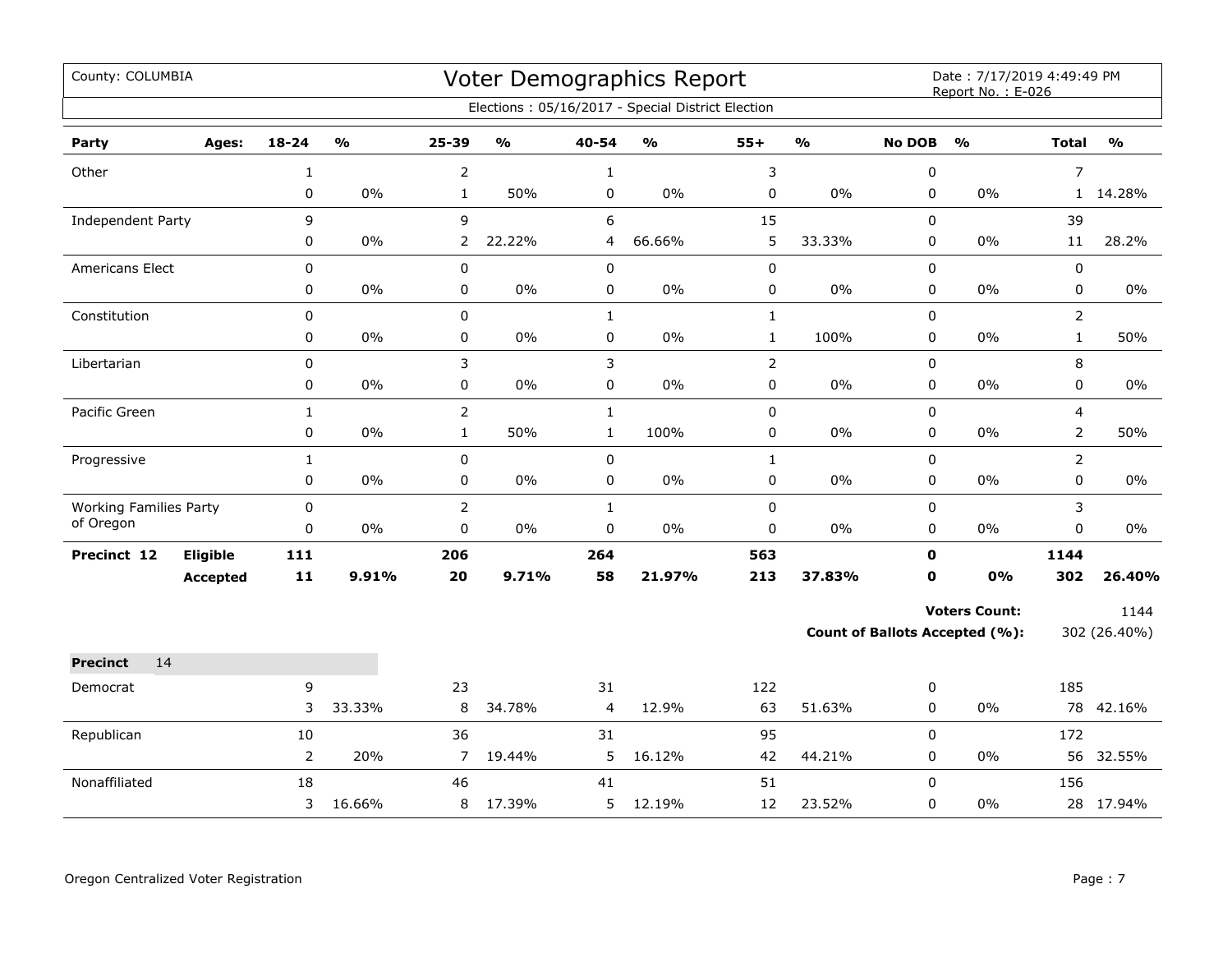| County: COLUMBIA              |                 |                |               |                |               |                | Voter Demographics Report<br>Elections: 05/16/2017 - Special District Election |                |               |               | Date: 7/17/2019 4:49:49 PM<br>Report No.: E-026 |                |               |
|-------------------------------|-----------------|----------------|---------------|----------------|---------------|----------------|--------------------------------------------------------------------------------|----------------|---------------|---------------|-------------------------------------------------|----------------|---------------|
|                               |                 |                |               |                |               |                |                                                                                |                |               |               |                                                 |                |               |
| Party                         | Ages:           | $18 - 24$      | $\frac{1}{2}$ | 25-39          | $\frac{1}{2}$ | 40-54          | $\frac{0}{0}$                                                                  | $55+$          | $\frac{1}{2}$ | <b>No DOB</b> | $\frac{1}{2}$                                   | <b>Total</b>   | $\frac{0}{0}$ |
| Other                         |                 | $\mathbf 1$    |               | 2              |               | $\mathbf{1}$   |                                                                                | 3              |               | 0             |                                                 | $\overline{7}$ |               |
|                               |                 | $\pmb{0}$      | 0%            | $\mathbf{1}$   | 50%           | 0              | 0%                                                                             | 0              | 0%            | 0             | 0%                                              |                | 1 14.28%      |
| Independent Party             |                 | 9              |               | 9              |               | 6              |                                                                                | 15             |               | 0             |                                                 | 39             |               |
|                               |                 | 0              | $0\%$         | $\mathbf{2}$   | 22.22%        | 4              | 66.66%                                                                         | 5              | 33.33%        | 0             | 0%                                              | 11             | 28.2%         |
| <b>Americans Elect</b>        |                 | 0              |               | 0              |               | 0              |                                                                                | $\pmb{0}$      |               | 0             |                                                 | $\mathsf 0$    |               |
|                               |                 | 0              | $0\%$         | 0              | $0\%$         | $\mathbf 0$    | 0%                                                                             | 0              | 0%            | 0             | 0%                                              | $\pmb{0}$      | $0\%$         |
| Constitution                  |                 | $\mathsf 0$    |               | 0              |               | $\mathbf{1}$   |                                                                                | $\mathbf{1}$   |               | 0             |                                                 | $\overline{2}$ |               |
|                               |                 | 0              | 0%            | 0              | 0%            | 0              | 0%                                                                             | $\mathbf 1$    | 100%          | 0             | 0%                                              | $\mathbf{1}$   | 50%           |
| Libertarian                   |                 | $\pmb{0}$      |               | 3              |               | 3              |                                                                                | $\overline{2}$ |               | 0             |                                                 | 8              |               |
|                               |                 | 0              | $0\%$         | 0              | $0\%$         | $\mathbf 0$    | 0%                                                                             | 0              | 0%            | 0             | 0%                                              | $\mathbf 0$    | 0%            |
| Pacific Green                 |                 | $\mathbf{1}$   |               | $\overline{2}$ |               | $\mathbf{1}$   |                                                                                | 0              |               | 0             |                                                 | $\overline{4}$ |               |
|                               |                 | 0              | 0%            | $\mathbf{1}$   | 50%           | $\mathbf{1}$   | 100%                                                                           | 0              | 0%            | 0             | 0%                                              | 2              | 50%           |
| Progressive                   |                 | $\mathbf{1}$   |               | 0              |               | 0              |                                                                                | $\mathbf{1}$   |               | $\mathbf 0$   |                                                 | $\overline{2}$ |               |
|                               |                 | 0              | $0\%$         | 0              | $0\%$         | 0              | 0%                                                                             | 0              | $0\%$         | 0             | $0\%$                                           | $\mathbf 0$    | $0\%$         |
| <b>Working Families Party</b> |                 | 0              |               | 2              |               | $\mathbf 1$    |                                                                                | 0              |               | 0             |                                                 | 3              |               |
| of Oregon                     |                 | 0              | $0\%$         | 0              | 0%            | 0              | 0%                                                                             | 0              | $0\%$         | 0             | $0\%$                                           | $\pmb{0}$      | $0\%$         |
| Precinct 12                   | <b>Eligible</b> | 111            |               | 206            |               | 264            |                                                                                | 563            |               | $\mathbf{0}$  |                                                 | 1144           |               |
|                               | <b>Accepted</b> | 11             | 9.91%         | 20             | 9.71%         | 58             | 21.97%                                                                         | 213            | 37.83%        | $\mathbf 0$   | 0%                                              | 302            | 26.40%        |
|                               |                 |                |               |                |               |                |                                                                                |                |               |               | <b>Voters Count:</b>                            |                | 1144          |
|                               |                 |                |               |                |               |                |                                                                                |                |               |               | <b>Count of Ballots Accepted (%):</b>           |                | 302 (26.40%)  |
| <b>Precinct</b><br>14         |                 |                |               |                |               |                |                                                                                |                |               |               |                                                 |                |               |
| Democrat                      |                 | 9              |               | 23             |               | 31             |                                                                                | 122            |               | 0             |                                                 | 185            |               |
|                               |                 | 3              | 33.33%        | 8              | 34.78%        | $\overline{4}$ | 12.9%                                                                          | 63             | 51.63%        | 0             | 0%                                              |                | 78 42.16%     |
| Republican                    |                 | 10             |               | 36             |               | 31             |                                                                                | 95             |               | 0             |                                                 | 172            |               |
|                               |                 | $\overline{2}$ | 20%           | 7              | 19.44%        | 5              | 16.12%                                                                         | 42             | 44.21%        | 0             | 0%                                              |                | 56 32.55%     |
| Nonaffiliated                 |                 | 18             |               | 46             |               | 41             |                                                                                | 51             |               | $\Omega$      |                                                 | 156            |               |
|                               |                 | 3              | 16.66%        | 8              | 17.39%        | 5              | 12.19%                                                                         | 12             | 23.52%        | 0             | 0%                                              |                | 28 17.94%     |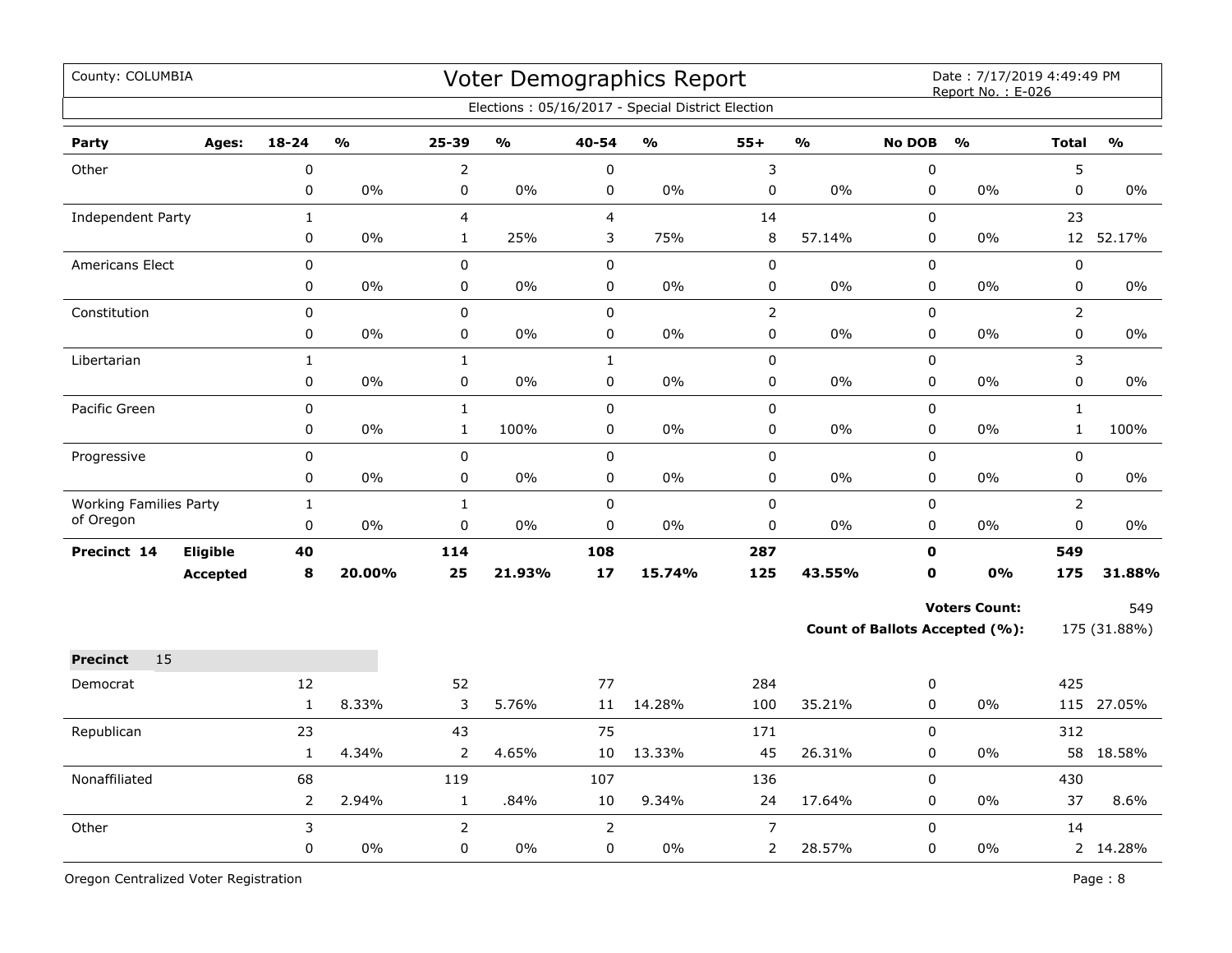| County: COLUMBIA              |                 |                |               |                |                         |                | Voter Demographics Report<br>Elections: 05/16/2017 - Special District Election |                |               |               | Date: 7/17/2019 4:49:49 PM<br>Report No.: E-026 |                |               |
|-------------------------------|-----------------|----------------|---------------|----------------|-------------------------|----------------|--------------------------------------------------------------------------------|----------------|---------------|---------------|-------------------------------------------------|----------------|---------------|
| Party                         | Ages:           | $18 - 24$      | $\frac{1}{2}$ | 25-39          | $\mathbf{O}/\mathbf{o}$ | 40-54          | $\mathbf{O}/\mathbf{o}$                                                        | $55+$          | $\frac{1}{2}$ | <b>No DOB</b> | $\frac{1}{2}$                                   | <b>Total</b>   | $\frac{1}{2}$ |
| Other                         |                 | $\pmb{0}$      |               | $\overline{2}$ |                         | $\pmb{0}$      |                                                                                | $\mathsf 3$    |               | 0             |                                                 | 5              |               |
|                               |                 | $\pmb{0}$      | 0%            | $\pmb{0}$      | 0%                      | 0              | 0%                                                                             | $\pmb{0}$      | 0%            | 0             | 0%                                              | $\pmb{0}$      | 0%            |
| <b>Independent Party</b>      |                 | $\mathbf{1}$   |               | $\overline{4}$ |                         | 4              |                                                                                | 14             |               | 0             |                                                 | 23             |               |
|                               |                 | 0              | 0%            | $\mathbf{1}$   | 25%                     | 3              | 75%                                                                            | 8              | 57.14%        | 0             | 0%                                              |                | 12 52.17%     |
| <b>Americans Elect</b>        |                 | $\mathbf 0$    |               | $\mathbf{0}$   |                         | $\mathbf 0$    |                                                                                | $\mathbf 0$    |               | $\mathbf 0$   |                                                 | $\mathbf 0$    |               |
|                               |                 | 0              | $0\%$         | $\mathbf 0$    | 0%                      | $\mathbf 0$    | $0\%$                                                                          | 0              | 0%            | $\mathbf 0$   | 0%                                              | 0              | $0\%$         |
| Constitution                  |                 | $\mathbf 0$    |               | $\mathsf 0$    |                         | $\mathbf 0$    |                                                                                | $\overline{2}$ |               | $\mathbf 0$   |                                                 | $\overline{2}$ |               |
|                               |                 | 0              | 0%            | 0              | $0\%$                   | 0              | 0%                                                                             | 0              | 0%            | 0             | $0\%$                                           | $\mathsf 0$    | 0%            |
| Libertarian                   |                 | $\mathbf{1}$   |               | $\mathbf{1}$   |                         | $\mathbf{1}$   |                                                                                | $\pmb{0}$      |               | 0             |                                                 | 3              |               |
|                               |                 | $\pmb{0}$      | 0%            | $\pmb{0}$      | 0%                      | 0              | 0%                                                                             | 0              | 0%            | 0             | 0%                                              | $\mathsf 0$    | 0%            |
| Pacific Green                 |                 | $\pmb{0}$      |               | $\mathbf{1}$   |                         | $\pmb{0}$      |                                                                                | $\pmb{0}$      |               | 0             |                                                 | $\mathbf{1}$   |               |
|                               |                 | 0              | 0%            | $1\,$          | 100%                    | 0              | 0%                                                                             | 0              | 0%            | 0             | 0%                                              | $\mathbf{1}$   | 100%          |
| Progressive                   |                 | 0              |               | $\mathbf 0$    |                         | $\pmb{0}$      |                                                                                | $\pmb{0}$      |               | 0             |                                                 | $\pmb{0}$      |               |
|                               |                 | $\mathbf 0$    | 0%            | 0              | 0%                      | $\mathbf 0$    | 0%                                                                             | 0              | 0%            | 0             | 0%                                              | $\mathbf 0$    | 0%            |
| <b>Working Families Party</b> |                 | $\mathbf 1$    |               | $\mathbf{1}$   |                         | $\Omega$       |                                                                                | $\mathbf 0$    |               | $\Omega$      |                                                 | $\overline{2}$ |               |
| of Oregon                     |                 | 0              | 0%            | $\mathbf 0$    | $0\%$                   | $\mathbf 0$    | 0%                                                                             | 0              | $0\%$         | 0             | $0\%$                                           | 0              | $0\%$         |
| Precinct 14                   | Eligible        | 40             |               | 114            |                         | 108            |                                                                                | 287            |               | 0             |                                                 | 549            |               |
|                               | <b>Accepted</b> | 8              | 20.00%        | 25             | 21.93%                  | 17             | 15.74%                                                                         | 125            | 43.55%        | 0             | 0%                                              | 175            | 31.88%        |
|                               |                 |                |               |                |                         |                |                                                                                |                |               |               | <b>Voters Count:</b>                            |                | 549           |
|                               |                 |                |               |                |                         |                |                                                                                |                |               |               | <b>Count of Ballots Accepted (%):</b>           |                | 175 (31.88%)  |
| 15<br><b>Precinct</b>         |                 |                |               |                |                         |                |                                                                                |                |               |               |                                                 |                |               |
| Democrat                      |                 | 12             |               | 52             |                         | 77             |                                                                                | 284            |               | 0             |                                                 | 425            |               |
|                               |                 | $\mathbf 1$    | 8.33%         | 3              | 5.76%                   | 11             | 14.28%                                                                         | 100            | 35.21%        | 0             | 0%                                              |                | 115 27.05%    |
| Republican                    |                 | 23             |               | 43             |                         | 75             |                                                                                | 171            |               | 0             |                                                 | 312            |               |
|                               |                 | $\mathbf{1}$   | 4.34%         | $\overline{2}$ | 4.65%                   | 10             | 13.33%                                                                         | 45             | 26.31%        | 0             | 0%                                              |                | 58 18.58%     |
| Nonaffiliated                 |                 | 68             |               | 119            |                         | 107            |                                                                                | 136            |               | 0             |                                                 | 430            |               |
|                               |                 | $\overline{2}$ | 2.94%         | $\mathbf{1}$   | .84%                    | 10             | 9.34%                                                                          | 24             | 17.64%        | 0             | $0\%$                                           | 37             | 8.6%          |
| Other                         |                 | 3              |               | $\overline{2}$ |                         | $\overline{2}$ |                                                                                | $\overline{7}$ |               | $\Omega$      |                                                 | 14             |               |
|                               |                 | $\mathbf 0$    | 0%            | $\mathbf 0$    | $0\%$                   | 0              | 0%                                                                             | 2              | 28.57%        | 0             | $0\%$                                           |                | 2 14.28%      |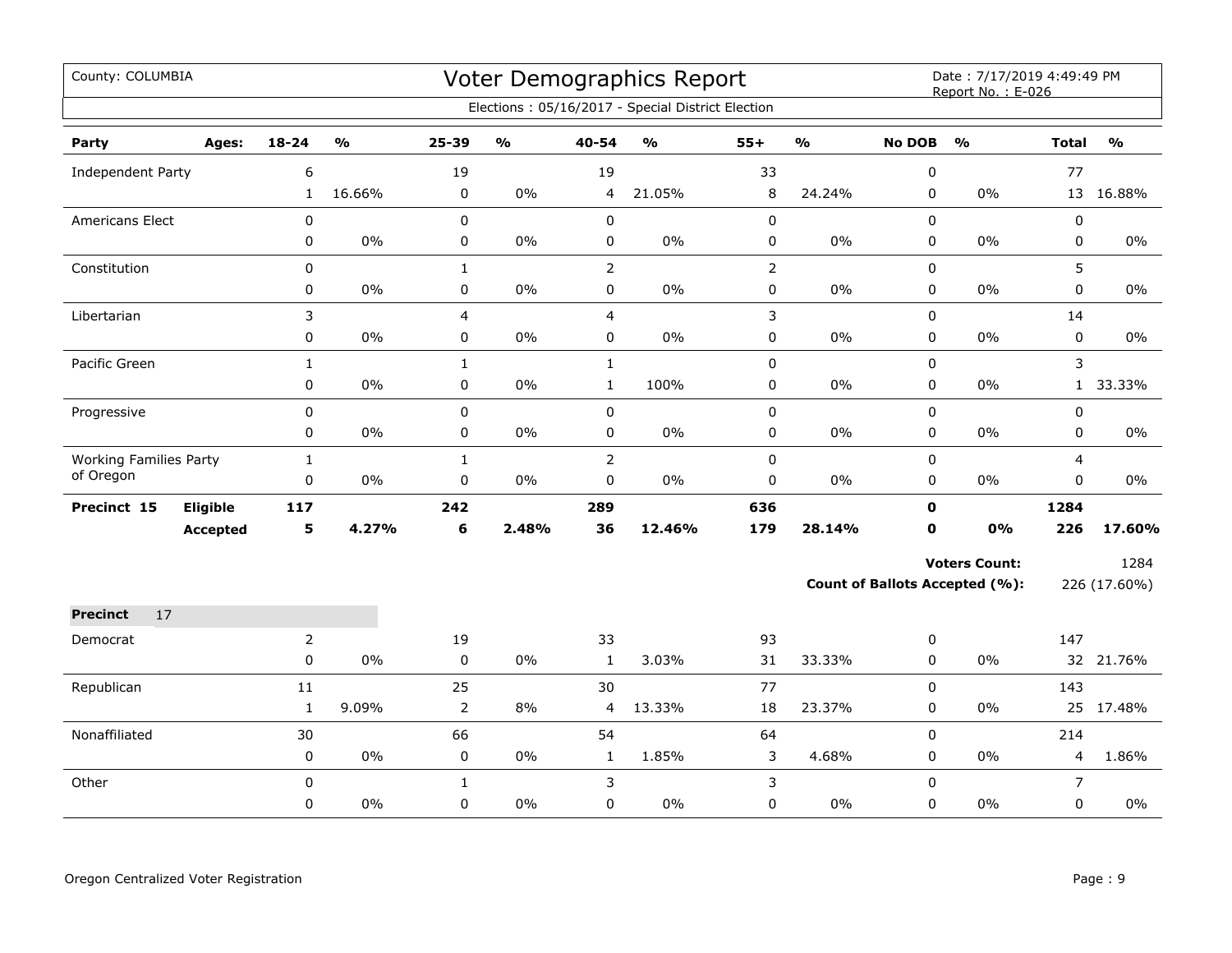| County: COLUMBIA              |                 |                |               |                |               |                | Voter Demographics Report<br>Elections: 05/16/2017 - Special District Election |                |               |               | Date: 7/17/2019 4:49:49 PM<br>Report No.: E-026 |                |               |
|-------------------------------|-----------------|----------------|---------------|----------------|---------------|----------------|--------------------------------------------------------------------------------|----------------|---------------|---------------|-------------------------------------------------|----------------|---------------|
| Party                         | Ages:           | $18 - 24$      | $\frac{1}{2}$ | $25 - 39$      | $\frac{1}{2}$ | 40-54          | $\frac{1}{2}$                                                                  | $55+$          | $\frac{1}{2}$ | <b>No DOB</b> | $\frac{1}{2}$                                   | <b>Total</b>   | $\frac{1}{2}$ |
| <b>Independent Party</b>      |                 | 6              |               | 19             |               | 19             |                                                                                | 33             |               | $\pmb{0}$     |                                                 | 77             |               |
|                               |                 | $\mathbf{1}$   | 16.66%        | 0              | 0%            | 4              | 21.05%                                                                         | 8              | 24.24%        | $\mathbf 0$   | 0%                                              |                | 13 16.88%     |
| <b>Americans Elect</b>        |                 | 0              |               | $\pmb{0}$      |               | $\pmb{0}$      |                                                                                | $\pmb{0}$      |               | $\pmb{0}$     |                                                 | 0              |               |
|                               |                 | 0              | 0%            | $\mathbf 0$    | $0\%$         | 0              | 0%                                                                             | 0              | $0\%$         | 0             | 0%                                              | 0              | $0\%$         |
| Constitution                  |                 | $\mathbf 0$    |               | $\mathbf{1}$   |               | $\overline{2}$ |                                                                                | $\overline{2}$ |               | $\mathbf 0$   |                                                 | 5              |               |
|                               |                 | 0              | $0\%$         | $\pmb{0}$      | $0\%$         | $\mathbf 0$    | 0%                                                                             | $\pmb{0}$      | $0\%$         | $\mathbf 0$   | $0\%$                                           | 0              | $0\%$         |
| Libertarian                   |                 | 3              |               | $\overline{4}$ |               | $\overline{4}$ |                                                                                | 3              |               | $\mathbf 0$   |                                                 | 14             |               |
|                               |                 | 0              | 0%            | $\pmb{0}$      | $0\%$         | $\mathbf 0$    | $0\%$                                                                          | 0              | $0\%$         | $\mathbf 0$   | 0%                                              | 0              | $0\%$         |
| Pacific Green                 |                 | $\mathbf{1}$   |               | $\mathbf{1}$   |               | $\mathbf{1}$   |                                                                                | $\pmb{0}$      |               | $\pmb{0}$     |                                                 | 3              |               |
|                               |                 | 0              | 0%            | $\mathsf 0$    | 0%            | $\mathbf{1}$   | 100%                                                                           | 0              | $0\%$         | 0             | 0%                                              | $\mathbf{1}$   | 33.33%        |
| Progressive                   |                 | 0              |               | $\mathsf 0$    |               | $\mathsf 0$    |                                                                                | $\pmb{0}$      |               | $\pmb{0}$     |                                                 | 0              |               |
|                               |                 | 0              | 0%            | $\pmb{0}$      | 0%            | $\pmb{0}$      | 0%                                                                             | $\pmb{0}$      | $0\%$         | 0             | 0%                                              | 0              | $0\%$         |
| <b>Working Families Party</b> |                 | $\mathbf{1}$   |               | $\mathbf{1}$   |               | $\overline{2}$ |                                                                                | $\pmb{0}$      |               | $\mathbf 0$   |                                                 | $\overline{4}$ |               |
| of Oregon                     |                 | 0              | 0%            | $\mathsf 0$    | 0%            | 0              | 0%                                                                             | 0              | $0\%$         | 0             | 0%                                              | 0              | 0%            |
| Precinct 15                   | Eligible        | 117            |               | 242            |               | 289            |                                                                                | 636            |               | $\mathbf 0$   |                                                 | 1284           |               |
|                               | <b>Accepted</b> | 5              | 4.27%         | 6              | 2.48%         | 36             | 12.46%                                                                         | 179            | 28.14%        | 0             | 0%                                              | 226            | 17.60%        |
|                               |                 |                |               |                |               |                |                                                                                |                |               |               | <b>Voters Count:</b>                            |                | 1284          |
|                               |                 |                |               |                |               |                |                                                                                |                |               |               | <b>Count of Ballots Accepted (%):</b>           |                | 226 (17.60%)  |
| 17<br><b>Precinct</b>         |                 |                |               |                |               |                |                                                                                |                |               |               |                                                 |                |               |
| Democrat                      |                 | $\overline{2}$ |               | 19             |               | 33             |                                                                                | 93             |               | 0             |                                                 | 147            |               |
|                               |                 | 0              | $0\%$         | $\mathbf 0$    | $0\%$         | $\mathbf{1}$   | 3.03%                                                                          | 31             | 33.33%        | 0             | $0\%$                                           |                | 32 21.76%     |
| Republican                    |                 | 11             |               | 25             |               | 30             |                                                                                | 77             |               | $\Omega$      |                                                 | 143            |               |
|                               |                 | $\mathbf{1}$   | 9.09%         | $\overline{2}$ | 8%            | 4              | 13.33%                                                                         | 18             | 23.37%        | $\mathbf 0$   | 0%                                              |                | 25 17.48%     |
| Nonaffiliated                 |                 | 30             |               | 66             |               | 54             |                                                                                | 64             |               | 0             |                                                 | 214            |               |
|                               |                 | 0              | 0%            | 0              | $0\%$         | $\mathbf{1}$   | 1.85%                                                                          | 3              | 4.68%         | 0             | $0\%$                                           | 4              | 1.86%         |
| Other                         |                 | 0              |               | $\mathbf{1}$   |               | 3              |                                                                                | 3              |               | 0             |                                                 | $\overline{7}$ |               |
|                               |                 | 0              | 0%            | 0              | $0\%$         | 0              | 0%                                                                             | 0              | $0\%$         | $\mathbf 0$   | 0%                                              | 0              | $0\%$         |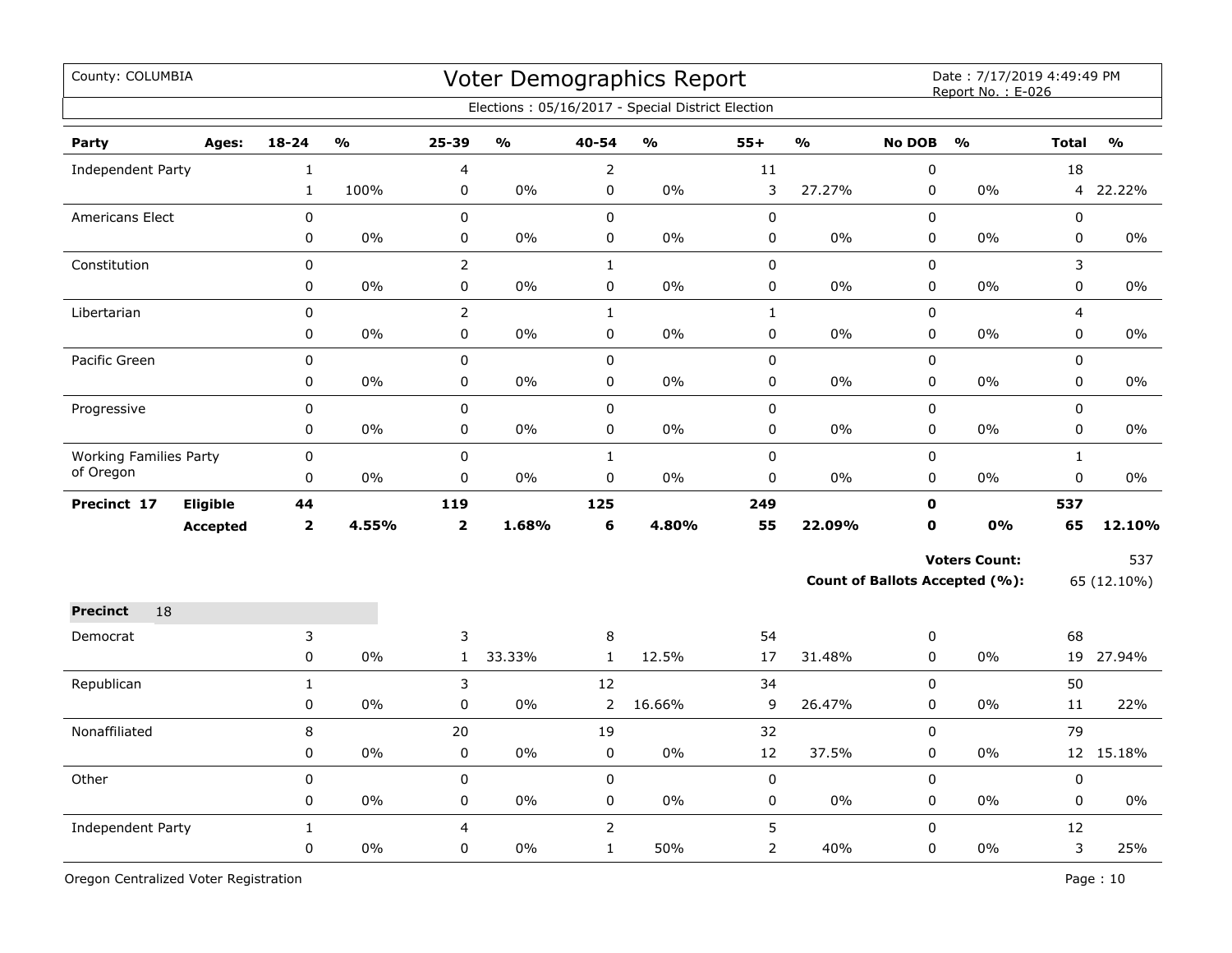| County: COLUMBIA              |                 |                |               |                         |                         |                | Voter Demographics Report<br>Elections: 05/16/2017 - Special District Election |              |                         |               | Date: 7/17/2019 4:49:49 PM<br>Report No.: E-026 |              |               |
|-------------------------------|-----------------|----------------|---------------|-------------------------|-------------------------|----------------|--------------------------------------------------------------------------------|--------------|-------------------------|---------------|-------------------------------------------------|--------------|---------------|
|                               |                 |                |               |                         |                         |                |                                                                                |              |                         |               |                                                 |              |               |
| Party                         | Ages:           | $18 - 24$      | $\frac{0}{0}$ | 25-39                   | $\mathbf{0}/\mathbf{0}$ | 40-54          | $\mathbf{O}/\mathbf{o}$                                                        | $55+$        | $\mathbf{O}/\mathbf{O}$ | <b>No DOB</b> | $\frac{0}{0}$                                   | <b>Total</b> | $\frac{0}{0}$ |
| Independent Party             |                 | 1              |               | 4                       |                         | $\overline{2}$ |                                                                                | 11           |                         | 0             |                                                 | 18           |               |
|                               |                 | $\mathbf{1}$   | 100%          | 0                       | 0%                      | 0              | 0%                                                                             | 3            | 27.27%                  | $\pmb{0}$     | $0\%$                                           | 4            | 22.22%        |
| <b>Americans Elect</b>        |                 | 0              |               | $\pmb{0}$               |                         | $\mathbf 0$    |                                                                                | $\mathbf 0$  |                         | $\mathbf 0$   |                                                 | 0            |               |
|                               |                 | 0              | 0%            | $\pmb{0}$               | 0%                      | 0              | 0%                                                                             | 0            | 0%                      | 0             | 0%                                              | 0            | 0%            |
| Constitution                  |                 | 0              |               | $\overline{2}$          |                         | $\mathbf{1}$   |                                                                                | $\mathbf 0$  |                         | 0             |                                                 | 3            |               |
|                               |                 | 0              | 0%            | $\mathsf 0$             | $0\%$                   | $\pmb{0}$      | $0\%$                                                                          | 0            | $0\%$                   | $\mathsf 0$   | $0\%$                                           | 0            | $0\%$         |
| Libertarian                   |                 | $\mathbf 0$    |               | $\overline{2}$          |                         | $\mathbf{1}$   |                                                                                | $\mathbf{1}$ |                         | $\mathbf 0$   |                                                 | 4            |               |
|                               |                 | 0              | $0\%$         | $\mathbf 0$             | $0\%$                   | $\mathbf 0$    | 0%                                                                             | $\pmb{0}$    | $0\%$                   | $\mathsf 0$   | $0\%$                                           | 0            | $0\%$         |
| Pacific Green                 |                 | 0              |               | $\pmb{0}$               |                         | $\mathbf 0$    |                                                                                | $\pmb{0}$    |                         | $\mathbf 0$   |                                                 | 0            |               |
|                               |                 | 0              | 0%            | 0                       | $0\%$                   | 0              | 0%                                                                             | 0            | $0\%$                   | 0             | $0\%$                                           | 0            | 0%            |
| Progressive                   |                 | 0              |               | $\mathbf 0$             |                         | $\mathbf 0$    |                                                                                | $\mathbf 0$  |                         | $\mathbf 0$   |                                                 | 0            |               |
|                               |                 | 0              | 0%            | 0                       | 0%                      | 0              | 0%                                                                             | 0            | 0%                      | $\mathbf 0$   | 0%                                              | 0            | 0%            |
| <b>Working Families Party</b> |                 | 0              |               | $\mathbf 0$             |                         | $\mathbf{1}$   |                                                                                | $\mathbf 0$  |                         | $\mathbf 0$   |                                                 | $\mathbf{1}$ |               |
| of Oregon                     |                 | 0              | 0%            | 0                       | 0%                      | 0              | 0%                                                                             | 0            | $0\%$                   | 0             | 0%                                              | 0            | 0%            |
| Precinct 17                   | Eligible        | 44             |               | 119                     |                         | 125            |                                                                                | 249          |                         | $\mathbf 0$   |                                                 | 537          |               |
|                               | <b>Accepted</b> | $\overline{2}$ | 4.55%         | $\overline{\mathbf{2}}$ | 1.68%                   | 6              | 4.80%                                                                          | 55           | 22.09%                  | $\mathbf 0$   | 0%                                              | 65           | 12.10%        |
|                               |                 |                |               |                         |                         |                |                                                                                |              |                         |               | <b>Voters Count:</b>                            |              | 537           |
|                               |                 |                |               |                         |                         |                |                                                                                |              |                         |               | <b>Count of Ballots Accepted (%):</b>           |              | 65 (12.10%)   |
| 18<br><b>Precinct</b>         |                 |                |               |                         |                         |                |                                                                                |              |                         |               |                                                 |              |               |
| Democrat                      |                 | 3              |               | 3                       |                         | 8              |                                                                                | 54           |                         | 0             |                                                 | 68           |               |
|                               |                 | 0              | 0%            | $\mathbf{1}$            | 33.33%                  | $\mathbf{1}$   | 12.5%                                                                          | 17           | 31.48%                  | $\mathbf 0$   | $0\%$                                           | 19           | 27.94%        |
| Republican                    |                 | $\mathbf{1}$   |               | 3                       |                         | 12             |                                                                                | 34           |                         | 0             |                                                 | 50           |               |
|                               |                 | 0              | 0%            | $\pmb{0}$               | 0%                      | $\overline{2}$ | 16.66%                                                                         | 9            | 26.47%                  | 0             | 0%                                              | 11           | 22%           |
| Nonaffiliated                 |                 | 8              |               | 20                      |                         | 19             |                                                                                | 32           |                         | $\pmb{0}$     |                                                 | 79           |               |
|                               |                 | 0              | 0%            | 0                       | 0%                      | $\mathbf 0$    | 0%                                                                             | 12           | 37.5%                   | $\mathbf 0$   | 0%                                              |              | 12 15.18%     |
| Other                         |                 | 0              |               | $\pmb{0}$               |                         | $\pmb{0}$      |                                                                                | $\pmb{0}$    |                         | 0             |                                                 | 0            |               |
|                               |                 | 0              | 0%            | 0                       | 0%                      | $\mathbf 0$    | 0%                                                                             | 0            | 0%                      | 0             | 0%                                              | 0            | 0%            |
| Independent Party             |                 | 1              |               | 4                       |                         | $\overline{2}$ |                                                                                | 5            |                         | 0             |                                                 | 12           |               |
|                               |                 | 0              | 0%            | $\mathbf 0$             | 0%                      | $\mathbf{1}$   | 50%                                                                            | 2            | 40%                     | 0             | $0\%$                                           | 3            | 25%           |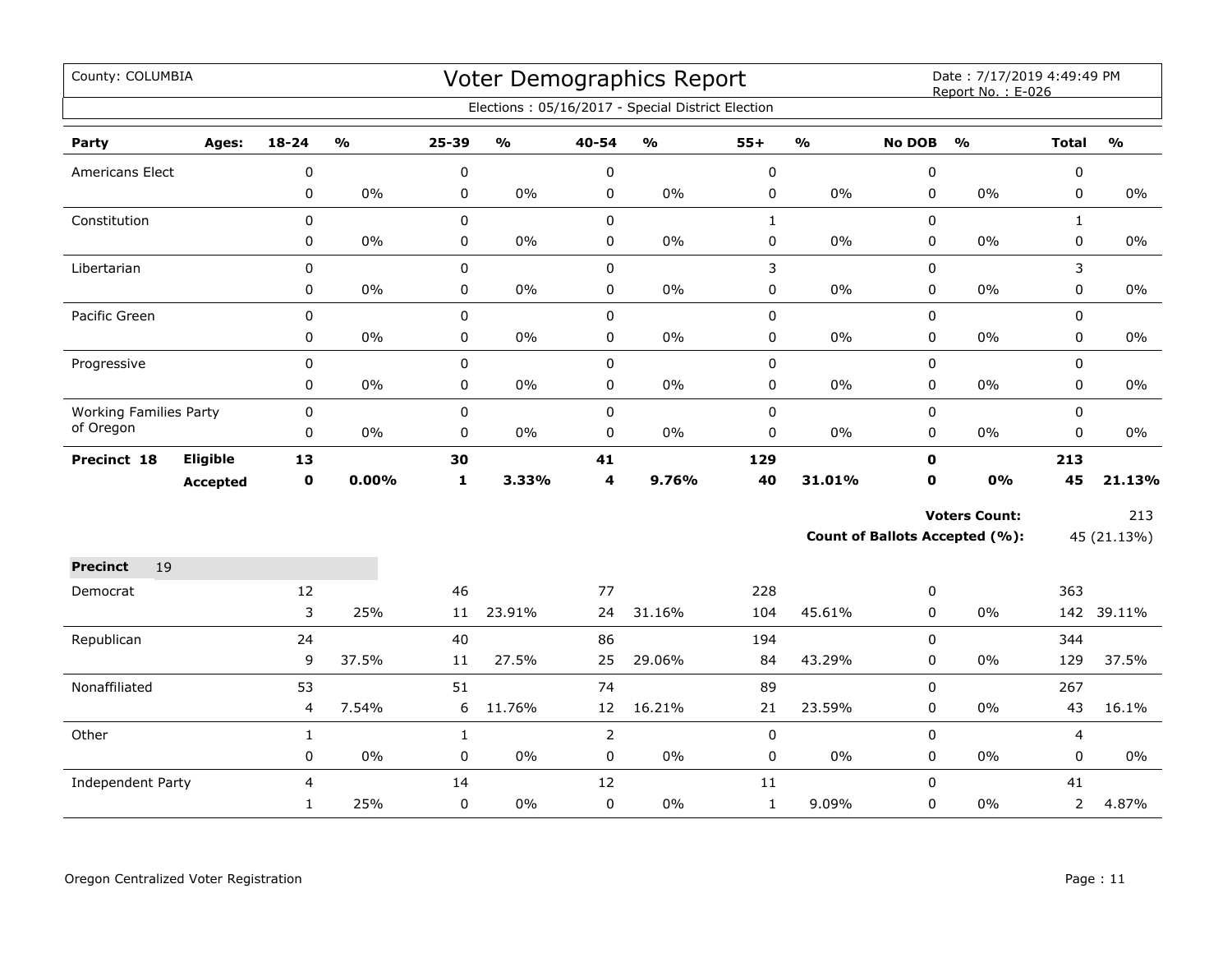| County: COLUMBIA                           |                 |                |               |              |               |                | <b>Voter Demographics Report</b><br>Elections: 05/16/2017 - Special District Election |              |                         |               | Date: 7/17/2019 4:49:49 PM<br>Report No.: E-026 |                |               |
|--------------------------------------------|-----------------|----------------|---------------|--------------|---------------|----------------|---------------------------------------------------------------------------------------|--------------|-------------------------|---------------|-------------------------------------------------|----------------|---------------|
| Party                                      | Ages:           | $18 - 24$      | $\frac{1}{2}$ | 25-39        | $\frac{0}{0}$ | 40-54          | $\frac{1}{2}$                                                                         | $55+$        | $\mathbf{O}/\mathbf{O}$ | <b>No DOB</b> | $\mathbf{O}/\mathbf{O}$                         | <b>Total</b>   | $\frac{1}{2}$ |
| Americans Elect                            |                 | $\pmb{0}$      |               | 0            |               | $\pmb{0}$      |                                                                                       | $\pmb{0}$    |                         | 0             |                                                 | 0              |               |
|                                            |                 | 0              | $0\%$         | 0            | $0\%$         | $\pmb{0}$      | $0\%$                                                                                 | $\pmb{0}$    | 0%                      | 0             | 0%                                              | 0              | $0\%$         |
| Constitution                               |                 | $\mathbf 0$    |               | 0            |               | $\pmb{0}$      |                                                                                       | $\mathbf{1}$ |                         | 0             |                                                 | $\mathbf{1}$   |               |
|                                            |                 | 0              | $0\%$         | 0            | $0\%$         | $\pmb{0}$      | $0\%$                                                                                 | $\pmb{0}$    | 0%                      | 0             | 0%                                              | 0              | $0\%$         |
| Libertarian                                |                 | 0              |               | 0            |               | $\pmb{0}$      |                                                                                       | $\mathsf 3$  |                         | 0             |                                                 | 3              |               |
|                                            |                 | 0              | $0\%$         | 0            | $0\%$         | $\pmb{0}$      | $0\%$                                                                                 | $\pmb{0}$    | 0%                      | 0             | 0%                                              | 0              | $0\%$         |
| Pacific Green                              |                 | $\mathbf 0$    |               | 0            |               | $\mathbf 0$    |                                                                                       | $\pmb{0}$    |                         | 0             |                                                 | 0              |               |
|                                            |                 | 0              | $0\%$         | 0            | $0\%$         | $\mathbf 0$    | $0\%$                                                                                 | 0            | 0%                      | 0             | $0\%$                                           | 0              | $0\%$         |
| Progressive                                |                 | $\pmb{0}$      |               | 0            |               | $\pmb{0}$      |                                                                                       | $\pmb{0}$    |                         | 0             |                                                 | 0              |               |
|                                            |                 | 0              | $0\%$         | 0            | $0\%$         | $\pmb{0}$      | 0%                                                                                    | $\pmb{0}$    | 0%                      | 0             | 0%                                              | 0              | 0%            |
| <b>Working Families Party</b><br>of Oregon |                 | 0              |               | 0            |               | $\pmb{0}$      |                                                                                       | $\pmb{0}$    |                         | 0             |                                                 | $\mathbf 0$    |               |
|                                            |                 | 0              | $0\%$         | 0            | $0\%$         | $\pmb{0}$      | $0\%$                                                                                 | $\pmb{0}$    | 0%                      | 0             | 0%                                              | 0              | $0\%$         |
| Precinct 18                                | <b>Eligible</b> | 13             |               | 30           |               | 41             |                                                                                       | 129          |                         | $\mathbf{0}$  |                                                 | 213            |               |
|                                            | <b>Accepted</b> | $\mathbf 0$    | 0.00%         | $\mathbf{1}$ | 3.33%         | 4              | 9.76%                                                                                 | 40           | 31.01%                  | $\mathbf{0}$  | 0%                                              | 45             | 21.13%        |
|                                            |                 |                |               |              |               |                |                                                                                       |              |                         |               | <b>Voters Count:</b>                            |                | 213           |
|                                            |                 |                |               |              |               |                |                                                                                       |              |                         |               | <b>Count of Ballots Accepted (%):</b>           |                | 45 (21.13%)   |
| <b>Precinct</b><br>19                      |                 |                |               |              |               |                |                                                                                       |              |                         |               |                                                 |                |               |
| Democrat                                   |                 | 12             |               | 46           |               | 77             |                                                                                       | 228          |                         | 0             |                                                 | 363            |               |
|                                            |                 | 3              | 25%           | 11           | 23.91%        | 24             | 31.16%                                                                                | 104          | 45.61%                  | $\mathbf 0$   | 0%                                              |                | 142 39.11%    |
| Republican                                 |                 | 24             |               | 40           |               | 86             |                                                                                       | 194          |                         | $\Omega$      |                                                 | 344            |               |
|                                            |                 | 9              | 37.5%         | 11           | 27.5%         | 25             | 29.06%                                                                                | 84           | 43.29%                  | $\Omega$      | $0\%$                                           | 129            | 37.5%         |
| Nonaffiliated                              |                 | 53             |               | 51           |               | 74             |                                                                                       | 89           |                         | 0             |                                                 | 267            |               |
|                                            |                 | $\overline{4}$ | 7.54%         | 6            | 11.76%        | 12             | 16.21%                                                                                | 21           | 23.59%                  | 0             | 0%                                              | 43             | 16.1%         |
| Other                                      |                 | $\mathbf{1}$   |               | $\mathbf{1}$ |               | $\overline{2}$ |                                                                                       | $\pmb{0}$    |                         | 0             |                                                 | $\overline{4}$ |               |
|                                            |                 | 0              | $0\%$         | 0            | $0\%$         | $\pmb{0}$      | 0%                                                                                    | $\pmb{0}$    | 0%                      | 0             | 0%                                              | 0              | $0\%$         |
| <b>Independent Party</b>                   |                 | 4              |               | 14           |               | 12             |                                                                                       | 11           |                         | $\Omega$      |                                                 | 41             |               |
|                                            |                 | $\mathbf{1}$   | 25%           | 0            | $0\%$         | $\mathbf 0$    | 0%                                                                                    | $\mathbf{1}$ | 9.09%                   | 0             | $0\%$                                           | $\overline{2}$ | 4.87%         |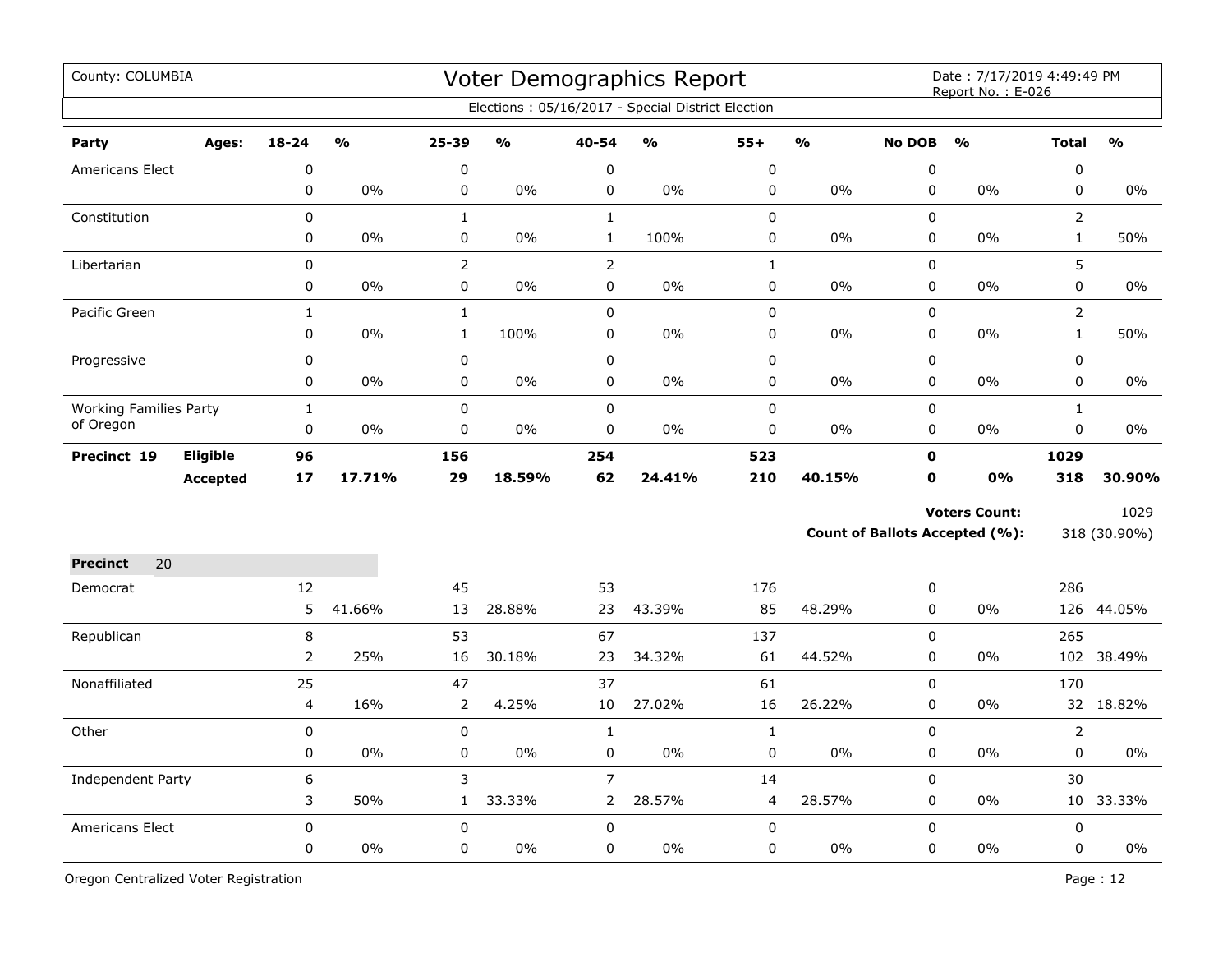| County: COLUMBIA                           |                 |                |        |                |                         |                | Voter Demographics Report<br>Elections: 05/16/2017 - Special District Election |              |                |               | Date: 7/17/2019 4:49:49 PM<br>Report No.: E-026 |                |               |
|--------------------------------------------|-----------------|----------------|--------|----------------|-------------------------|----------------|--------------------------------------------------------------------------------|--------------|----------------|---------------|-------------------------------------------------|----------------|---------------|
| Party                                      | Ages:           | $18 - 24$      | %      | 25-39          | $\mathbf{O}/\mathbf{o}$ | 40-54          | $\frac{1}{2}$                                                                  | $55+$        | $\mathbf{v}_0$ | <b>No DOB</b> | $\frac{0}{0}$                                   | <b>Total</b>   | $\frac{0}{0}$ |
| <b>Americans Elect</b>                     |                 | 0              |        | $\mathbf 0$    |                         | $\mathbf 0$    |                                                                                | 0            |                | $\mathbf 0$   |                                                 | 0              |               |
|                                            |                 | $\mathbf 0$    | $0\%$  | $\pmb{0}$      | $0\%$                   | $\mathbf 0$    | 0%                                                                             | 0            | $0\%$          | 0             | 0%                                              | 0              | $0\%$         |
| Constitution                               |                 | 0              |        | $\mathbf{1}$   |                         | $\mathbf{1}$   |                                                                                | 0            |                | $\mathbf 0$   |                                                 | $\overline{2}$ |               |
|                                            |                 | 0              | 0%     | $\pmb{0}$      | 0%                      | $\mathbf{1}$   | 100%                                                                           | 0            | 0%             | $\mathbf 0$   | 0%                                              | $\mathbf{1}$   | 50%           |
| Libertarian                                |                 | $\mathbf 0$    |        | $\overline{2}$ |                         | $\overline{2}$ |                                                                                | $\mathbf{1}$ |                | $\mathbf 0$   |                                                 | 5              |               |
|                                            |                 | 0              | $0\%$  | 0              | 0%                      | $\mathbf 0$    | $0\%$                                                                          | 0            | 0%             | 0             | 0%                                              | 0              | $0\%$         |
| Pacific Green                              |                 | $\mathbf{1}$   |        | $\mathbf 1$    |                         | $\mathbf 0$    |                                                                                | $\mathbf 0$  |                | $\Omega$      |                                                 | $\overline{2}$ |               |
|                                            |                 | 0              | $0\%$  | $\mathbf{1}$   | 100%                    | $\mathbf 0$    | $0\%$                                                                          | 0            | 0%             | $\mathbf 0$   | 0%                                              | $\mathbf{1}$   | 50%           |
| Progressive                                |                 | $\mathbf 0$    |        | $\pmb{0}$      |                         | $\mathbf 0$    |                                                                                | $\mathsf 0$  |                | $\mathbf 0$   |                                                 | 0              |               |
|                                            |                 | 0              | $0\%$  | 0              | $0\%$                   | 0              | 0%                                                                             | 0            | 0%             | 0             | 0%                                              | 0              | 0%            |
| <b>Working Families Party</b><br>of Oregon |                 | $\mathbf{1}$   |        | $\pmb{0}$      |                         | $\pmb{0}$      |                                                                                | 0            |                | $\pmb{0}$     |                                                 | $\mathbf{1}$   |               |
|                                            |                 | $\mathbf 0$    | 0%     | $\mathbf 0$    | 0%                      | $\mathbf 0$    | $0\%$                                                                          | 0            | 0%             | 0             | 0%                                              | 0              | $0\%$         |
| Precinct 19                                | Eligible        | 96             |        | 156            |                         | 254            |                                                                                | 523          |                | $\mathbf o$   |                                                 | 1029           |               |
|                                            | <b>Accepted</b> | 17             | 17.71% | 29             | 18.59%                  | 62             | 24.41%                                                                         | 210          | 40.15%         | O             | 0%                                              | 318            | 30.90%        |
|                                            |                 |                |        |                |                         |                |                                                                                |              |                |               | <b>Voters Count:</b>                            |                | 1029          |
|                                            |                 |                |        |                |                         |                |                                                                                |              |                |               | <b>Count of Ballots Accepted (%):</b>           |                | 318 (30.90%)  |
| <b>Precinct</b><br>20                      |                 |                |        |                |                         |                |                                                                                |              |                |               |                                                 |                |               |
| Democrat                                   |                 | 12             |        | 45             |                         | 53             |                                                                                | 176          |                | 0             |                                                 | 286            |               |
|                                            |                 | 5              | 41.66% | 13             | 28.88%                  | 23             | 43.39%                                                                         | 85           | 48.29%         | 0             | 0%                                              |                | 126 44.05%    |
| Republican                                 |                 | 8              |        | 53             |                         | 67             |                                                                                | 137          |                | $\mathbf 0$   |                                                 | 265            |               |
|                                            |                 | $\overline{2}$ | 25%    | 16             | 30.18%                  | 23             | 34.32%                                                                         | 61           | 44.52%         | 0             | 0%                                              | 102            | 38.49%        |
| Nonaffiliated                              |                 | 25             |        | 47             |                         | 37             |                                                                                | 61           |                | $\pmb{0}$     |                                                 | 170            |               |
|                                            |                 | 4              | 16%    | $\overline{2}$ | 4.25%                   | 10             | 27.02%                                                                         | 16           | 26.22%         | 0             | 0%                                              | 32             | 18.82%        |
| Other                                      |                 | 0              |        | $\mathsf 0$    |                         | $\mathbf{1}$   |                                                                                | $\mathbf{1}$ |                | 0             |                                                 | $\overline{2}$ |               |
|                                            |                 | 0              | 0%     | 0              | 0%                      | $\pmb{0}$      | $0\%$                                                                          | 0            | 0%             | 0             | 0%                                              | 0              | 0%            |
| <b>Independent Party</b>                   |                 | 6              |        | 3              |                         | $\overline{7}$ |                                                                                | 14           |                | 0             |                                                 | 30             |               |
|                                            |                 | 3              | 50%    | $\mathbf{1}$   | 33.33%                  | $\overline{2}$ | 28.57%                                                                         | 4            | 28.57%         | 0             | 0%                                              |                | 10 33.33%     |
| <b>Americans Elect</b>                     |                 | $\mathbf 0$    |        | $\mathbf 0$    |                         | $\mathbf 0$    |                                                                                | $\mathbf 0$  |                | $\mathbf 0$   |                                                 | 0              |               |
|                                            |                 | 0              | 0%     | 0              | 0%                      | $\mathbf 0$    | 0%                                                                             | 0            | $0\%$          | $\mathbf 0$   | $0\%$                                           | 0              | 0%            |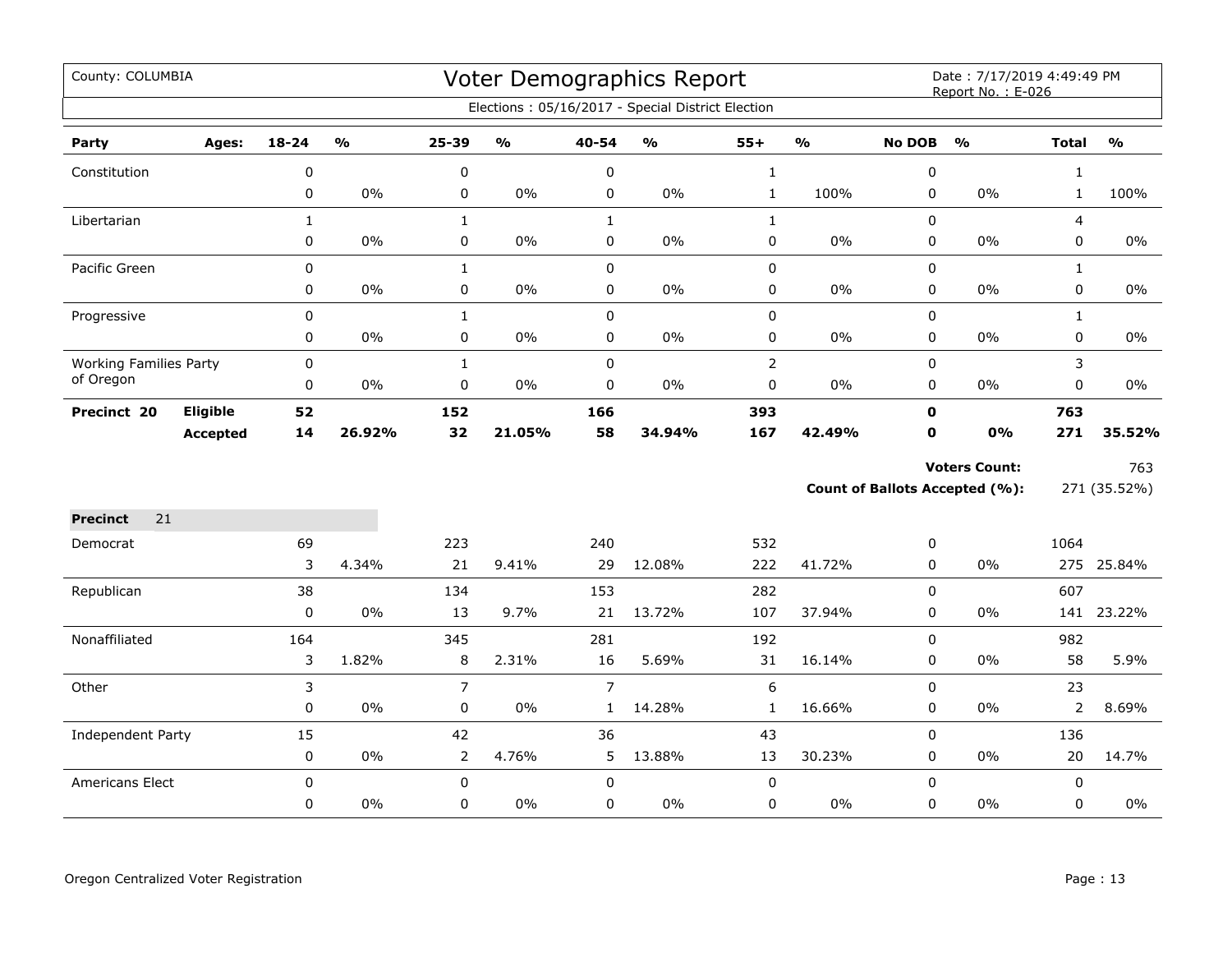| County: COLUMBIA              |                 |              |        |                |               |                | Voter Demographics Report<br>Elections: 05/16/2017 - Special District Election |                |        |               | Date: 7/17/2019 4:49:49 PM<br>Report No.: E-026 |                |               |
|-------------------------------|-----------------|--------------|--------|----------------|---------------|----------------|--------------------------------------------------------------------------------|----------------|--------|---------------|-------------------------------------------------|----------------|---------------|
|                               |                 |              |        |                |               |                |                                                                                |                |        |               |                                                 |                |               |
| Party                         | Ages:           | 18-24        | %      | $25 - 39$      | $\frac{1}{2}$ | 40-54          | $\frac{1}{2}$                                                                  | $55+$          | %      | <b>No DOB</b> | $\frac{1}{2}$                                   | <b>Total</b>   | $\frac{1}{2}$ |
| Constitution                  |                 | 0            |        | 0              |               | $\mathbf 0$    |                                                                                | $\mathbf{1}$   |        | 0             |                                                 | $\mathbf{1}$   |               |
|                               |                 | 0            | 0%     | 0              | 0%            | 0              | $0\%$                                                                          | $\mathbf{1}$   | 100%   | $\mathbf 0$   | 0%                                              | $\mathbf{1}$   | 100%          |
| Libertarian                   |                 | $\mathbf{1}$ |        | $\mathbf{1}$   |               | $\mathbf{1}$   |                                                                                | $\mathbf 1$    |        | 0             |                                                 | $\overline{4}$ |               |
|                               |                 | $\pmb{0}$    | $0\%$  | $\pmb{0}$      | $0\%$         | $\pmb{0}$      | $0\%$                                                                          | $\pmb{0}$      | 0%     | 0             | $0\%$                                           | 0              | $0\%$         |
| Pacific Green                 |                 | 0            |        | $\mathbf{1}$   |               | $\mathsf 0$    |                                                                                | $\pmb{0}$      |        | $\Omega$      |                                                 | $\mathbf{1}$   |               |
|                               |                 | 0            | 0%     | 0              | $0\%$         | $\mathbf 0$    | $0\%$                                                                          | $\pmb{0}$      | 0%     | 0             | 0%                                              | $\mathbf 0$    | $0\%$         |
| Progressive                   |                 | $\pmb{0}$    |        | $\mathbf{1}$   |               | $\mathsf 0$    |                                                                                | $\pmb{0}$      |        | 0             |                                                 | $\mathbf{1}$   |               |
|                               |                 | 0            | 0%     | 0              | $0\%$         | $\mathbf 0$    | $0\%$                                                                          | $\mathbf 0$    | 0%     | 0             | $0\%$                                           | $\mathbf 0$    | $0\%$         |
| <b>Working Families Party</b> |                 | 0            |        | $\mathbf 1$    |               | $\pmb{0}$      |                                                                                | $\overline{2}$ |        | 0             |                                                 | 3              |               |
| of Oregon                     |                 | 0            | $0\%$  | 0              | $0\%$         | 0              | $0\%$                                                                          | $\pmb{0}$      | $0\%$  | 0             | $0\%$                                           | 0              | $0\%$         |
| Precinct 20                   | Eligible        | 52           |        | 152            |               | 166            |                                                                                | 393            |        | $\mathbf{0}$  |                                                 | 763            |               |
|                               | <b>Accepted</b> | 14           | 26.92% | 32             | 21.05%        | 58             | 34.94%                                                                         | 167            | 42.49% | $\mathbf 0$   | 0%                                              | 271            | 35.52%        |
|                               |                 |              |        |                |               |                |                                                                                |                |        |               | <b>Voters Count:</b>                            |                | 763           |
|                               |                 |              |        |                |               |                |                                                                                |                |        |               | Count of Ballots Accepted (%):                  |                | 271 (35.52%)  |
| <b>Precinct</b><br>21         |                 |              |        |                |               |                |                                                                                |                |        |               |                                                 |                |               |
| Democrat                      |                 | 69           |        | 223            |               | 240            |                                                                                | 532            |        | 0             |                                                 | 1064           |               |
|                               |                 | 3            | 4.34%  | 21             | 9.41%         | 29             | 12.08%                                                                         | 222            | 41.72% | $\mathbf 0$   | 0%                                              |                | 275 25.84%    |
| Republican                    |                 | 38           |        | 134            |               | 153            |                                                                                | 282            |        | $\mathbf 0$   |                                                 | 607            |               |
|                               |                 | $\pmb{0}$    | 0%     | 13             | 9.7%          | 21             | 13.72%                                                                         | 107            | 37.94% | 0             | $0\%$                                           | 141            | 23.22%        |
| Nonaffiliated                 |                 | 164          |        | 345            |               | 281            |                                                                                | 192            |        | 0             |                                                 | 982            |               |
|                               |                 | 3            | 1.82%  | 8              | 2.31%         | 16             | 5.69%                                                                          | 31             | 16.14% | $\Omega$      | $0\%$                                           | 58             | 5.9%          |
| Other                         |                 | 3            |        | $\overline{7}$ |               | $\overline{7}$ |                                                                                | 6              |        | 0             |                                                 | 23             |               |
|                               |                 | 0            | $0\%$  | 0              | $0\%$         | $\mathbf{1}$   | 14.28%                                                                         | $\mathbf{1}$   | 16.66% | 0             | $0\%$                                           | 2              | 8.69%         |
| Independent Party             |                 | 15           |        | 42             |               | 36             |                                                                                | 43             |        | 0             |                                                 | 136            |               |
|                               |                 | 0            | $0\%$  | $\overline{2}$ | 4.76%         | 5              | 13.88%                                                                         | 13             | 30.23% | 0             | $0\%$                                           | 20             | 14.7%         |
| Americans Elect               |                 | $\mathbf 0$  |        | $\mathbf 0$    |               | $\mathbf 0$    |                                                                                | $\mathbf 0$    |        | 0             |                                                 | $\mathbf 0$    |               |
|                               |                 | 0            | $0\%$  | 0              | $0\%$         | $\mathbf 0$    | $0\%$                                                                          | $\pmb{0}$      | 0%     | 0             | $0\%$                                           | 0              | 0%            |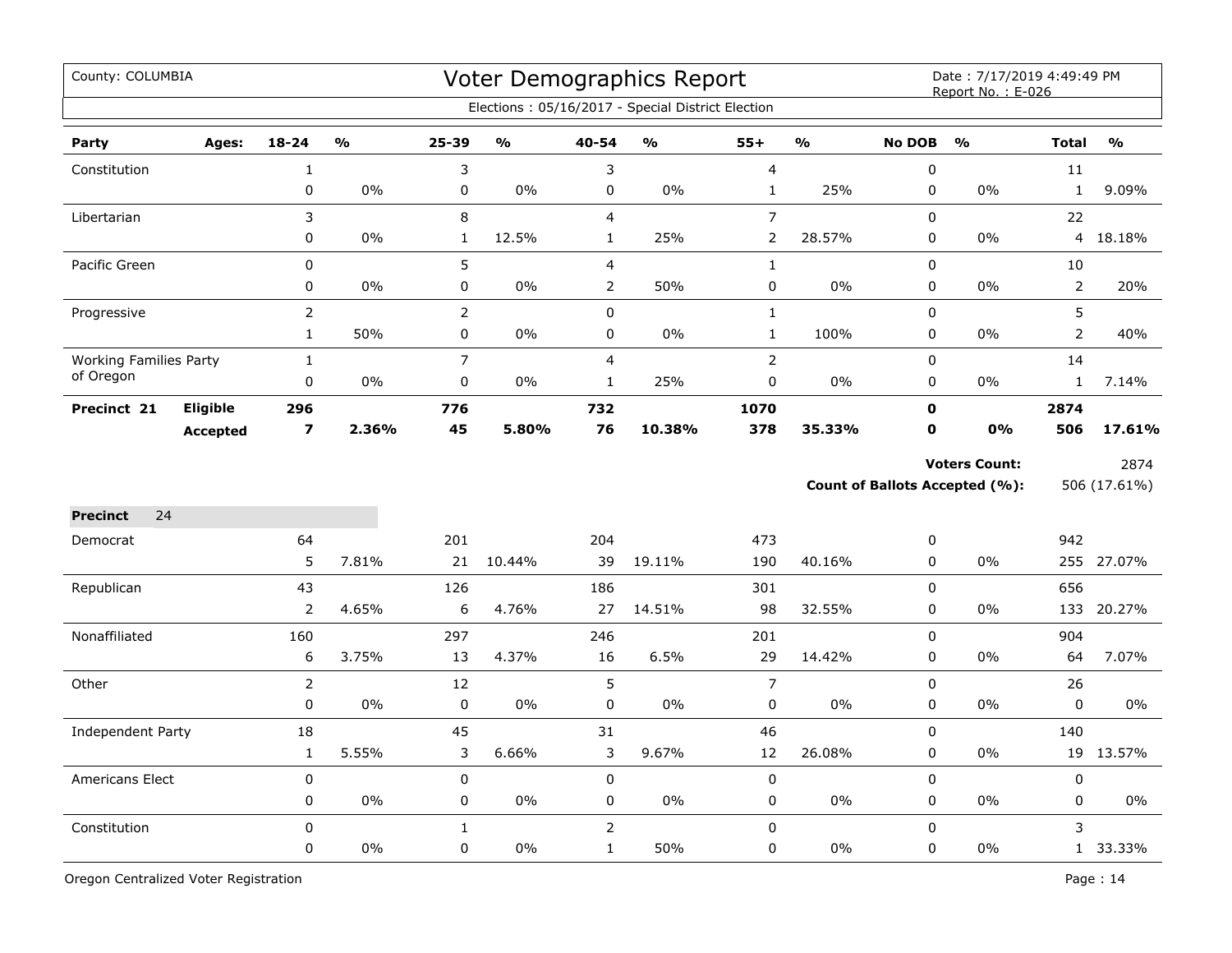| County: COLUMBIA              |                 |                         |               |                |        |                | <b>Voter Demographics Report</b><br>Elections: 05/16/2017 - Special District Election |                |               |               | Date: 7/17/2019 4:49:49 PM<br>Report No.: E-026               |                |                      |
|-------------------------------|-----------------|-------------------------|---------------|----------------|--------|----------------|---------------------------------------------------------------------------------------|----------------|---------------|---------------|---------------------------------------------------------------|----------------|----------------------|
| Party                         | Ages:           | $18 - 24$               | $\frac{0}{0}$ | 25-39          | %      | 40-54          | $\frac{0}{0}$                                                                         | $55+$          | $\frac{0}{0}$ | <b>No DOB</b> | $\frac{0}{0}$                                                 | <b>Total</b>   | $\frac{9}{0}$        |
| Constitution                  |                 | 1                       |               | 3              |        | 3              |                                                                                       | $\overline{4}$ |               | $\pmb{0}$     |                                                               | 11             |                      |
|                               |                 | 0                       | 0%            | $\mathsf 0$    | 0%     | 0              | 0%                                                                                    | $\mathbf{1}$   | 25%           | $\pmb{0}$     | $0\%$                                                         | $\mathbf{1}$   | 9.09%                |
| Libertarian                   |                 | 3                       |               | 8              |        | $\overline{4}$ |                                                                                       | $\overline{7}$ |               | $\mathbf 0$   |                                                               | 22             |                      |
|                               |                 | 0                       | 0%            | $\mathbf 1$    | 12.5%  | $\mathbf{1}$   | 25%                                                                                   | $\overline{2}$ | 28.57%        | $\pmb{0}$     | 0%                                                            | 4              | 18.18%               |
| Pacific Green                 |                 | 0                       |               | 5              |        | 4              |                                                                                       | $\mathbf 1$    |               | $\mathsf 0$   |                                                               | 10             |                      |
|                               |                 | 0                       | 0%            | $\pmb{0}$      | 0%     | 2              | 50%                                                                                   | 0              | 0%            | $\pmb{0}$     | 0%                                                            | $\overline{2}$ | 20%                  |
| Progressive                   |                 | $\overline{2}$          |               | $\overline{2}$ |        | 0              |                                                                                       | $\mathbf{1}$   |               | $\mathsf 0$   |                                                               | 5              |                      |
|                               |                 | $\mathbf{1}$            | 50%           | $\mathsf 0$    | $0\%$  | 0              | 0%                                                                                    | $\mathbf{1}$   | 100%          | $\pmb{0}$     | 0%                                                            | $\overline{2}$ | 40%                  |
| <b>Working Families Party</b> |                 | $\mathbf{1}$            |               | $\overline{7}$ |        | 4              |                                                                                       | $\overline{2}$ |               | $\pmb{0}$     |                                                               | 14             |                      |
| of Oregon                     |                 | 0                       | 0%            | $\pmb{0}$      | $0\%$  | $\mathbf{1}$   | 25%                                                                                   | 0              | $0\%$         | $\pmb{0}$     | $0\%$                                                         | $\mathbf{1}$   | 7.14%                |
| Precinct 21                   | <b>Eligible</b> | 296                     |               | 776            |        | 732            |                                                                                       | 1070           |               | $\mathbf 0$   |                                                               | 2874           |                      |
|                               | <b>Accepted</b> | $\overline{\mathbf{z}}$ | 2.36%         | 45             | 5.80%  | 76             | 10.38%                                                                                | 378            | 35.33%        | $\mathbf 0$   | 0%                                                            | 506            | 17.61%               |
|                               |                 |                         |               |                |        |                |                                                                                       |                |               |               | <b>Voters Count:</b><br><b>Count of Ballots Accepted (%):</b> |                | 2874<br>506 (17.61%) |
| 24<br><b>Precinct</b>         |                 |                         |               |                |        |                |                                                                                       |                |               |               |                                                               |                |                      |
| Democrat                      |                 | 64                      |               | 201            |        | 204            |                                                                                       | 473            |               | 0             |                                                               | 942            |                      |
|                               |                 | 5                       | 7.81%         | 21             | 10.44% | 39             | 19.11%                                                                                | 190            | 40.16%        | $\pmb{0}$     | 0%                                                            |                | 255 27.07%           |
| Republican                    |                 | 43                      |               | 126            |        | 186            |                                                                                       | 301            |               | $\pmb{0}$     |                                                               | 656            |                      |
|                               |                 | $\overline{2}$          | 4.65%         | 6              | 4.76%  | 27             | 14.51%                                                                                | 98             | 32.55%        | 0             | 0%                                                            | 133            | 20.27%               |
| Nonaffiliated                 |                 | 160                     |               | 297            |        | 246            |                                                                                       | 201            |               | $\Omega$      |                                                               | 904            |                      |
|                               |                 | 6                       | 3.75%         | 13             | 4.37%  | 16             | 6.5%                                                                                  | 29             | 14.42%        | $\mathbf 0$   | $0\%$                                                         | 64             | 7.07%                |
| Other                         |                 | $\overline{2}$          |               | 12             |        | 5              |                                                                                       | $\overline{7}$ |               | $\mathbf 0$   |                                                               | 26             |                      |
|                               |                 | 0                       | 0%            | $\pmb{0}$      | $0\%$  | 0              | $0\%$                                                                                 | 0              | $0\%$         | 0             | $0\%$                                                         | $\mathbf 0$    | 0%                   |
| Independent Party             |                 | 18                      |               | 45             |        | 31             |                                                                                       | 46             |               | $\mathbf 0$   |                                                               | 140            |                      |
|                               |                 | $\mathbf{1}$            | 5.55%         | 3              | 6.66%  | 3              | 9.67%                                                                                 | 12             | 26.08%        | $\pmb{0}$     | 0%                                                            | 19             | 13.57%               |
| <b>Americans Elect</b>        |                 | 0                       |               | $\pmb{0}$      |        | $\pmb{0}$      |                                                                                       | $\pmb{0}$      |               | $\pmb{0}$     |                                                               | $\mathbf 0$    |                      |
|                               |                 | 0                       | 0%            | 0              | 0%     | 0              | 0%                                                                                    | 0              | 0%            | $\pmb{0}$     | 0%                                                            | 0              | 0%                   |
| Constitution                  |                 | $\mathbf 0$             |               | $\mathbf{1}$   |        | $\overline{2}$ |                                                                                       | 0              |               | $\mathbf 0$   |                                                               | 3              |                      |
|                               |                 | 0                       | 0%            | 0              | 0%     | $\mathbf{1}$   | 50%                                                                                   | 0              | 0%            | $\pmb{0}$     | 0%                                                            |                | 1 33.33%             |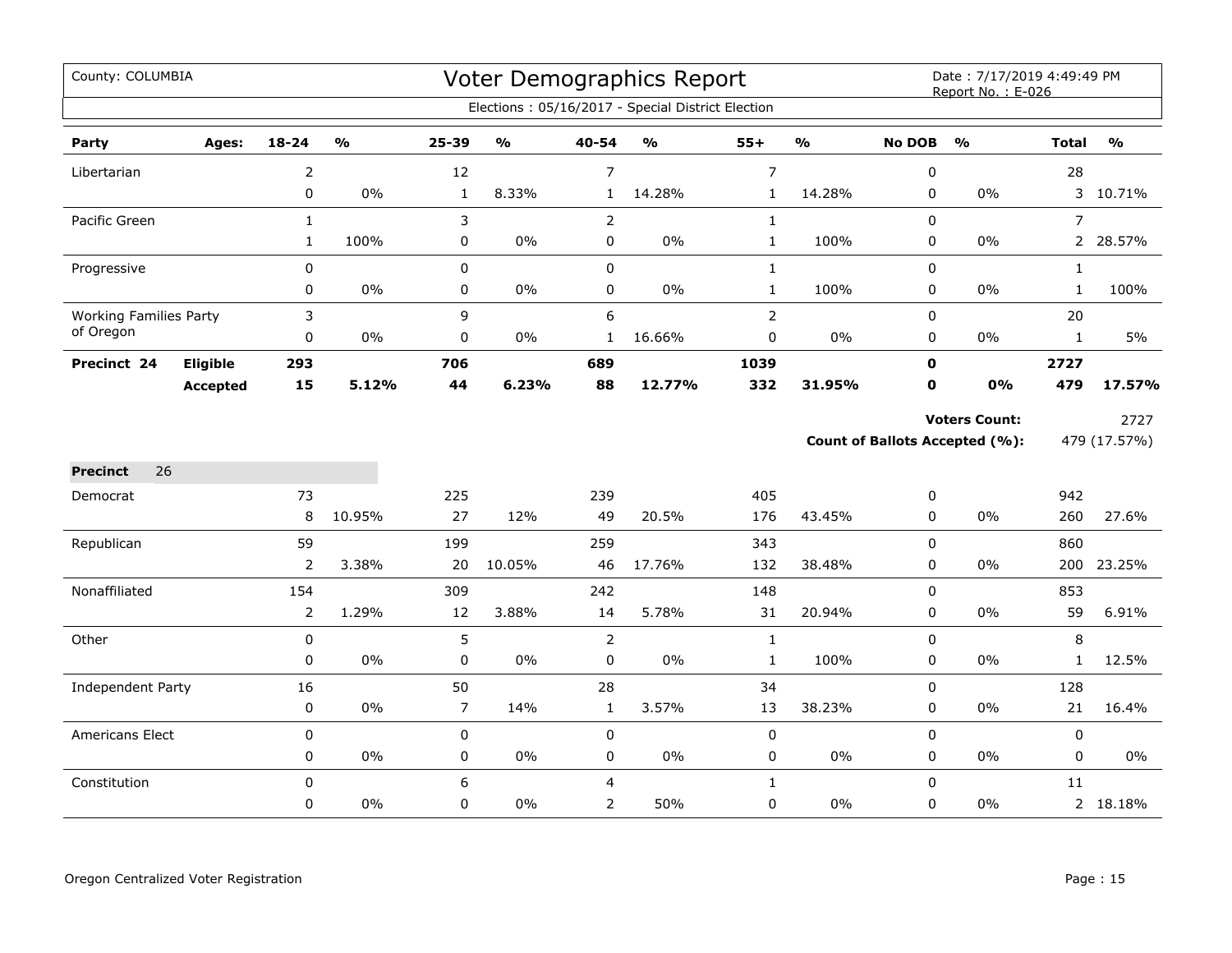| County: COLUMBIA              |                 |                |                         |                |                                   |                | Voter Demographics Report<br>Elections: 05/16/2017 - Special District Election |                |               |               | Date: 7/17/2019 4:49:49 PM<br>Report No.: E-026 |                |               |
|-------------------------------|-----------------|----------------|-------------------------|----------------|-----------------------------------|----------------|--------------------------------------------------------------------------------|----------------|---------------|---------------|-------------------------------------------------|----------------|---------------|
|                               |                 |                |                         |                |                                   |                |                                                                                |                |               |               |                                                 |                |               |
| Party                         | Ages:           | 18-24          | $\mathbf{O}/\mathbf{o}$ | 25-39          | $\mathsf{o}\mathsf{v}_\mathsf{o}$ | 40-54          | $\mathsf{o}\mathsf{v}_\mathsf{o}$                                              | $55+$          | $\frac{1}{2}$ | <b>No DOB</b> | $\frac{0}{0}$                                   | <b>Total</b>   | $\frac{0}{0}$ |
| Libertarian                   |                 | $\overline{2}$ |                         | 12             |                                   | $\overline{7}$ |                                                                                | $\overline{7}$ |               | $\pmb{0}$     |                                                 | 28             |               |
|                               |                 | $\mathbf 0$    | 0%                      | $\mathbf{1}$   | 8.33%                             | $\mathbf{1}$   | 14.28%                                                                         | $\mathbf 1$    | 14.28%        | 0             | 0%                                              |                | 3 10.71%      |
| Pacific Green                 |                 | $\mathbf 1$    |                         | 3              |                                   | $\mathsf{2}\,$ |                                                                                | $\mathbf{1}$   |               | $\pmb{0}$     |                                                 | $\overline{7}$ |               |
|                               |                 | $\mathbf{1}$   | 100%                    | 0              | $0\%$                             | $\mathsf 0$    | $0\%$                                                                          | $\mathbf{1}$   | 100%          | 0             | 0%                                              | $2^{\circ}$    | 28.57%        |
| Progressive                   |                 | 0              |                         | $\pmb{0}$      |                                   | $\mathbf 0$    |                                                                                | $\mathbf{1}$   |               | 0             |                                                 | $\mathbf{1}$   |               |
|                               |                 | 0              | 0%                      | $\pmb{0}$      | $0\%$                             | $\mathbf 0$    | $0\%$                                                                          | $\mathbf{1}$   | 100%          | $\mathbf 0$   | 0%                                              | $\mathbf{1}$   | 100%          |
| <b>Working Families Party</b> |                 | 3              |                         | 9              |                                   | 6              |                                                                                | $\mathsf{2}$   |               | 0             |                                                 | 20             |               |
| of Oregon                     |                 | 0              | 0%                      | $\pmb{0}$      | $0\%$                             | $\mathbf{1}$   | 16.66%                                                                         | 0              | 0%            | 0             | $0\%$                                           | $\mathbf{1}$   | 5%            |
| Precinct 24                   | Eligible        | 293            |                         | 706            |                                   | 689            |                                                                                | 1039           |               | $\mathbf 0$   |                                                 | 2727           |               |
|                               | <b>Accepted</b> | 15             | 5.12%                   | 44             | 6.23%                             | 88             | 12.77%                                                                         | 332            | 31.95%        | $\mathbf o$   | 0%                                              | 479            | 17.57%        |
|                               |                 |                |                         |                |                                   |                |                                                                                |                |               |               | <b>Voters Count:</b>                            |                | 2727          |
|                               |                 |                |                         |                |                                   |                |                                                                                |                |               |               | Count of Ballots Accepted (%):                  |                | 479 (17.57%)  |
| 26<br><b>Precinct</b>         |                 |                |                         |                |                                   |                |                                                                                |                |               |               |                                                 |                |               |
| Democrat                      |                 | 73             |                         | 225            |                                   | 239            |                                                                                | 405            |               | 0             |                                                 | 942            |               |
|                               |                 | 8              | 10.95%                  | 27             | 12%                               | 49             | 20.5%                                                                          | 176            | 43.45%        | 0             | 0%                                              | 260            | 27.6%         |
| Republican                    |                 | 59             |                         | 199            |                                   | 259            |                                                                                | 343            |               | $\mathbf 0$   |                                                 | 860            |               |
|                               |                 | $\overline{2}$ | 3.38%                   | 20             | 10.05%                            | 46             | 17.76%                                                                         | 132            | 38.48%        | $\pmb{0}$     | 0%                                              | 200            | 23.25%        |
| Nonaffiliated                 |                 | 154            |                         | 309            |                                   | 242            |                                                                                | 148            |               | 0             |                                                 | 853            |               |
|                               |                 | 2              | 1.29%                   | 12             | 3.88%                             | 14             | 5.78%                                                                          | 31             | 20.94%        | 0             | 0%                                              | 59             | 6.91%         |
| Other                         |                 | $\mathbf 0$    |                         | 5              |                                   | $\overline{2}$ |                                                                                | $\mathbf{1}$   |               | $\mathbf 0$   |                                                 | 8              |               |
|                               |                 | $\mathbf 0$    | 0%                      | $\pmb{0}$      | $0\%$                             | $\pmb{0}$      | $0\%$                                                                          | $\mathbf{1}$   | 100%          | 0             | 0%                                              | $\mathbf{1}$   | 12.5%         |
| <b>Independent Party</b>      |                 | 16             |                         | 50             |                                   | 28             |                                                                                | 34             |               | $\mathbf 0$   |                                                 | 128            |               |
|                               |                 | 0              | $0\%$                   | $\overline{7}$ | 14%                               | $\mathbf{1}$   | 3.57%                                                                          | 13             | 38.23%        | 0             | 0%                                              | 21             | 16.4%         |
| Americans Elect               |                 | 0              |                         | $\pmb{0}$      |                                   | $\pmb{0}$      |                                                                                | $\pmb{0}$      |               | $\mathbf 0$   |                                                 | 0              |               |
|                               |                 | 0              | 0%                      | $\pmb{0}$      | $0\%$                             | $\pmb{0}$      | $0\%$                                                                          | $\mathsf 0$    | 0%            | $\pmb{0}$     | 0%                                              | 0              | $0\%$         |
| Constitution                  |                 | $\mathbf 0$    |                         | 6              |                                   | $\overline{4}$ |                                                                                | $\mathbf{1}$   |               | $\mathbf 0$   |                                                 | 11             |               |
|                               |                 | 0              | $0\%$                   | $\mathbf 0$    | $0\%$                             | $\overline{2}$ | 50%                                                                            | 0              | 0%            | $\mathbf 0$   | $0\%$                                           |                | 2 18.18%      |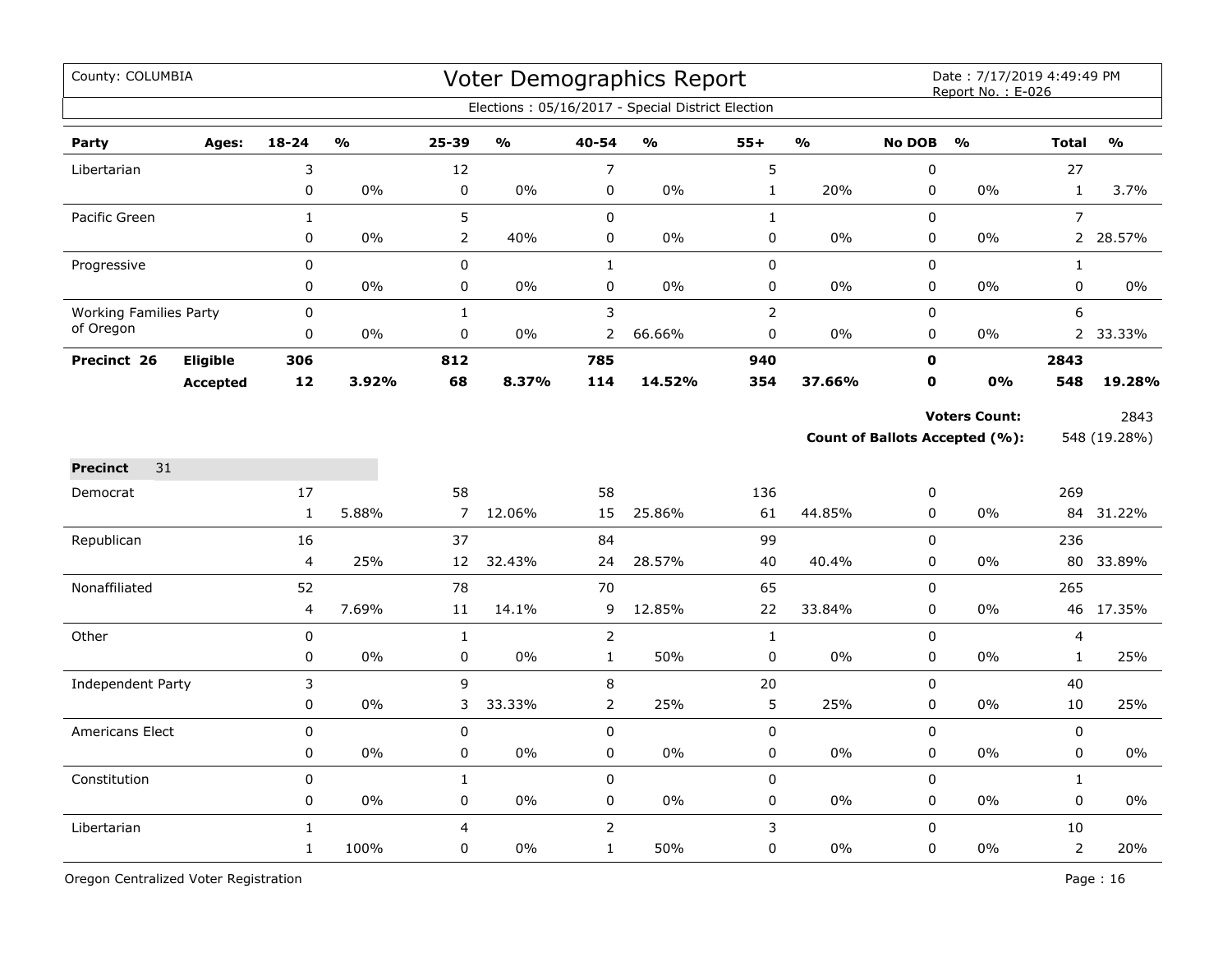| County: COLUMBIA              |                 |                      |                         |                      |                         |                | Voter Demographics Report<br>Elections: 05/16/2017 - Special District Election |                |               |                            | Date: 7/17/2019 4:49:49 PM<br>Report No.: E-026               |                |                      |
|-------------------------------|-----------------|----------------------|-------------------------|----------------------|-------------------------|----------------|--------------------------------------------------------------------------------|----------------|---------------|----------------------------|---------------------------------------------------------------|----------------|----------------------|
| Party                         | Ages:           | $18 - 24$            | $\mathbf{O}/\mathbf{O}$ | 25-39                | $\mathbf{O}/\mathbf{o}$ | 40-54          | $\mathsf{o}\mathsf{v}_\mathsf{o}$                                              | $55+$          | $\frac{1}{2}$ | <b>No DOB</b>              | $\frac{1}{2}$                                                 | <b>Total</b>   | $\frac{0}{0}$        |
| Libertarian                   |                 | 3                    |                         | 12                   |                         | $\overline{7}$ |                                                                                | 5              |               | $\mathbf 0$                |                                                               | 27             |                      |
|                               |                 | 0                    | 0%                      | $\pmb{0}$            | 0%                      | $\pmb{0}$      | 0%                                                                             | $\mathbf{1}$   | 20%           | $\pmb{0}$                  | 0%                                                            | $\mathbf{1}$   | 3.7%                 |
| Pacific Green                 |                 | $\mathbf{1}$         |                         | 5                    |                         | $\pmb{0}$      |                                                                                | $\mathbf{1}$   |               | $\mathbf 0$                |                                                               | $\overline{7}$ |                      |
|                               |                 | 0                    | 0%                      | $\overline{2}$       | 40%                     | $\pmb{0}$      | 0%                                                                             | 0              | 0%            | $\pmb{0}$                  | 0%                                                            | $\overline{2}$ | 28.57%               |
| Progressive                   |                 | 0                    |                         | 0                    |                         | $\mathbf{1}$   |                                                                                | $\pmb{0}$      |               | $\mathbf 0$                |                                                               | $\mathbf{1}$   |                      |
|                               |                 | 0                    | $0\%$                   | 0                    | 0%                      | $\mathbf 0$    | $0\%$                                                                          | 0              | 0%            | $\mathbf 0$                | 0%                                                            | 0              | $0\%$                |
| <b>Working Families Party</b> |                 | $\Omega$             |                         | $\mathbf{1}$         |                         | 3              |                                                                                | $\overline{2}$ |               | $\Omega$                   |                                                               | 6              |                      |
| of Oregon                     |                 | 0                    | 0%                      | $\mathbf 0$          | $0\%$                   | 2              | 66.66%                                                                         | 0              | $0\%$         | 0                          | 0%                                                            | $\overline{2}$ | 33.33%               |
| Precinct 26                   | Eligible        | 306                  |                         | 812                  |                         | 785            |                                                                                | 940            |               | $\mathbf o$                |                                                               | 2843           |                      |
|                               | <b>Accepted</b> | 12                   | 3.92%                   | 68                   | 8.37%                   | 114            | 14.52%                                                                         | 354            | 37.66%        | $\mathbf 0$                | 0%                                                            | 548            | 19.28%               |
|                               |                 |                      |                         |                      |                         |                |                                                                                |                |               |                            | <b>Voters Count:</b><br><b>Count of Ballots Accepted (%):</b> |                | 2843<br>548 (19.28%) |
| 31<br><b>Precinct</b>         |                 |                      |                         |                      |                         |                |                                                                                |                |               |                            |                                                               |                |                      |
| Democrat                      |                 | 17<br>$\mathbf{1}$   | 5.88%                   | 58<br>$\overline{7}$ | 12.06%                  | 58<br>15       | 25.86%                                                                         | 136<br>61      | 44.85%        | 0<br>0                     | $0\%$                                                         | 269            | 84 31.22%            |
|                               |                 |                      |                         |                      |                         |                |                                                                                |                |               |                            |                                                               |                |                      |
| Republican                    |                 | 16<br>$\overline{4}$ | 25%                     | 37<br>12             | 32.43%                  | 84<br>24       | 28.57%                                                                         | 99<br>40       | 40.4%         | $\mathbf 0$<br>$\mathbf 0$ | 0%                                                            | 236            | 80 33.89%            |
| Nonaffiliated                 |                 | 52                   |                         | 78                   |                         | 70             |                                                                                | 65             |               | $\mathbf 0$                |                                                               | 265            |                      |
|                               |                 | $\overline{4}$       | 7.69%                   | 11                   | 14.1%                   | 9              | 12.85%                                                                         | 22             | 33.84%        | 0                          | 0%                                                            |                | 46 17.35%            |
| Other                         |                 | $\mathsf 0$          |                         | $\mathbf{1}$         |                         | $\overline{2}$ |                                                                                | $\mathbf{1}$   |               | $\mathbf 0$                |                                                               | 4              |                      |
|                               |                 | 0                    | 0%                      | $\pmb{0}$            | 0%                      | $\mathbf{1}$   | 50%                                                                            | $\pmb{0}$      | 0%            | $\pmb{0}$                  | 0%                                                            | $\mathbf{1}$   | 25%                  |
| <b>Independent Party</b>      |                 | 3                    |                         | 9                    |                         | 8              |                                                                                | 20             |               | $\pmb{0}$                  |                                                               | 40             |                      |
|                               |                 | 0                    | 0%                      | 3                    | 33.33%                  | 2              | 25%                                                                            | 5              | 25%           | 0                          | 0%                                                            | 10             | 25%                  |
| Americans Elect               |                 | 0                    |                         | 0                    |                         | $\mathbf 0$    |                                                                                | $\mathsf 0$    |               | $\mathbf 0$                |                                                               | 0              |                      |
|                               |                 | 0                    | 0%                      | 0                    | $0\%$                   | 0              | 0%                                                                             | 0              | $0\%$         | $\mathbf 0$                | 0%                                                            | 0              | $0\%$                |
| Constitution                  |                 | $\mathbf 0$          |                         | $\mathbf{1}$         |                         | $\mathbf 0$    |                                                                                | $\pmb{0}$      |               | $\mathbf 0$                |                                                               | $\mathbf{1}$   |                      |
|                               |                 | 0                    | 0%                      | $\pmb{0}$            | 0%                      | 0              | 0%                                                                             | $\mathsf 0$    | $0\%$         | 0                          | 0%                                                            | 0              | 0%                   |
| Libertarian                   |                 | $\mathbf{1}$         |                         | $\overline{4}$       |                         | $\overline{2}$ |                                                                                | 3              |               | $\mathbf 0$                |                                                               | 10             |                      |
|                               |                 | $\mathbf{1}$         | 100%                    | 0                    | 0%                      | $\mathbf{1}$   | 50%                                                                            | 0              | 0%            | $\pmb{0}$                  | 0%                                                            | $\overline{2}$ | 20%                  |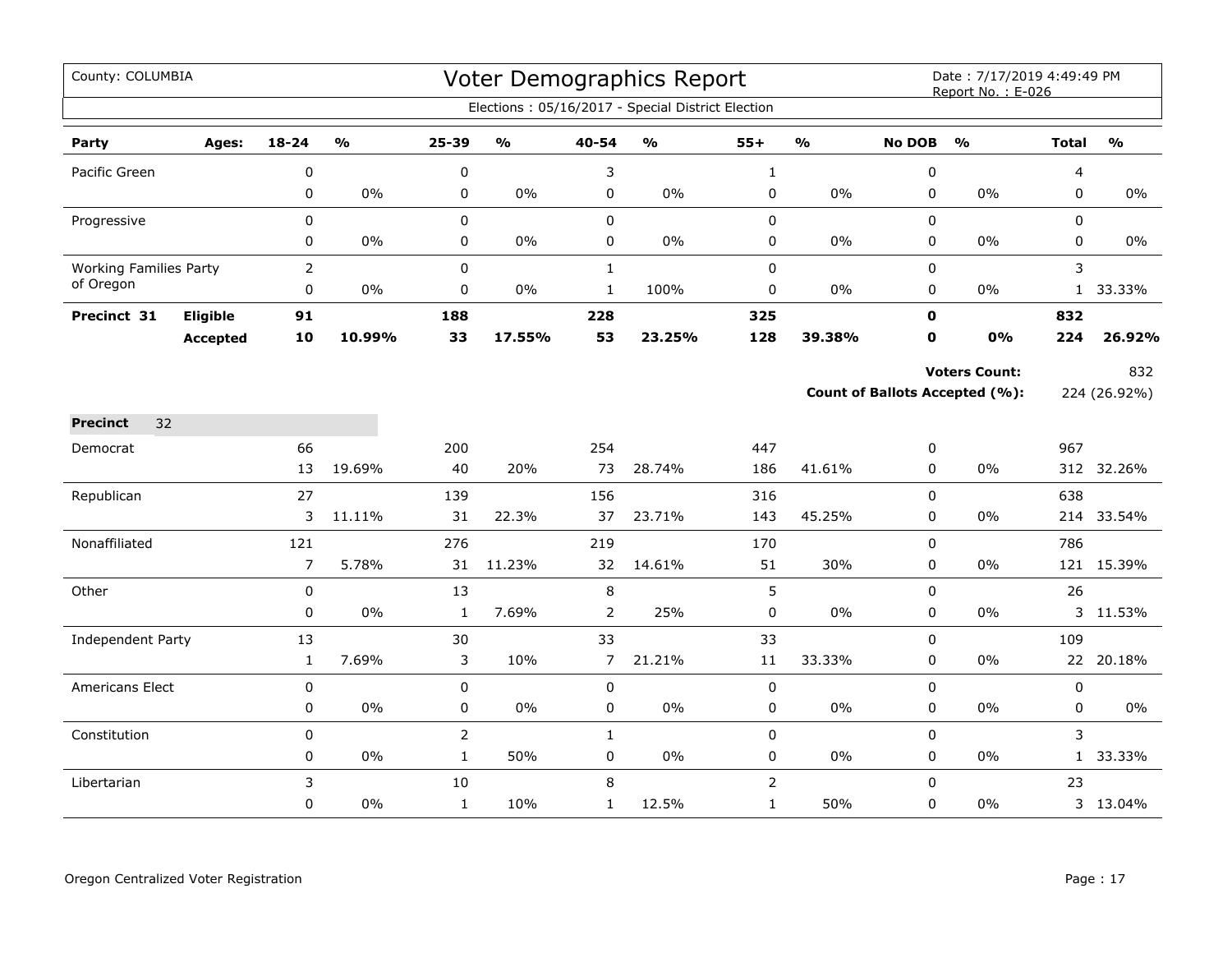| County: COLUMBIA              |                 |              |               |                |               |                | <b>Voter Demographics Report</b>                  |                |               |               | Date: 7/17/2019 4:49:49 PM<br>Report No.: E-026 |              |               |
|-------------------------------|-----------------|--------------|---------------|----------------|---------------|----------------|---------------------------------------------------|----------------|---------------|---------------|-------------------------------------------------|--------------|---------------|
|                               |                 |              |               |                |               |                | Elections: 05/16/2017 - Special District Election |                |               |               |                                                 |              |               |
| Party                         | Ages:           | 18-24        | $\frac{0}{0}$ | 25-39          | $\frac{1}{2}$ | 40-54          | $\frac{1}{2}$                                     | $55+$          | $\frac{0}{0}$ | <b>No DOB</b> | $\frac{0}{0}$                                   | <b>Total</b> | $\frac{1}{2}$ |
| Pacific Green                 |                 | 0            |               | 0              |               | 3              |                                                   | $\mathbf{1}$   |               | 0             |                                                 | 4            |               |
|                               |                 | $\mathbf 0$  | $0\%$         | 0              | $0\%$         | 0              | 0%                                                | 0              | $0\%$         | 0             | 0%                                              | 0            | $0\%$         |
| Progressive                   |                 | 0            |               | $\mathsf 0$    |               | 0              |                                                   | 0              |               | 0             |                                                 | 0            |               |
|                               |                 | 0            | $0\%$         | $\pmb{0}$      | $0\%$         | 0              | $0\%$                                             | 0              | $0\%$         | 0             | $0\%$                                           | 0            | 0%            |
| <b>Working Families Party</b> |                 | $\mathsf{2}$ |               | $\mathbf 0$    |               | $\mathbf{1}$   |                                                   | 0              |               | 0             |                                                 | 3            |               |
| of Oregon                     |                 | $\pmb{0}$    | $0\%$         | 0              | 0%            | $\mathbf 1$    | 100%                                              | $\pmb{0}$      | 0%            | 0             | $0\%$                                           |              | 1 33.33%      |
| Precinct 31                   | Eligible        | 91           |               | 188            |               | 228            |                                                   | 325            |               | $\mathbf{0}$  |                                                 | 832          |               |
|                               | <b>Accepted</b> | 10           | 10.99%        | 33             | 17.55%        | 53             | 23.25%                                            | 128            | 39.38%        | $\mathbf 0$   | 0%                                              | 224          | 26.92%        |
|                               |                 |              |               |                |               |                |                                                   |                |               |               | <b>Voters Count:</b>                            |              | 832           |
|                               |                 |              |               |                |               |                |                                                   |                |               |               | <b>Count of Ballots Accepted (%):</b>           |              | 224 (26.92%)  |
| <b>Precinct</b><br>32         |                 |              |               |                |               |                |                                                   |                |               |               |                                                 |              |               |
| Democrat                      |                 | 66           |               | 200            |               | 254            |                                                   | 447            |               | 0             |                                                 | 967          |               |
|                               |                 | 13           | 19.69%        | 40             | 20%           | 73             | 28.74%                                            | 186            | 41.61%        | 0             | 0%                                              |              | 312 32.26%    |
| Republican                    |                 | 27           |               | 139            |               | 156            |                                                   | 316            |               | 0             |                                                 | 638          |               |
|                               |                 | 3            | 11.11%        | 31             | 22.3%         | 37             | 23.71%                                            | 143            | 45.25%        | 0             | $0\%$                                           |              | 214 33.54%    |
| Nonaffiliated                 |                 | 121          |               | 276            |               | 219            |                                                   | 170            |               | 0             |                                                 | 786          |               |
|                               |                 | 7            | 5.78%         | 31             | 11.23%        | 32             | 14.61%                                            | 51             | 30%           | 0             | 0%                                              |              | 121 15.39%    |
| Other                         |                 | $\mathsf 0$  |               | 13             |               | $\, 8$         |                                                   | 5              |               | $\mathbf 0$   |                                                 | 26           |               |
|                               |                 | 0            | $0\%$         | $\mathbf{1}$   | 7.69%         | $\overline{2}$ | 25%                                               | $\pmb{0}$      | $0\%$         | 0             | $0\%$                                           |              | 3 11.53%      |
| Independent Party             |                 | 13           |               | 30             |               | 33             |                                                   | 33             |               | 0             |                                                 | 109          |               |
|                               |                 | $\mathbf{1}$ | 7.69%         | 3              | 10%           | $\overline{7}$ | 21.21%                                            | 11             | 33.33%        | 0             | 0%                                              |              | 22 20.18%     |
| <b>Americans Elect</b>        |                 | 0            |               | 0              |               | 0              |                                                   | 0              |               | 0             |                                                 | 0            |               |
|                               |                 | 0            | $0\%$         | 0              | 0%            | 0              | 0%                                                | 0              | 0%            | $\mathbf 0$   | 0%                                              | 0            | $0\%$         |
| Constitution                  |                 | $\pmb{0}$    |               | $\overline{2}$ |               | $\mathbf{1}$   |                                                   | 0              |               | $\mathbf 0$   |                                                 | 3            |               |
|                               |                 | 0            | $0\%$         | $\mathbf{1}$   | 50%           | 0              | $0\%$                                             | 0              | 0%            | 0             | $0\%$                                           |              | 1 33.33%      |
| Libertarian                   |                 | 3            |               | 10             |               | 8              |                                                   | $\overline{2}$ |               | $\Omega$      |                                                 | 23           |               |
|                               |                 | 0            | 0%            | $\mathbf{1}$   | 10%           | $\mathbf{1}$   | 12.5%                                             | $\mathbf{1}$   | 50%           | 0             | 0%                                              |              | 3 13.04%      |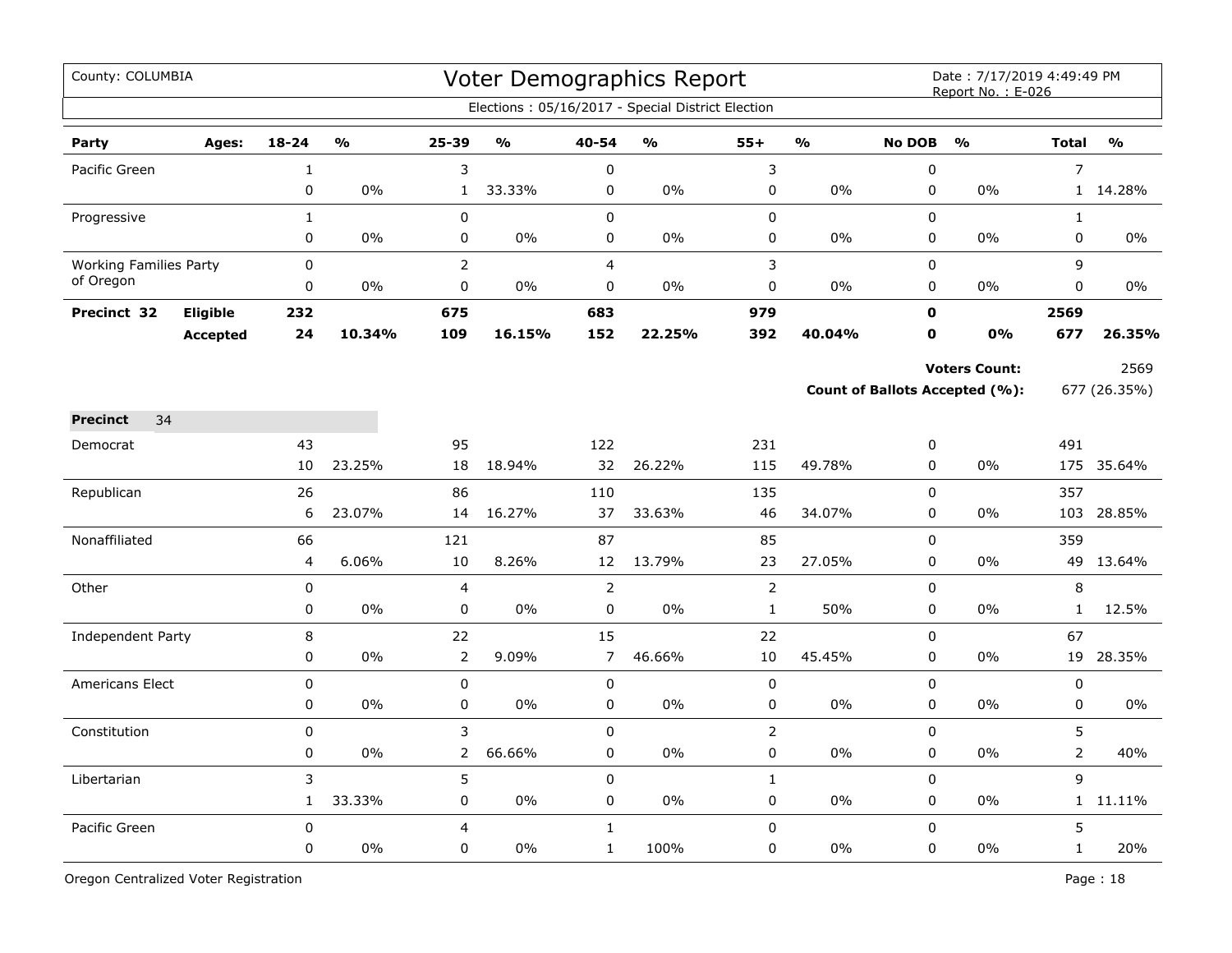| County: COLUMBIA              |                 |              |               |                |               |                | Voter Demographics Report                         |                |                |                | Date: 7/17/2019 4:49:49 PM<br>Report No.: E-026 |                |               |
|-------------------------------|-----------------|--------------|---------------|----------------|---------------|----------------|---------------------------------------------------|----------------|----------------|----------------|-------------------------------------------------|----------------|---------------|
|                               |                 |              |               |                |               |                | Elections: 05/16/2017 - Special District Election |                |                |                |                                                 |                |               |
| Party                         | Ages:           | $18 - 24$    | $\frac{1}{2}$ | 25-39          | $\frac{1}{2}$ | 40-54          | $\frac{1}{2}$                                     | $55+$          | $\mathbf{v}_0$ | <b>No DOB</b>  | $\frac{1}{2}$                                   | <b>Total</b>   | $\frac{1}{2}$ |
| Pacific Green                 |                 | $\mathbf{1}$ |               | 3              |               | $\pmb{0}$      |                                                   | 3              |                | $\mathbf 0$    |                                                 | $\overline{7}$ |               |
|                               |                 | 0            | 0%            | $\mathbf{1}$   | 33.33%        | 0              | 0%                                                | $\mathsf 0$    | 0%             | $\pmb{0}$      | 0%                                              | 1              | 14.28%        |
| Progressive                   |                 | $\mathbf 1$  |               | $\pmb{0}$      |               | $\pmb{0}$      |                                                   | $\pmb{0}$      |                | $\mathbf 0$    |                                                 | $\mathbf{1}$   |               |
|                               |                 | 0            | 0%            | 0              | 0%            | $\mathbf 0$    | 0%                                                | $\pmb{0}$      | 0%             | $\mathbf 0$    | 0%                                              | 0              | $0\%$         |
| <b>Working Families Party</b> |                 | 0            |               | $\overline{2}$ |               | $\overline{4}$ |                                                   | 3              |                | 0              |                                                 | 9              |               |
| of Oregon                     |                 | 0            | $0\%$         | 0              | 0%            | $\mathbf 0$    | $0\%$                                             | 0              | 0%             | 0              | 0%                                              | 0              | $0\%$         |
| Precinct 32                   | <b>Eligible</b> | 232          |               | 675            |               | 683            |                                                   | 979            |                | $\mathbf 0$    |                                                 | 2569           |               |
|                               | <b>Accepted</b> | 24           | 10.34%        | 109            | 16.15%        | 152            | 22.25%                                            | 392            | 40.04%         | $\mathbf 0$    | <b>0%</b>                                       | 677            | 26.35%        |
|                               |                 |              |               |                |               |                |                                                   |                |                |                | <b>Voters Count:</b>                            |                | 2569          |
|                               |                 |              |               |                |               |                |                                                   |                |                |                | Count of Ballots Accepted (%):                  |                | 677 (26.35%)  |
| 34<br><b>Precinct</b>         |                 |              |               |                |               |                |                                                   |                |                |                |                                                 |                |               |
| Democrat                      |                 | 43           |               | 95             |               | 122            |                                                   | 231            |                | 0              |                                                 | 491            |               |
|                               |                 | 10           | 23.25%        | 18             | 18.94%        | 32             | 26.22%                                            | 115            | 49.78%         | 0              | 0%                                              |                | 175 35.64%    |
| Republican                    |                 | 26           |               | 86             |               | 110            |                                                   | 135            |                | 0              |                                                 | 357            |               |
|                               |                 | 6            | 23.07%        | 14             | 16.27%        | 37             | 33.63%                                            | 46             | 34.07%         | $\pmb{0}$      | 0%                                              | 103            | 28.85%        |
| Nonaffiliated                 |                 | 66           |               | 121            |               | 87             |                                                   | 85             |                | $\mathbf 0$    |                                                 | 359            |               |
|                               |                 | 4            | 6.06%         | 10             | 8.26%         | 12             | 13.79%                                            | 23             | 27.05%         | $\mathbf 0$    | 0%                                              |                | 49 13.64%     |
| Other                         |                 | $\mathbf 0$  |               | 4              |               | $\overline{2}$ |                                                   | $\mathsf{2}$   |                | $\mathbf 0$    |                                                 | 8              |               |
|                               |                 | 0            | 0%            | 0              | 0%            | $\pmb{0}$      | 0%                                                | $\mathbf{1}$   | 50%            | 0              | 0%                                              | $\mathbf{1}$   | 12.5%         |
| Independent Party             |                 | 8            |               | 22             |               | 15             |                                                   | 22             |                | $\Omega$       |                                                 | 67             |               |
|                               |                 | 0            | 0%            | $\overline{2}$ | 9.09%         | $\overline{7}$ | 46.66%                                            | 10             | 45.45%         | $\mathbf 0$    | 0%                                              | 19             | 28.35%        |
| Americans Elect               |                 | $\mathsf 0$  |               | $\pmb{0}$      |               | $\pmb{0}$      |                                                   | $\mathsf 0$    |                | $\mathbf 0$    |                                                 | 0              |               |
|                               |                 | 0            | 0%            | 0              | 0%            | 0              | 0%                                                | $\pmb{0}$      | 0%             | $\pmb{0}$      | 0%                                              | 0              | 0%            |
| Constitution                  |                 | 0            |               | 3              |               | $\Omega$       |                                                   | $\overline{2}$ |                | $\overline{0}$ |                                                 | 5              |               |
|                               |                 | 0            | $0\%$         | $\overline{2}$ | 66.66%        | $\mathbf 0$    | 0%                                                | 0              | 0%             | $\mathbf 0$    | 0%                                              | $\overline{2}$ | 40%           |
| Libertarian                   |                 | 3            |               | 5              |               | $\mathbf 0$    |                                                   | $\mathbf{1}$   |                | $\mathbf 0$    |                                                 | 9              |               |
|                               |                 | $\mathbf{1}$ | 33.33%        | 0              | $0\%$         | 0              | 0%                                                | 0              | $0\%$          | 0              | $0\%$                                           |                | 1 11.11%      |
| Pacific Green                 |                 | $\mathsf 0$  |               | 4              |               | $\mathbf{1}$   |                                                   | 0              |                | $\mathbf 0$    |                                                 | 5              |               |
|                               |                 | 0            | 0%            | 0              | 0%            | $\mathbf{1}$   | 100%                                              | 0              | 0%             | $\mathbf 0$    | 0%                                              | $\mathbf{1}$   | 20%           |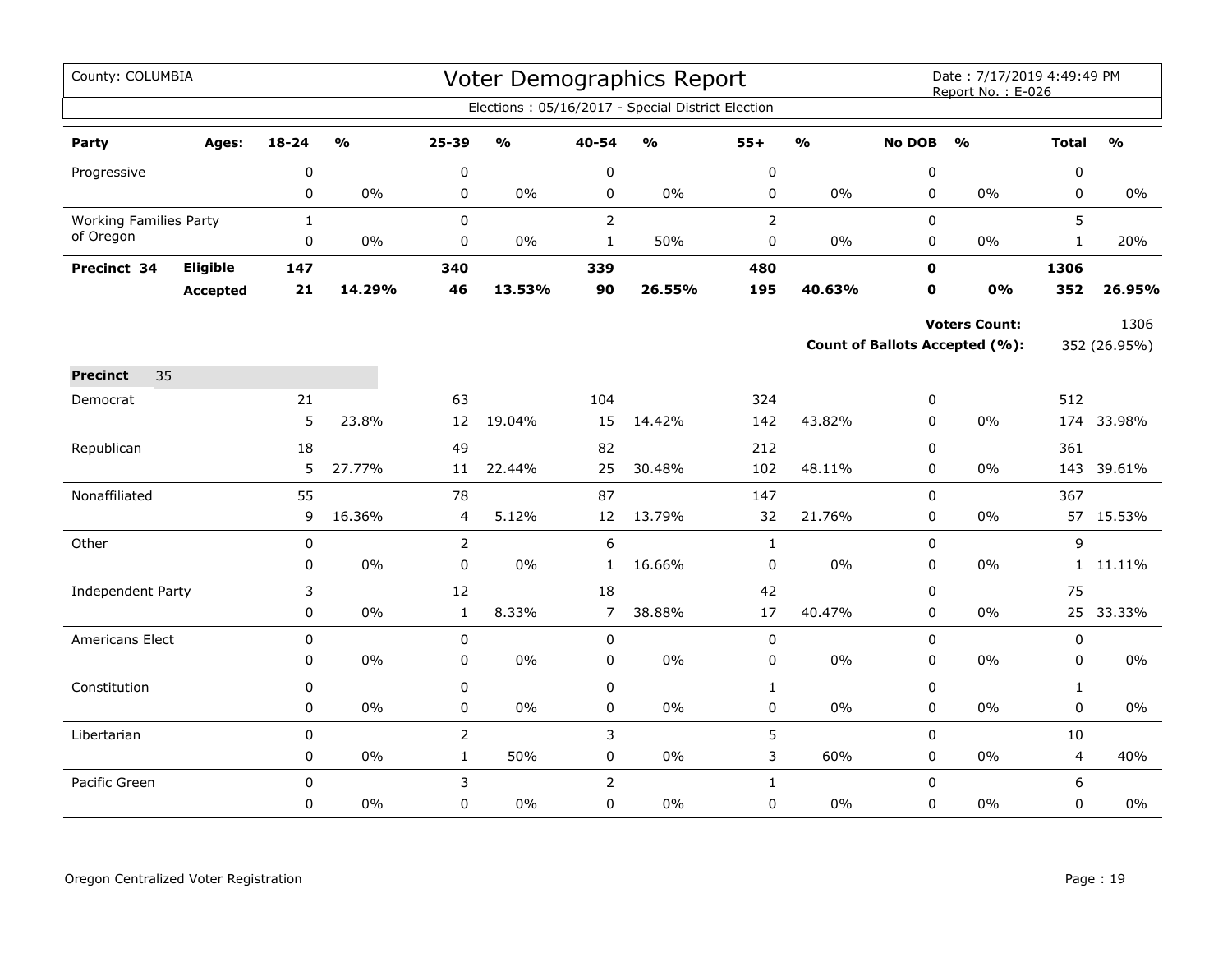| County: COLUMBIA              |                 |                |               |                                |                                   |                          | <b>Voter Demographics Report</b>                  |                           |               |                          | Date: 7/17/2019 4:49:49 PM<br>Report No.: E-026 |                             |               |
|-------------------------------|-----------------|----------------|---------------|--------------------------------|-----------------------------------|--------------------------|---------------------------------------------------|---------------------------|---------------|--------------------------|-------------------------------------------------|-----------------------------|---------------|
|                               |                 |                |               |                                |                                   |                          | Elections: 05/16/2017 - Special District Election |                           |               |                          |                                                 |                             |               |
| Party                         | Ages:           | 18-24          | $\frac{1}{2}$ | 25-39                          | $\mathsf{o}\mathsf{v}_\mathsf{o}$ | 40-54                    | $\mathsf{o}\mathsf{v}_\mathsf{o}$                 | $55+$                     | $\frac{0}{0}$ | <b>No DOB</b>            | $\frac{0}{0}$                                   | <b>Total</b>                | $\frac{9}{6}$ |
| Progressive                   |                 | $\pmb{0}$      |               | 0                              |                                   | $\pmb{0}$                |                                                   | $\pmb{0}$                 |               | $\pmb{0}$                |                                                 | $\pmb{0}$                   |               |
|                               |                 | $\pmb{0}$      | $0\%$         | 0                              | $0\%$                             | 0                        | $0\%$                                             | $\pmb{0}$                 | $0\%$         | 0                        | $0\%$                                           | $\mathbf 0$                 | $0\%$         |
| <b>Working Families Party</b> |                 | $\mathbf{1}$   |               | 0                              |                                   | $\overline{2}$           |                                                   | $\overline{2}$            |               | 0                        |                                                 | 5                           |               |
| of Oregon                     |                 | 0              | 0%            | 0                              | $0\%$                             | $\mathbf{1}$             | 50%                                               | $\pmb{0}$                 | 0%            | 0                        | 0%                                              | $\mathbf{1}$                | 20%           |
| Precinct 34                   | Eligible        | 147            |               | 340                            |                                   | 339                      |                                                   | 480                       |               | $\mathbf 0$              |                                                 | 1306                        |               |
|                               | <b>Accepted</b> | $21$           | 14.29%        | 46                             | 13.53%                            | 90                       | 26.55%                                            | 195                       | 40.63%        | $\mathbf 0$              | 0%                                              | 352                         | 26.95%        |
|                               |                 |                |               |                                |                                   |                          |                                                   |                           |               |                          | <b>Voters Count:</b>                            |                             | 1306          |
|                               |                 |                |               |                                |                                   |                          |                                                   |                           |               |                          | Count of Ballots Accepted (%):                  |                             | 352 (26.95%)  |
| 35<br><b>Precinct</b>         |                 |                |               |                                |                                   |                          |                                                   |                           |               |                          |                                                 |                             |               |
| Democrat                      |                 | 21             |               | 63                             |                                   | 104                      |                                                   | 324                       |               | 0                        |                                                 | 512                         |               |
|                               |                 | 5              | 23.8%         | 12                             | 19.04%                            | 15                       | 14.42%                                            | 142                       | 43.82%        | $\Omega$                 | 0%                                              | 174                         | 33.98%        |
| Republican                    |                 | 18             |               | 49                             |                                   | 82                       |                                                   | 212                       |               | $\mathbf 0$              |                                                 | 361                         |               |
|                               |                 | 5              | 27.77%        | 11                             | 22.44%                            | 25                       | 30.48%                                            | 102                       | 48.11%        | 0                        | 0%                                              | 143                         | 39.61%        |
| Nonaffiliated                 |                 | 55             |               | 78                             |                                   | 87                       |                                                   | 147                       |               | $\mathbf 0$              |                                                 | 367                         |               |
|                               |                 | 9              | 16.36%        | 4                              | 5.12%                             | 12                       | 13.79%                                            | 32                        | 21.76%        | 0                        | $0\%$                                           |                             | 57 15.53%     |
| Other                         |                 | 0              |               | $\overline{2}$                 |                                   | 6                        |                                                   | $\mathbf{1}$              |               | $\mathbf 0$              |                                                 | 9                           |               |
|                               |                 | $\pmb{0}$      | 0%            | 0                              | 0%                                | $\mathbf{1}$             | 16.66%                                            | 0                         | 0%            | 0                        | $0\%$                                           |                             | 1 11.11%      |
| Independent Party             |                 | 3              |               | 12                             |                                   | 18                       |                                                   | 42                        |               | $\pmb{0}$                |                                                 | 75                          |               |
|                               |                 | $\mathbf 0$    | $0\%$         | $\mathbf{1}$                   | 8.33%                             | $\overline{7}$           | 38.88%                                            | 17                        | 40.47%        | $\mathbf 0$              | 0%                                              | 25                          | 33.33%        |
| Americans Elect               |                 | 0              | $0\%$         | 0                              | 0%                                | 0                        | 0%                                                | $\mathbf 0$               | $0\%$         | $\mathbf 0$              | 0%                                              | 0                           | $0\%$         |
|                               |                 | $\pmb{0}$      |               | 0                              |                                   | 0                        |                                                   | $\pmb{0}$                 |               | 0                        |                                                 | 0                           |               |
| Constitution                  |                 | $\pmb{0}$<br>0 | $0\%$         | 0<br>$\pmb{0}$                 | $0\%$                             | $\pmb{0}$<br>$\mathsf 0$ | $0\%$                                             | $\mathbf{1}$<br>$\pmb{0}$ | 0%            | $\pmb{0}$<br>0           | 0%                                              | $\mathbf{1}$<br>$\mathbf 0$ | $0\%$         |
|                               |                 |                |               |                                |                                   |                          |                                                   |                           |               |                          |                                                 |                             |               |
| Libertarian                   |                 | 0<br>$\pmb{0}$ | $0\%$         | $\overline{2}$<br>$\mathbf{1}$ | 50%                               | 3<br>$\pmb{0}$           | $0\%$                                             | 5<br>3                    | 60%           | $\mathsf 0$<br>$\pmb{0}$ | 0%                                              | 10<br>$\overline{4}$        | 40%           |
| Pacific Green                 |                 | $\Omega$       |               | 3                              |                                   | $\overline{2}$           |                                                   | $\mathbf{1}$              |               | $\pmb{0}$                |                                                 | 6                           |               |
|                               |                 | $\mathbf 0$    | 0%            | 0                              | $0\%$                             | $\mathbf 0$              | $0\%$                                             | 0                         | 0%            | $\mathbf 0$              | 0%                                              | $\mathbf 0$                 | 0%            |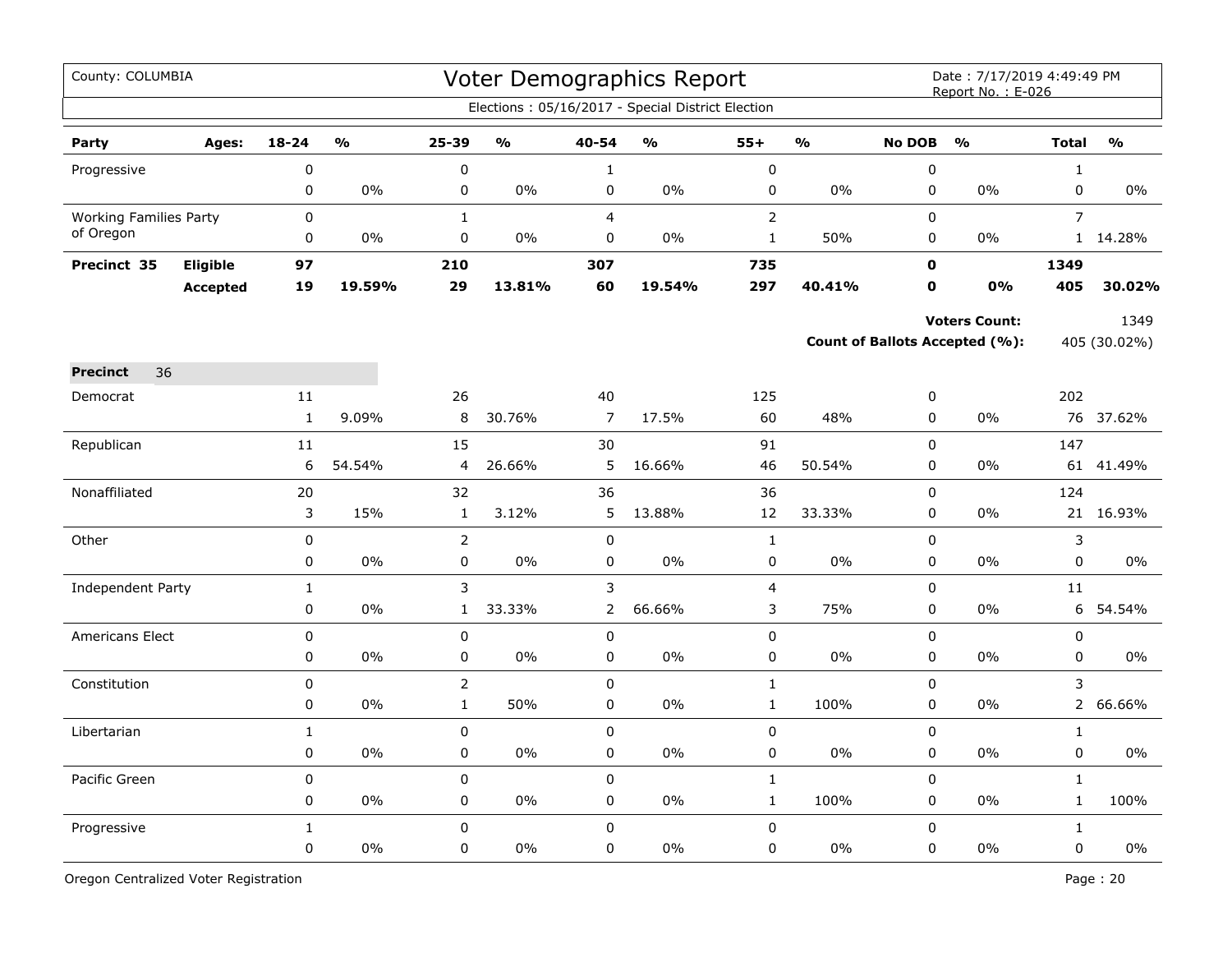| County: COLUMBIA              |                 |              |                         |                |               |                | Voter Demographics Report                         |                         |                         |               | Date: 7/17/2019 4:49:49 PM<br>Report No.: E-026 |                |               |
|-------------------------------|-----------------|--------------|-------------------------|----------------|---------------|----------------|---------------------------------------------------|-------------------------|-------------------------|---------------|-------------------------------------------------|----------------|---------------|
|                               |                 |              |                         |                |               |                | Elections: 05/16/2017 - Special District Election |                         |                         |               |                                                 |                |               |
| Party                         | Ages:           | $18 - 24$    | $\mathbf{O}/\mathbf{O}$ | $25 - 39$      | $\frac{1}{2}$ | 40-54          | $\frac{1}{2}$                                     | $55+$                   | $\mathbf{O}/\mathbf{O}$ | <b>No DOB</b> | $\frac{0}{0}$                                   | <b>Total</b>   | $\frac{1}{2}$ |
| Progressive                   |                 | $\pmb{0}$    |                         | 0              |               | $\mathbf{1}$   |                                                   | $\pmb{0}$               |                         | $\pmb{0}$     |                                                 | $\mathbf{1}$   |               |
|                               |                 | $\pmb{0}$    | $0\%$                   | 0              | 0%            | 0              | 0%                                                | $\pmb{0}$               | 0%                      | $\pmb{0}$     | 0%                                              | $\mathsf 0$    | 0%            |
| <b>Working Families Party</b> |                 | $\pmb{0}$    |                         | $\mathbf{1}$   |               | $\overline{4}$ |                                                   | $\overline{2}$          |                         | $\mathsf 0$   |                                                 | $\overline{7}$ |               |
| of Oregon                     |                 | $\mathbf 0$  | 0%                      | 0              | $0\%$         | $\mathbf 0$    | $0\%$                                             | $\mathbf{1}$            | 50%                     | $\mathbf 0$   | 0%                                              |                | 1 14.28%      |
| Precinct 35                   | Eligible        | 97           |                         | 210            |               | 307            |                                                   | 735                     |                         | $\mathbf{0}$  |                                                 | 1349           |               |
|                               | <b>Accepted</b> | 19           | 19.59%                  | 29             | 13.81%        | 60             | 19.54%                                            | 297                     | 40.41%                  | 0             | 0%                                              | 405            | 30.02%        |
|                               |                 |              |                         |                |               |                |                                                   |                         |                         |               | <b>Voters Count:</b>                            |                | 1349          |
|                               |                 |              |                         |                |               |                |                                                   |                         |                         |               | <b>Count of Ballots Accepted (%):</b>           |                | 405 (30.02%)  |
| 36<br><b>Precinct</b>         |                 |              |                         |                |               |                |                                                   |                         |                         |               |                                                 |                |               |
| Democrat                      |                 | 11           |                         | 26             |               | 40             |                                                   | 125                     |                         | 0             |                                                 | 202            |               |
|                               |                 | $\mathbf{1}$ | 9.09%                   | 8              | 30.76%        | $\overline{7}$ | 17.5%                                             | 60                      | 48%                     | $\mathbf 0$   | 0%                                              |                | 76 37.62%     |
| Republican                    |                 | 11           |                         | 15             |               | 30             |                                                   | 91                      |                         | $\mathbf 0$   |                                                 | 147            |               |
|                               |                 | 6            | 54.54%                  | 4              | 26.66%        | 5              | 16.66%                                            | 46                      | 50.54%                  | 0             | $0\%$                                           | 61             | 41.49%        |
| Nonaffiliated                 |                 | 20           |                         | 32             |               | 36             |                                                   | 36                      |                         | 0             |                                                 | 124            |               |
|                               |                 | 3            | 15%                     | $\mathbf 1$    | 3.12%         | 5              | 13.88%                                            | 12                      | 33.33%                  | 0             | 0%                                              |                | 21 16.93%     |
| Other                         |                 | $\pmb{0}$    |                         | $\overline{2}$ |               | $\pmb{0}$      |                                                   | $\mathbf 1$             |                         | $\pmb{0}$     |                                                 | $\mathsf 3$    |               |
|                               |                 | $\mathbf 0$  | 0%                      | 0              | $0\%$         | $\mathbf 0$    | $0\%$                                             | $\pmb{0}$               | $0\%$                   | $\mathbf 0$   | 0%                                              | $\mathsf 0$    | 0%            |
| Independent Party             |                 | $\mathbf 1$  |                         | 3              |               | 3              |                                                   | $\overline{\mathbf{4}}$ |                         | $\mathbf 0$   |                                                 | 11             |               |
|                               |                 | $\mathbf 0$  | 0%                      | $\mathbf{1}$   | 33.33%        | $\overline{2}$ | 66.66%                                            | 3                       | 75%                     | $\mathbf 0$   | $0\%$                                           | 6              | 54.54%        |
| <b>Americans Elect</b>        |                 | $\pmb{0}$    |                         | 0              |               | 0              |                                                   | $\pmb{0}$               |                         | $\mathbf 0$   |                                                 | $\pmb{0}$      |               |
|                               |                 | $\pmb{0}$    | 0%                      | 0              | 0%            | 0              | 0%                                                | $\pmb{0}$               | 0%                      | $\pmb{0}$     | 0%                                              | $\pmb{0}$      | 0%            |
| Constitution                  |                 | $\pmb{0}$    |                         | $\overline{2}$ |               | $\pmb{0}$      |                                                   | $\mathbf 1$             |                         | $\pmb{0}$     |                                                 | 3              |               |
|                               |                 | 0            | 0%                      | $\mathbf{1}$   | 50%           | 0              | 0%                                                | $\mathbf{1}$            | 100%                    | $\pmb{0}$     | 0%                                              | $\overline{2}$ | 66.66%        |
| Libertarian                   |                 | $\mathbf{1}$ |                         | 0              |               | $\pmb{0}$      |                                                   | $\pmb{0}$               |                         | $\pmb{0}$     |                                                 | $\mathbf{1}$   |               |
|                               |                 | 0            | 0%                      | 0              | 0%            | 0              | 0%                                                | $\pmb{0}$               | $0\%$                   | $\pmb{0}$     | $0\%$                                           | $\pmb{0}$      | $0\%$         |
| Pacific Green                 |                 | $\mathbf 0$  |                         | 0              |               | $\mathbf 0$    |                                                   | $\mathbf{1}$            |                         | $\mathbf 0$   |                                                 | $\mathbf{1}$   |               |
|                               |                 | 0            | $0\%$                   | 0              | 0%            | 0              | 0%                                                | $\mathbf{1}$            | 100%                    | 0             | $0\%$                                           | $\mathbf{1}$   | 100%          |
| Progressive                   |                 | $\mathbf{1}$ |                         | 0              |               | $\mathbf 0$    |                                                   | $\pmb{0}$               |                         | $\mathbf 0$   |                                                 | $\mathbf{1}$   |               |
|                               |                 | $\pmb{0}$    | 0%                      | 0              | 0%            | $\mathbf 0$    | 0%                                                | 0                       | $0\%$                   | $\pmb{0}$     | 0%                                              | $\mathbf 0$    | $0\%$         |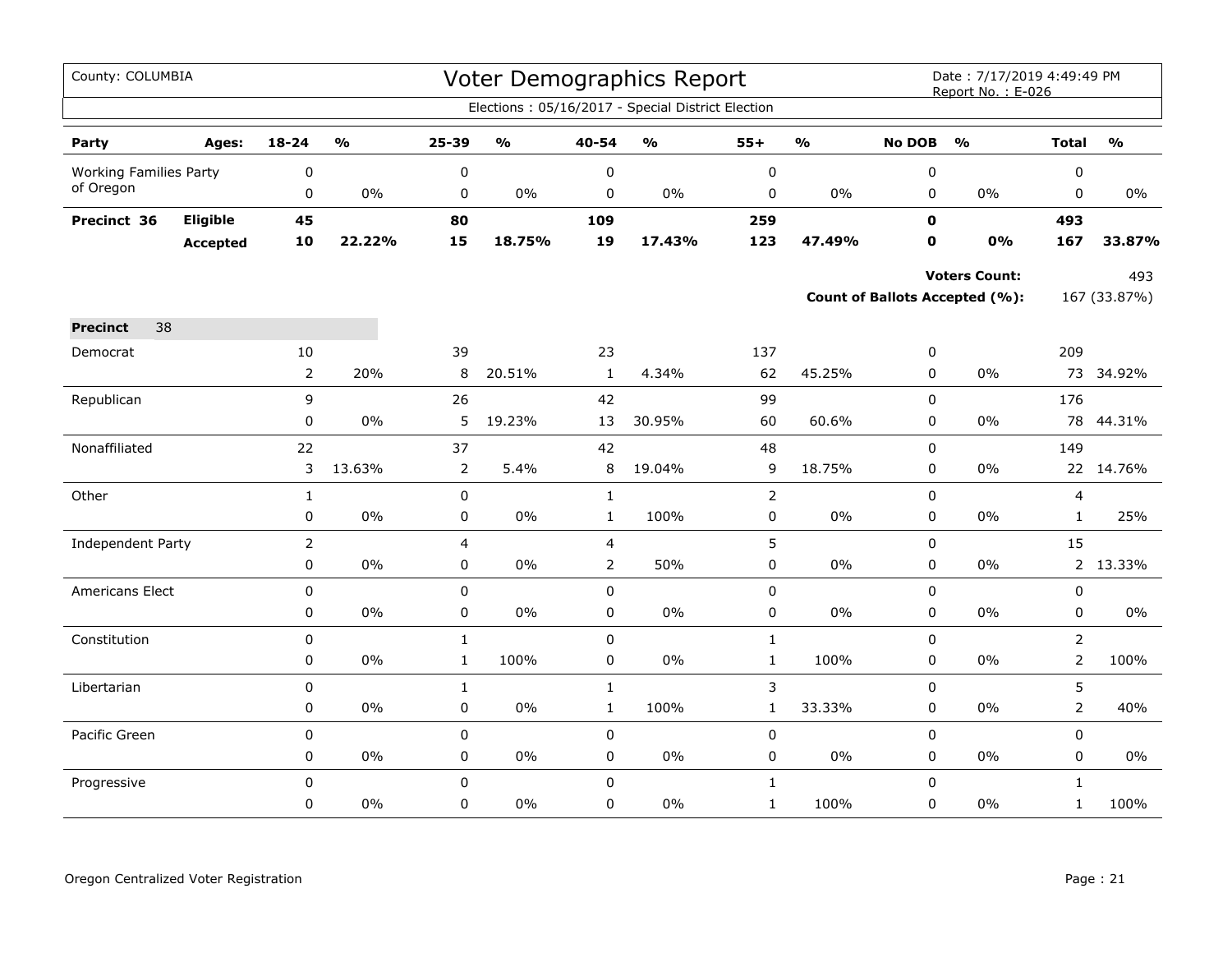| County: COLUMBIA              |          |                |                         |                  |                                   |                | Voter Demographics Report                         |                |                         |               | Date: 7/17/2019 4:49:49 PM<br>Report No.: E-026 |                         |                                   |
|-------------------------------|----------|----------------|-------------------------|------------------|-----------------------------------|----------------|---------------------------------------------------|----------------|-------------------------|---------------|-------------------------------------------------|-------------------------|-----------------------------------|
|                               |          |                |                         |                  |                                   |                | Elections: 05/16/2017 - Special District Election |                |                         |               |                                                 |                         |                                   |
| Party                         | Ages:    | 18-24          | $\mathbf{O}/\mathbf{o}$ | 25-39            | $\mathsf{o}\mathsf{v}_\mathsf{o}$ | $40 - 54$      | $\mathsf{o}\mathsf{v}_\mathsf{o}$                 | $55+$          | $\mathbf{O}/\mathbf{O}$ | <b>No DOB</b> | $\mathbf{O}/\mathbf{o}$                         | <b>Total</b>            | $\mathsf{o}\mathsf{v}_\mathsf{o}$ |
| <b>Working Families Party</b> |          | $\pmb{0}$      |                         | $\boldsymbol{0}$ |                                   | 0              |                                                   | 0              |                         | $\pmb{0}$     |                                                 | 0                       |                                   |
| of Oregon                     |          | 0              | 0%                      | 0                | $0\%$                             | 0              | $0\%$                                             | 0              | $0\%$                   | 0             | $0\%$                                           | 0                       | 0%                                |
| Precinct 36                   | Eligible | 45             |                         | 80               |                                   | 109            |                                                   | 259            |                         | $\mathbf 0$   |                                                 | 493                     |                                   |
|                               | Accepted | 10             | 22.22%                  | 15               | 18.75%                            | 19             | 17.43%                                            | 123            | 47.49%                  | 0             | 0%                                              | 167                     | 33.87%                            |
|                               |          |                |                         |                  |                                   |                |                                                   |                |                         |               | <b>Voters Count:</b>                            |                         | 493                               |
|                               |          |                |                         |                  |                                   |                |                                                   |                |                         |               | Count of Ballots Accepted (%):                  |                         | 167 (33.87%)                      |
| 38<br><b>Precinct</b>         |          |                |                         |                  |                                   |                |                                                   |                |                         |               |                                                 |                         |                                   |
| Democrat                      |          | 10             |                         | 39               |                                   | 23             |                                                   | 137            |                         | 0             |                                                 | 209                     |                                   |
|                               |          |                | 20%                     | 8                | 20.51%                            | $\mathbf{1}$   | 4.34%                                             | 62             | 45.25%                  | 0             | $0\%$                                           |                         | 73 34.92%                         |
| Republican                    |          | 9              |                         | 26               |                                   | 42             |                                                   | 99             |                         | $\mathbf 0$   |                                                 | 176                     |                                   |
|                               |          | 0              | 0%                      | 5                | 19.23%                            | 13             | 30.95%                                            | 60             | 60.6%                   | 0             | $0\%$                                           | 78                      | 44.31%                            |
| Nonaffiliated                 |          | 22             |                         | 37               |                                   | 42             |                                                   | 48             |                         | 0             |                                                 | 149                     |                                   |
|                               |          | 3              | 13.63%                  | $\overline{2}$   | 5.4%                              | 8              | 19.04%                                            | 9              | 18.75%                  | $\mathbf 0$   | $0\%$                                           |                         | 22 14.76%                         |
| Other                         |          | $\mathbf{1}$   |                         | 0                |                                   | $\mathbf{1}$   |                                                   | $\overline{2}$ |                         | 0             |                                                 | $\overline{\mathbf{4}}$ |                                   |
|                               |          | 0              | 0%                      | 0                | $0\%$                             | $\mathbf{1}$   | 100%                                              | 0              | $0\%$                   | 0             | $0\%$                                           | $\mathbf{1}$            | 25%                               |
| Independent Party             |          | $\overline{2}$ |                         | $\overline{4}$   |                                   | $\overline{4}$ |                                                   | 5              |                         | $\mathbf 0$   |                                                 | 15                      |                                   |
|                               |          | 0              | $0\%$                   | 0                | 0%                                | $\overline{2}$ | 50%                                               | 0              | $0\%$                   | 0             | $0\%$                                           |                         | 2 13.33%                          |
| Americans Elect               |          | 0              |                         | 0                |                                   | $\mathbf 0$    |                                                   | 0              |                         | 0             |                                                 | 0                       |                                   |
|                               |          | 0              | $0\%$                   | 0                | 0%                                | $\pmb{0}$      | $0\%$                                             | 0              | $0\%$                   | 0             | $0\%$                                           | 0                       | $0\%$                             |
| Constitution                  |          | 0              |                         | $\mathbf{1}$     |                                   | $\mathbf 0$    |                                                   | $\mathbf{1}$   |                         | 0             |                                                 | $\overline{2}$          |                                   |
|                               |          | 0              | 0%                      | $\mathbf{1}$     | 100%                              | 0              | $0\%$                                             | $\mathbf{1}$   | 100%                    | 0             | 0%                                              | $\overline{2}$          | 100%                              |
| Libertarian                   |          | $\mathbf 0$    |                         | $\mathbf{1}$     |                                   | $\mathbf{1}$   |                                                   | 3              |                         | $\mathsf 0$   |                                                 | 5                       |                                   |
|                               |          | 0              | 0%                      | $\mathsf 0$      | $0\%$                             | $\mathbf{1}$   | 100%                                              | $\mathbf{1}$   | 33.33%                  | 0             | $0\%$                                           | $\overline{2}$          | 40%                               |
| Pacific Green                 |          | 0              |                         | 0                |                                   | $\mathbf 0$    |                                                   | 0              |                         | $\mathbf 0$   |                                                 | $\mathbf 0$             |                                   |
|                               |          | 0              | 0%                      | 0                | $0\%$                             | $\mathbf 0$    | $0\%$                                             | 0              | $0\%$                   | $\mathbf 0$   | $0\%$                                           | $\mathbf 0$             | 0%                                |
| Progressive                   |          | $\mathbf 0$    |                         | $\mathbf 0$      |                                   | $\mathbf 0$    |                                                   | $\mathbf{1}$   |                         | 0             |                                                 | $\mathbf{1}$            |                                   |
|                               |          | 0              | $0\%$                   | 0                | 0%                                | 0              | 0%                                                | $\mathbf{1}$   | 100%                    | $\mathbf 0$   | $0\%$                                           | $\mathbf{1}$            | 100%                              |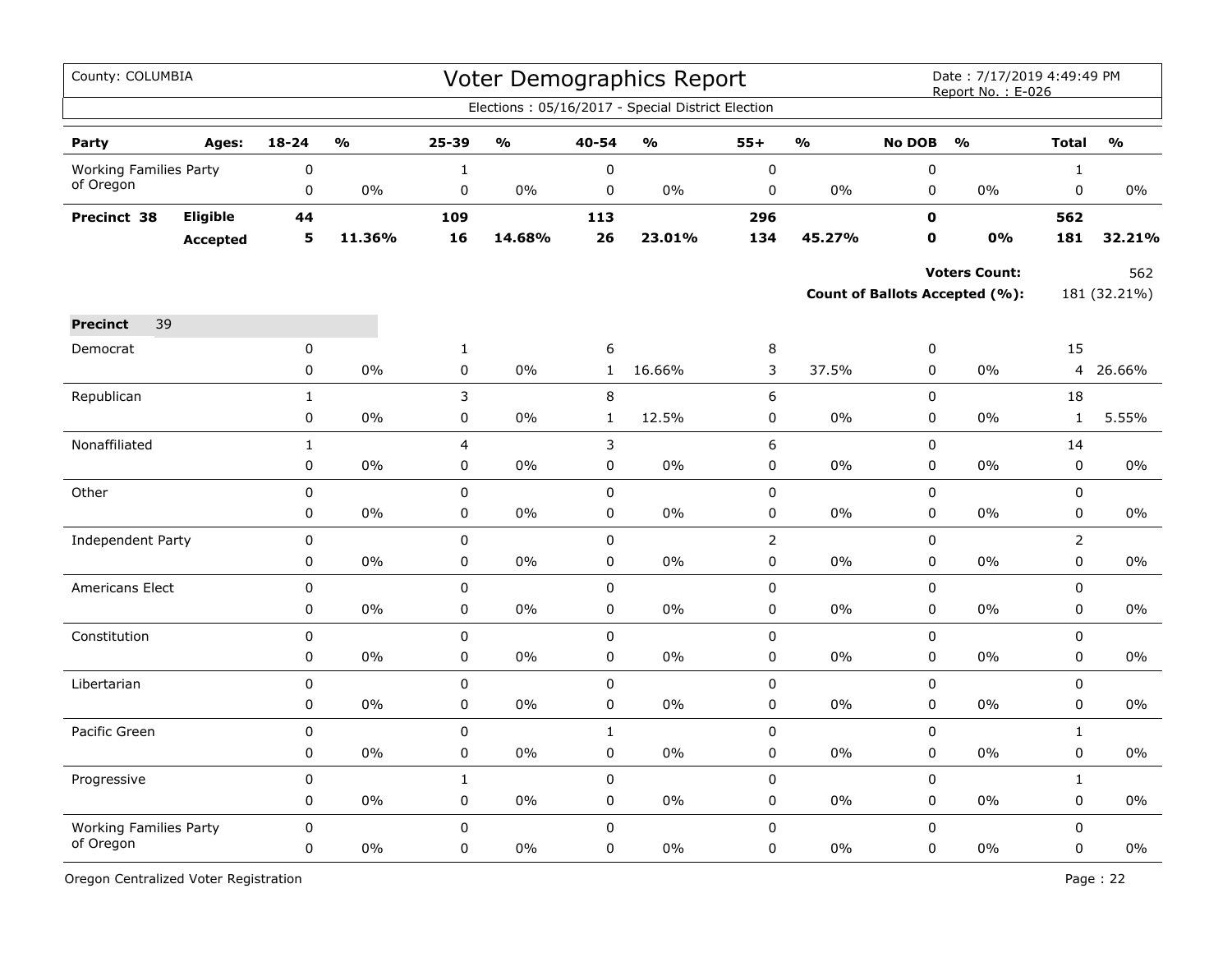| County: COLUMBIA              |                 |              |               |              |               |              | Voter Demographics Report                         |                |               |               | Date: 7/17/2019 4:49:49 PM<br>Report No.: E-026 |                |               |
|-------------------------------|-----------------|--------------|---------------|--------------|---------------|--------------|---------------------------------------------------|----------------|---------------|---------------|-------------------------------------------------|----------------|---------------|
|                               |                 |              |               |              |               |              | Elections: 05/16/2017 - Special District Election |                |               |               |                                                 |                |               |
| Party                         | Ages:           | $18 - 24$    | $\frac{0}{0}$ | 25-39        | $\frac{1}{2}$ | 40-54        | $\frac{0}{0}$                                     | $55+$          | $\frac{0}{0}$ | <b>No DOB</b> | $\frac{0}{0}$                                   | <b>Total</b>   | $\frac{0}{0}$ |
| <b>Working Families Party</b> |                 | 0            |               | $\mathbf{1}$ |               | 0            |                                                   | $\pmb{0}$      |               | 0             |                                                 | $\mathbf{1}$   |               |
| of Oregon                     |                 | 0            | $0\%$         | $\pmb{0}$    | 0%            | $\pmb{0}$    | 0%                                                | $\pmb{0}$      | 0%            | $\pmb{0}$     | 0%                                              | 0              | $0\%$         |
| Precinct 38                   | Eligible        | 44           |               | 109          |               | 113          |                                                   | 296            |               | $\mathbf 0$   |                                                 | 562            |               |
|                               | <b>Accepted</b> | 5            | 11.36%        | 16           | 14.68%        | 26           | 23.01%                                            | 134            | 45.27%        | $\mathbf{0}$  | 0%                                              | 181            | 32.21%        |
|                               |                 |              |               |              |               |              |                                                   |                |               |               | <b>Voters Count:</b>                            |                | 562           |
|                               |                 |              |               |              |               |              |                                                   |                |               |               | <b>Count of Ballots Accepted (%):</b>           |                | 181 (32.21%)  |
| 39<br><b>Precinct</b>         |                 |              |               |              |               |              |                                                   |                |               |               |                                                 |                |               |
| Democrat                      |                 | 0            |               | $\mathbf{1}$ |               | 6            |                                                   | $\,8\,$        |               | $\pmb{0}$     |                                                 | 15             |               |
|                               |                 | 0            | 0%            | $\mathsf 0$  | 0%            | $\mathbf{1}$ | 16.66%                                            | 3              | 37.5%         | $\pmb{0}$     | 0%                                              | 4              | 26.66%        |
| Republican                    |                 | $\mathbf{1}$ |               | 3            |               | 8            |                                                   | 6              |               | $\mathbf 0$   |                                                 | 18             |               |
|                               |                 | 0            | 0%            | 0            | 0%            | $\mathbf{1}$ | 12.5%                                             | 0              | 0%            | 0             | 0%                                              | $\mathbf{1}$   | 5.55%         |
| Nonaffiliated                 |                 | $\mathbf{1}$ |               | 4            |               | 3            |                                                   | 6              |               | $\mathsf 0$   |                                                 | 14             |               |
|                               |                 | 0            | 0%            | 0            | 0%            | $\pmb{0}$    | 0%                                                | $\mathbf 0$    | 0%            | $\pmb{0}$     | 0%                                              | $\pmb{0}$      | 0%            |
| Other                         |                 | $\pmb{0}$    |               | $\pmb{0}$    |               | $\pmb{0}$    |                                                   | $\pmb{0}$      |               | $\pmb{0}$     |                                                 | 0              |               |
|                               |                 | 0            | 0%            | 0            | 0%            | 0            | 0%                                                | 0              | $0\%$         | 0             | 0%                                              | 0              | 0%            |
| <b>Independent Party</b>      |                 | 0            |               | $\mathbf 0$  |               | 0            |                                                   | $\overline{2}$ |               | $\mathbf 0$   |                                                 | $\overline{2}$ |               |
|                               |                 | 0            | 0%            | $\pmb{0}$    | 0%            | 0            | 0%                                                | $\pmb{0}$      | 0%            | $\mathbf 0$   | 0%                                              | 0              | 0%            |
| <b>Americans Elect</b>        |                 | 0            |               | $\pmb{0}$    |               | $\mathsf 0$  |                                                   | $\pmb{0}$      |               | $\pmb{0}$     |                                                 | 0              |               |
|                               |                 | 0            | $0\%$         | 0            | 0%            | 0            | $0\%$                                             | 0              | $0\%$         | 0             | $0\%$                                           | 0              | $0\%$         |
| Constitution                  |                 | 0            |               | $\mathsf 0$  |               | 0            |                                                   | $\mathsf 0$    |               | $\mathsf 0$   |                                                 | 0              |               |
|                               |                 | 0            | 0%            | $\mathsf 0$  | 0%            | $\pmb{0}$    | 0%                                                | $\pmb{0}$      | 0%            | $\pmb{0}$     | 0%                                              | $\mathbf 0$    | $0\%$         |
| Libertarian                   |                 | $\pmb{0}$    |               | $\pmb{0}$    |               | $\mathsf 0$  |                                                   | $\pmb{0}$      |               | $\pmb{0}$     |                                                 | $\pmb{0}$      |               |
|                               |                 | 0            | 0%            | $\mathbf 0$  | 0%            | $\pmb{0}$    | 0%                                                | $\mathbf 0$    | 0%            | $\pmb{0}$     | 0%                                              | 0              | $0\%$         |
| Pacific Green                 |                 | 0            |               | 0            |               | $\mathbf{1}$ |                                                   | $\mathbf 0$    |               | $\pmb{0}$     |                                                 | $\mathbf{1}$   |               |
|                               |                 | 0            | 0%            | 0            | 0%            | 0            | 0%                                                | 0              | 0%            | $\mathbf 0$   | 0%                                              | 0              | $0\%$         |
| Progressive                   |                 | $\pmb{0}$    |               | $\mathbf{1}$ |               | $\pmb{0}$    |                                                   | 0              |               | $\mathbf 0$   |                                                 | $\mathbf{1}$   |               |
|                               |                 | 0            | 0%            | 0            | 0%            | $\pmb{0}$    | 0%                                                | $\mathbf 0$    | 0%            | $\pmb{0}$     | 0%                                              | 0              | 0%            |
| <b>Working Families Party</b> |                 | 0            |               | $\mathbf 0$  |               | $\mathbf 0$  |                                                   | 0              |               | $\mathbf 0$   |                                                 | 0              |               |
| of Oregon                     |                 | 0            | 0%            | $\mathbf 0$  | 0%            | 0            | 0%                                                | $\mathbf 0$    | $0\%$         | 0             | 0%                                              | 0              | 0%            |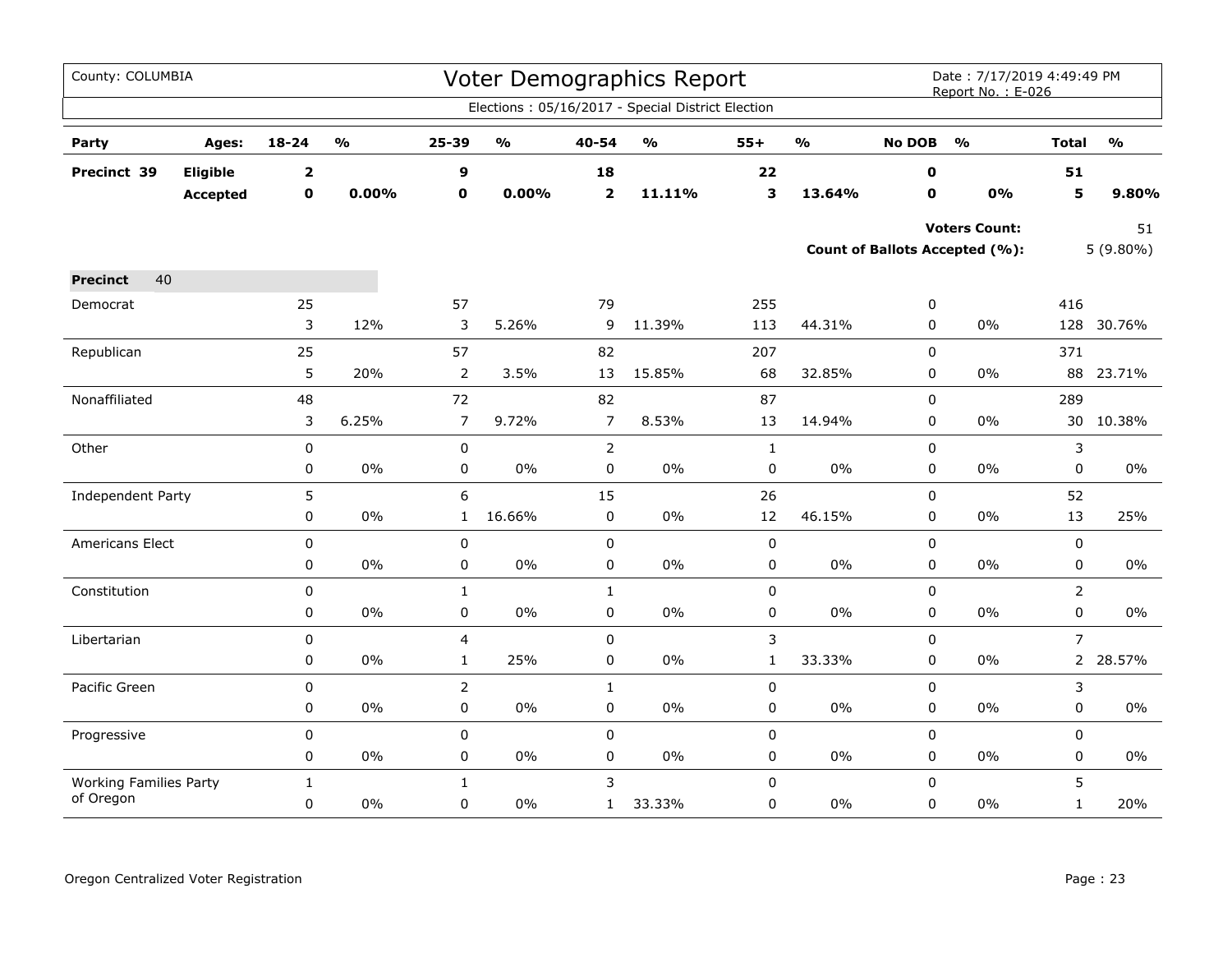| County: COLUMBIA                           |                 |                         |               |                         |               |                | <b>Voter Demographics Report</b>                  |                |               |               | Date: 7/17/2019 4:49:49 PM<br>Report No.: E-026 |                |               |
|--------------------------------------------|-----------------|-------------------------|---------------|-------------------------|---------------|----------------|---------------------------------------------------|----------------|---------------|---------------|-------------------------------------------------|----------------|---------------|
|                                            |                 |                         |               |                         |               |                | Elections: 05/16/2017 - Special District Election |                |               |               |                                                 |                |               |
| Party                                      | Ages:           | 18-24                   | $\frac{1}{2}$ | 25-39                   | $\frac{0}{0}$ | 40-54          | $\mathsf{o}\mathsf{v}_\mathsf{o}$                 | $55+$          | $\frac{1}{2}$ | <b>No DOB</b> | $\frac{1}{2}$                                   | <b>Total</b>   | $\frac{0}{0}$ |
| Precinct 39                                | Eligible        | $\overline{\mathbf{2}}$ |               | 9                       |               | 18             |                                                   | 22             |               | 0             |                                                 | 51             |               |
|                                            | <b>Accepted</b> | $\mathbf 0$             | 0.00%         | $\mathbf 0$             | 0.00%         | $\mathbf{2}$   | 11.11%                                            | 3              | 13.64%        | $\mathbf 0$   | 0%                                              | 5              | 9.80%         |
|                                            |                 |                         |               |                         |               |                |                                                   |                |               |               | <b>Voters Count:</b>                            |                | 51            |
|                                            |                 |                         |               |                         |               |                |                                                   |                |               |               | Count of Ballots Accepted (%):                  |                | $5(9.80\%)$   |
| 40<br><b>Precinct</b>                      |                 |                         |               |                         |               |                |                                                   |                |               |               |                                                 |                |               |
| Democrat                                   |                 | 25                      |               | 57                      |               | 79             |                                                   | 255            |               | 0             |                                                 | 416            |               |
|                                            |                 | 3                       | 12%           | 3                       | 5.26%         | 9              | 11.39%                                            | 113            | 44.31%        | 0             | $0\%$                                           |                | 128 30.76%    |
| Republican                                 |                 | 25                      |               | 57                      |               | 82             |                                                   | 207            |               | 0             |                                                 | 371            |               |
|                                            |                 | 5                       | 20%           | $\overline{2}$          | 3.5%          | 13             | 15.85%                                            | 68             | 32.85%        | 0             | 0%                                              |                | 88 23.71%     |
| Nonaffiliated                              |                 | 48                      |               | 72                      |               | 82             |                                                   | 87             |               | 0             |                                                 | 289            |               |
|                                            |                 | 3                       | 6.25%         | $\overline{7}$          | 9.72%         | $\overline{7}$ | 8.53%                                             | 13             | 14.94%        | 0             | $0\%$                                           | 30             | 10.38%        |
| Other                                      |                 | $\mathbf 0$             |               | 0                       |               | $\overline{2}$ |                                                   | $\mathbf{1}$   |               | 0             |                                                 | 3              |               |
|                                            |                 | $\pmb{0}$               | $0\%$         | 0                       | $0\%$         | $\pmb{0}$      | 0%                                                | 0              | 0%            | 0             | 0%                                              | 0              | 0%            |
| Independent Party                          |                 | 5                       |               | 6                       |               | 15             |                                                   | 26             |               | 0             |                                                 | 52             |               |
|                                            |                 | $\pmb{0}$               | $0\%$         | $\mathbf{1}$            | 16.66%        | 0              | $0\%$                                             | $12\,$         | 46.15%        | 0             | $0\%$                                           | 13             | 25%           |
| <b>Americans Elect</b>                     |                 | $\mathbf 0$             |               | 0                       |               | $\mathbf 0$    |                                                   | $\mathbf 0$    |               | 0             |                                                 | 0              |               |
|                                            |                 | $\pmb{0}$               | $0\%$         | 0                       | 0%            | $\pmb{0}$      | $0\%$                                             | $\pmb{0}$      | $0\%$         | 0             | $0\%$                                           | 0              | $0\%$         |
| Constitution                               |                 | $\mathbf 0$             |               | $\mathbf{1}$            |               | $\mathbf{1}$   |                                                   | 0              |               | 0             |                                                 | $\overline{2}$ |               |
|                                            |                 | 0                       | $0\%$         | 0                       | $0\%$         | $\pmb{0}$      | $0\%$                                             | 0              | 0%            | 0             | $0\%$                                           | 0              | $0\%$         |
| Libertarian                                |                 | $\pmb{0}$               |               | $\overline{\mathbf{4}}$ |               | $\pmb{0}$      |                                                   | $\mathfrak{Z}$ |               | 0             |                                                 | $\overline{7}$ |               |
|                                            |                 | 0                       | $0\%$         | $\mathbf{1}$            | 25%           | $\pmb{0}$      | $0\%$                                             | $\mathbf{1}$   | 33.33%        | $\Omega$      | $0\%$                                           |                | 2 28.57%      |
| Pacific Green                              |                 | $\pmb{0}$               |               | $\overline{2}$          |               | $\mathbf{1}$   |                                                   | 0              |               | 0             |                                                 | 3              |               |
|                                            |                 | $\pmb{0}$               | $0\%$         | 0                       | $0\%$         | $\pmb{0}$      | $0\%$                                             | $\pmb{0}$      | 0%            | 0             | $0\%$                                           | 0              | 0%            |
| Progressive                                |                 | $\mathbf 0$             |               | 0                       |               | $\mathsf 0$    |                                                   | $\pmb{0}$      |               | 0             |                                                 | 0              |               |
|                                            |                 | 0                       | 0%            | 0                       | 0%            | 0              | 0%                                                | 0              | 0%            | 0             | 0%                                              | 0              | $0\%$         |
| <b>Working Families Party</b><br>of Oregon |                 | $\mathbf{1}$            |               | $\mathbf{1}$            |               | 3              |                                                   | $\pmb{0}$      |               | $\mathsf 0$   |                                                 | 5              |               |
|                                            |                 | $\mathbf 0$             | 0%            | 0                       | $0\%$         | $\mathbf{1}$   | 33.33%                                            | 0              | 0%            | 0             | 0%                                              | $\mathbf{1}$   | 20%           |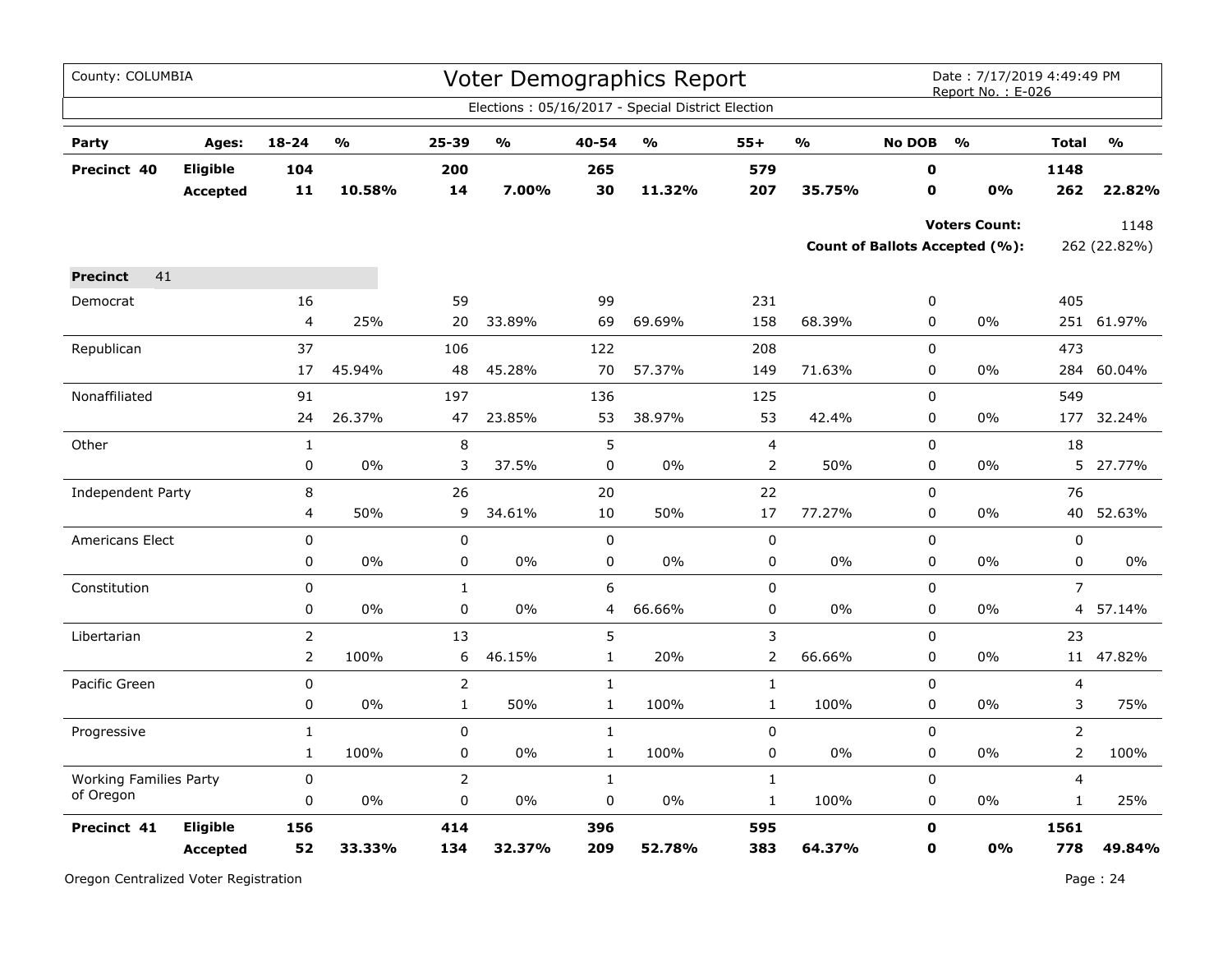| County: COLUMBIA              |                             |                  |                                   |                |               |              | Voter Demographics Report                         |                |                         |                  | Date: 7/17/2019 4:49:49 PM<br>Report No.: E-026        |                |                                   |
|-------------------------------|-----------------------------|------------------|-----------------------------------|----------------|---------------|--------------|---------------------------------------------------|----------------|-------------------------|------------------|--------------------------------------------------------|----------------|-----------------------------------|
|                               |                             |                  |                                   |                |               |              | Elections: 05/16/2017 - Special District Election |                |                         |                  |                                                        |                |                                   |
| Party                         | Ages:                       | $18 - 24$        | $\mathsf{o}\mathsf{v}_\mathsf{o}$ | 25-39          | $\frac{1}{2}$ | 40-54        | $\mathbf{O}/\mathbf{o}$                           | $55+$          | $\mathbf{O}/\mathbf{O}$ | <b>No DOB</b>    | $\frac{1}{2}$                                          | <b>Total</b>   | $\mathsf{o}\mathsf{v}_\mathsf{o}$ |
| Precinct 40                   | Eligible<br><b>Accepted</b> | 104<br>11        | 10.58%                            | 200<br>14      | 7.00%         | 265<br>30    | 11.32%                                            | 579<br>207     | 35.75%                  | $\mathbf 0$<br>0 | 0%                                                     | 1148<br>262    | 22.82%                            |
|                               |                             |                  |                                   |                |               |              |                                                   |                |                         |                  | <b>Voters Count:</b><br>Count of Ballots Accepted (%): |                | 1148<br>262 (22.82%)              |
| 41<br><b>Precinct</b>         |                             |                  |                                   |                |               |              |                                                   |                |                         |                  |                                                        |                |                                   |
| Democrat                      |                             | 16               |                                   | 59             |               | 99           |                                                   | 231            |                         | 0                |                                                        | 405            |                                   |
|                               |                             | 4                | 25%                               | 20             | 33.89%        | 69           | 69.69%                                            | 158            | 68.39%                  | $\pmb{0}$        | 0%                                                     | 251            | 61.97%                            |
| Republican                    |                             | 37               |                                   | 106            |               | 122          |                                                   | 208            |                         | $\mathbf 0$      |                                                        | 473            |                                   |
|                               |                             | 17               | 45.94%                            | 48             | 45.28%        | 70           | 57.37%                                            | 149            | 71.63%                  | 0                | 0%                                                     | 284            | 60.04%                            |
| Nonaffiliated                 |                             | 91               |                                   | 197            |               | 136          |                                                   | 125            |                         | $\mathbf 0$      |                                                        | 549            |                                   |
|                               |                             | 24               | 26.37%                            | 47             | 23.85%        | 53           | 38.97%                                            | 53             | 42.4%                   | 0                | 0%                                                     |                | 177 32.24%                        |
| Other                         |                             | $\mathbf{1}$     |                                   | $\,8\,$        |               | 5            |                                                   | $\overline{4}$ |                         | $\mathsf 0$      |                                                        | 18             |                                   |
|                               |                             | $\boldsymbol{0}$ | 0%                                | 3              | 37.5%         | 0            | 0%                                                | $\overline{2}$ | 50%                     | 0                | 0%                                                     | 5              | 27.77%                            |
| Independent Party             |                             | 8                |                                   | 26             |               | 20           |                                                   | 22             |                         | $\pmb{0}$        |                                                        | 76             |                                   |
|                               |                             | 4                | 50%                               | 9              | 34.61%        | 10           | 50%                                               | 17             | 77.27%                  | 0                | $0\%$                                                  | 40             | 52.63%                            |
| <b>Americans Elect</b>        |                             | 0                |                                   | $\pmb{0}$      |               | $\mathsf 0$  |                                                   | $\pmb{0}$      |                         | 0                |                                                        | $\mathbf 0$    |                                   |
|                               |                             | $\pmb{0}$        | 0%                                | $\pmb{0}$      | 0%            | $\pmb{0}$    | 0%                                                | 0              | $0\%$                   | 0                | 0%                                                     | $\pmb{0}$      | 0%                                |
| Constitution                  |                             | $\pmb{0}$        |                                   | $\mathbf{1}$   |               | 6            |                                                   | $\pmb{0}$      |                         | $\pmb{0}$        |                                                        | $\overline{7}$ |                                   |
|                               |                             | $\mathbf 0$      | 0%                                | 0              | 0%            | 4            | 66.66%                                            | 0              | $0\%$                   | $\mathbf 0$      | $0\%$                                                  |                | 4 57.14%                          |
| Libertarian                   |                             | $\overline{2}$   |                                   | 13             |               | 5            |                                                   | 3              |                         | 0                |                                                        | 23             |                                   |
|                               |                             | $\overline{2}$   | 100%                              | 6              | 46.15%        | $\mathbf 1$  | 20%                                               | $\overline{2}$ | 66.66%                  | 0                | 0%                                                     | 11             | 47.82%                            |
| Pacific Green                 |                             | $\pmb{0}$        |                                   | $\overline{2}$ |               | $1\,$        |                                                   | $1\,$          |                         | $\mathbf 0$      |                                                        | 4              |                                   |
|                               |                             | 0                | 0%                                | $\mathbf{1}$   | 50%           | $\mathbf{1}$ | 100%                                              | $\mathbf 1$    | 100%                    | 0                | $0\%$                                                  | 3              | 75%                               |
| Progressive                   |                             | $\mathbf 1$      |                                   | 0              |               | $1\,$        |                                                   | $\pmb{0}$      |                         | $\pmb{0}$        |                                                        | $\overline{2}$ |                                   |
|                               |                             | $\mathbf{1}$     | 100%                              | $\mathbf 0$    | 0%            | $\mathbf{1}$ | 100%                                              | 0              | 0%                      | $\mathbf 0$      | 0%                                                     | $\overline{2}$ | 100%                              |
| <b>Working Families Party</b> |                             | 0                |                                   | $\overline{2}$ |               | $\mathbf{1}$ |                                                   | $\mathbf{1}$   |                         | $\mathbf 0$      |                                                        | 4              |                                   |
| of Oregon                     |                             | $\mathbf 0$      | 0%                                | $\pmb{0}$      | 0%            | $\pmb{0}$    | 0%                                                | $\mathbf{1}$   | 100%                    | $\pmb{0}$        | 0%                                                     | $\mathbf{1}$   | 25%                               |
| Precinct 41                   | Eligible                    | 156              |                                   | 414            |               | 396          |                                                   | 595            |                         | $\mathbf o$      |                                                        | 1561           |                                   |
|                               | <b>Accepted</b>             | 52               | 33.33%                            | 134            | 32.37%        | 209          | 52.78%                                            | 383            | 64.37%                  | 0                | 0%                                                     | 778            | 49.84%                            |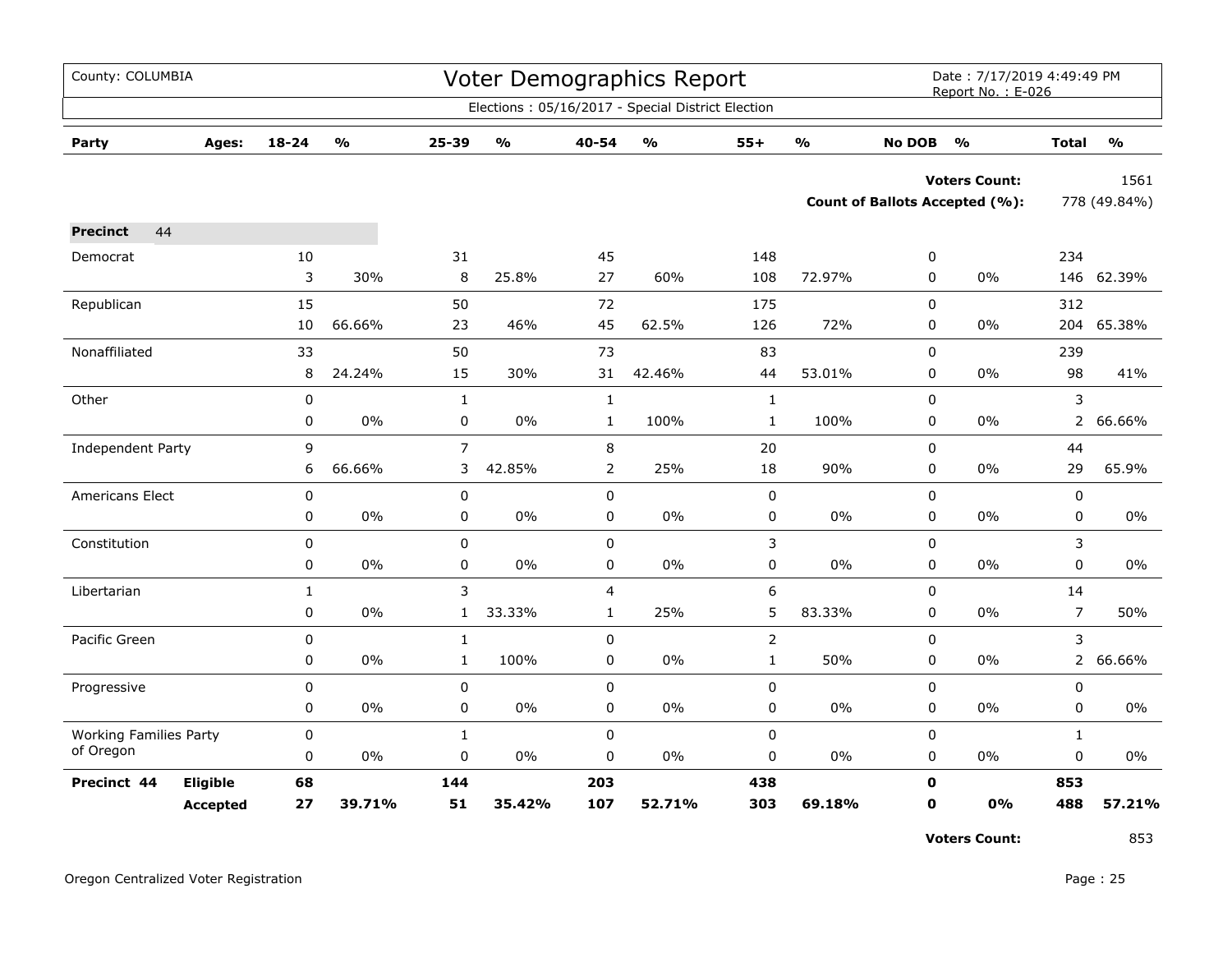| County: COLUMBIA              |                 |             |                         |                |                         |                  | Voter Demographics Report                         |                |                         |               | Date: 7/17/2019 4:49:49 PM<br>Report No.: E-026 |                |                         |
|-------------------------------|-----------------|-------------|-------------------------|----------------|-------------------------|------------------|---------------------------------------------------|----------------|-------------------------|---------------|-------------------------------------------------|----------------|-------------------------|
|                               |                 |             |                         |                |                         |                  | Elections: 05/16/2017 - Special District Election |                |                         |               |                                                 |                |                         |
| Party                         | Ages:           | 18-24       | $\mathbf{O}/\mathbf{o}$ | 25-39          | $\mathbf{O}/\mathbf{O}$ | 40-54            | $\mathbf{O}/\mathbf{o}$                           | $55+$          | $\mathbf{0}/\mathbf{0}$ | <b>No DOB</b> | $\frac{1}{2}$                                   | <b>Total</b>   | $\mathbf{O}/\mathbf{o}$ |
|                               |                 |             |                         |                |                         |                  |                                                   |                |                         |               | <b>Voters Count:</b>                            |                | 1561                    |
|                               |                 |             |                         |                |                         |                  |                                                   |                |                         |               | <b>Count of Ballots Accepted (%):</b>           |                | 778 (49.84%)            |
| 44<br><b>Precinct</b>         |                 |             |                         |                |                         |                  |                                                   |                |                         |               |                                                 |                |                         |
| Democrat                      |                 | 10          |                         | 31             |                         | 45               |                                                   | 148            |                         | 0             |                                                 | 234            |                         |
|                               |                 | 3           | 30%                     | 8              | 25.8%                   | 27               | 60%                                               | 108            | 72.97%                  | 0             | 0%                                              |                | 146 62.39%              |
| Republican                    |                 | 15          |                         | 50             |                         | 72               |                                                   | 175            |                         | $\mathbf 0$   |                                                 | 312            |                         |
|                               |                 | 10          | 66.66%                  | 23             | 46%                     | 45               | 62.5%                                             | 126            | 72%                     | $\pmb{0}$     | $0\%$                                           | 204            | 65.38%                  |
| Nonaffiliated                 |                 | 33          |                         | 50             |                         | 73               |                                                   | 83             |                         | $\mathsf 0$   |                                                 | 239            |                         |
|                               |                 | 8           | 24.24%                  | 15             | 30%                     | 31               | 42.46%                                            | 44             | 53.01%                  | 0             | 0%                                              | 98             | 41%                     |
| Other                         |                 | $\mathbf 0$ |                         | $\mathbf{1}$   |                         | $\mathbf{1}$     |                                                   | $\mathbf{1}$   |                         | 0             |                                                 | 3              |                         |
|                               |                 | 0           | 0%                      | $\mathsf 0$    | $0\%$                   | $\mathbf{1}$     | 100%                                              | $\mathbf 1$    | 100%                    | 0             | 0%                                              | $\overline{2}$ | 66.66%                  |
| Independent Party             |                 | 9           |                         | $\overline{7}$ |                         | 8                |                                                   | 20             |                         | $\mathbf 0$   |                                                 | 44             |                         |
|                               |                 | 6           | 66.66%                  | 3              | 42.85%                  | 2                | 25%                                               | 18             | 90%                     | 0             | 0%                                              | 29             | 65.9%                   |
| Americans Elect               |                 | 0           |                         | 0              |                         | 0                |                                                   | 0              |                         | 0             |                                                 | 0              |                         |
|                               |                 | 0           | 0%                      | 0              | 0%                      | 0                | 0%                                                | 0              | $0\%$                   | 0             | 0%                                              | 0              | 0%                      |
| Constitution                  |                 | 0           |                         | $\pmb{0}$      |                         | 0                |                                                   | 3              |                         | $\mathsf 0$   |                                                 | 3              |                         |
|                               |                 | 0           | 0%                      | $\mathbf 0$    | 0%                      | 0                | 0%                                                | 0              | $0\%$                   | 0             | $0\%$                                           | $\mathbf 0$    | 0%                      |
| Libertarian                   |                 | 1           |                         | 3              |                         | 4                |                                                   | 6              |                         | 0             |                                                 | 14             |                         |
|                               |                 | 0           | 0%                      | $\mathbf{1}$   | 33.33%                  | $\mathbf{1}$     | 25%                                               | 5              | 83.33%                  | 0             | 0%                                              | $\overline{7}$ | 50%                     |
| Pacific Green                 |                 | 0           |                         | $\mathbf{1}$   |                         | $\mathbf 0$      |                                                   | $\overline{2}$ |                         | $\mathbf 0$   |                                                 | 3              |                         |
|                               |                 | 0           | 0%                      | $\mathbf{1}$   | 100%                    | 0                | $0\%$                                             | $\mathbf{1}$   | 50%                     | 0             | 0%                                              | $2^{\circ}$    | 66.66%                  |
| Progressive                   |                 | 0           |                         | $\pmb{0}$      |                         | $\boldsymbol{0}$ |                                                   | 0              |                         | 0             |                                                 | 0              |                         |
|                               |                 | 0           | 0%                      | 0              | 0%                      | 0                | 0%                                                | 0              | 0%                      | 0             | 0%                                              | 0              | 0%                      |
| <b>Working Families Party</b> |                 | 0           |                         | $\mathbf{1}$   |                         | 0                |                                                   | 0              |                         | 0             |                                                 | $\mathbf{1}$   |                         |
| of Oregon                     |                 | 0           | 0%                      | 0              | $0\%$                   | 0                | 0%                                                | 0              | $0\%$                   | 0             | $0\%$                                           | $\mathbf 0$    | 0%                      |
| Precinct 44                   | Eligible        | 68          |                         | 144            |                         | 203              |                                                   | 438            |                         | 0             |                                                 | 853            |                         |
|                               | <b>Accepted</b> | 27          | 39.71%                  | 51             | 35.42%                  | 107              | 52.71%                                            | 303            | 69.18%                  | 0             | 0%                                              | 488            | 57.21%                  |

**Voters Count:** 853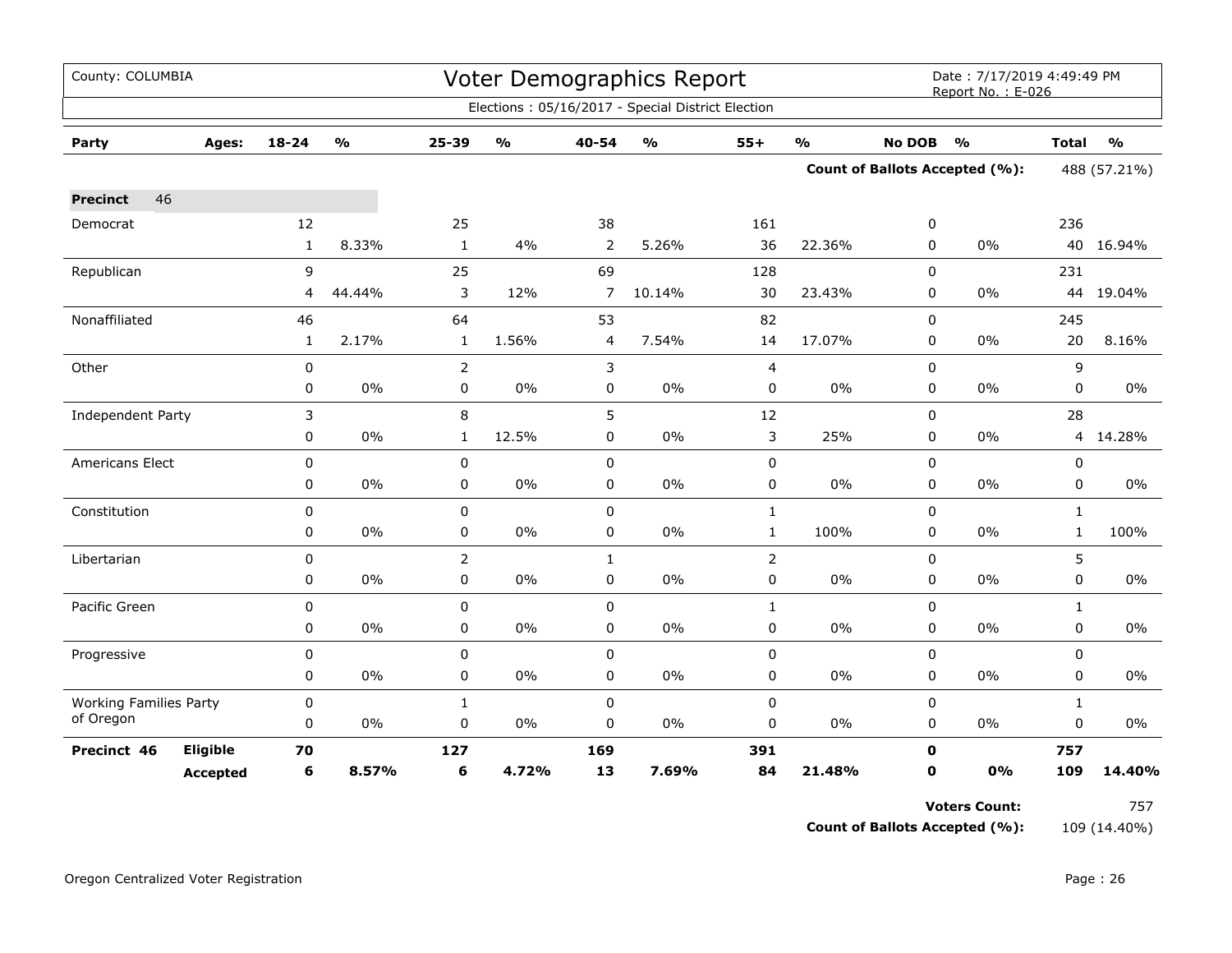| County: COLUMBIA              |                 |              | Report No.: E-026 | Date: 7/17/2019 4:49:49 PM |               |                |                                                   |              |               |               |                                |              |               |
|-------------------------------|-----------------|--------------|-------------------|----------------------------|---------------|----------------|---------------------------------------------------|--------------|---------------|---------------|--------------------------------|--------------|---------------|
|                               |                 |              |                   |                            |               |                | Elections: 05/16/2017 - Special District Election |              |               |               |                                |              |               |
| Party                         | Ages:           | $18 - 24$    | $\frac{0}{0}$     | 25-39                      | $\frac{1}{2}$ | 40-54          | $\frac{0}{0}$                                     | $55+$        | $\frac{0}{0}$ | <b>No DOB</b> | $\frac{1}{2}$                  | <b>Total</b> | $\frac{1}{2}$ |
|                               |                 |              |                   |                            |               |                |                                                   |              |               |               | Count of Ballots Accepted (%): | 488 (57.21%) |               |
| 46<br><b>Precinct</b>         |                 |              |                   |                            |               |                |                                                   |              |               |               |                                |              |               |
| Democrat                      |                 | 12           |                   | 25                         |               | 38             |                                                   | 161          |               | 0             |                                | 236          |               |
|                               |                 | $\mathbf{1}$ | 8.33%             | $\mathbf{1}$               | 4%            | 2              | 5.26%                                             | 36           | 22.36%        | 0             | $0\%$                          | 40           | 16.94%        |
| Republican                    |                 | 9            |                   | 25                         |               | 69             |                                                   | 128          |               | $\mathbf 0$   |                                | 231          |               |
|                               |                 | 4            | 44.44%            | 3                          | 12%           | $\overline{7}$ | 10.14%                                            | 30           | 23.43%        | $\mathbf 0$   | $0\%$                          |              | 44 19.04%     |
| Nonaffiliated                 |                 | 46           |                   | 64                         |               | 53             |                                                   | 82           |               | $\mathbf 0$   |                                | 245          |               |
|                               |                 | $\mathbf{1}$ | 2.17%             | $\mathbf{1}$               | 1.56%         | 4              | 7.54%                                             | 14           | 17.07%        | 0             | 0%                             | 20           | 8.16%         |
| Other                         |                 | 0            |                   | 2                          |               | 3              |                                                   | 4            |               | 0             |                                | 9            |               |
|                               |                 | 0            | 0%                | 0                          | $0\%$         | $\mathbf 0$    | $0\%$                                             | 0            | 0%            | $\mathbf 0$   | 0%                             | 0            | 0%            |
| Independent Party             |                 | 3            |                   | 8                          |               | 5              |                                                   | 12           |               | $\mathbf 0$   |                                | 28           |               |
|                               |                 | 0            | 0%                | 1                          | 12.5%         | 0              | 0%                                                | 3            | 25%           | 0             | $0\%$                          | 4            | 14.28%        |
| Americans Elect               |                 | 0            |                   | 0                          |               | 0              |                                                   | 0            |               | $\mathbf 0$   |                                | 0            |               |
|                               |                 | 0            | 0%                | 0                          | $0\%$         | 0              | $0\%$                                             | 0            | $0\%$         | 0             | 0%                             | 0            | $0\%$         |
| Constitution                  |                 | 0            |                   | 0                          |               | $\pmb{0}$      |                                                   | $\mathbf 1$  |               | 0             |                                | $\mathbf{1}$ |               |
|                               |                 | 0            | 0%                | 0                          | $0\%$         | 0              | $0\%$                                             | $\mathbf{1}$ | 100%          | 0             | 0%                             | $\mathbf{1}$ | 100%          |
| Libertarian                   |                 | 0            |                   | $\overline{2}$             |               | $\mathbf{1}$   |                                                   | 2            |               | 0             |                                | 5            |               |
|                               |                 | 0            | 0%                | 0                          | 0%            | $\mathbf 0$    | 0%                                                | 0            | 0%            | $\mathbf 0$   | 0%                             | $\mathbf 0$  | 0%            |
| Pacific Green                 |                 | 0            |                   | $\mathbf 0$                |               | 0              |                                                   | $\mathbf{1}$ |               | $\mathbf 0$   |                                | $\mathbf{1}$ |               |
|                               |                 | 0            | 0%                | 0                          | 0%            | 0              | 0%                                                | 0            | 0%            | 0             | 0%                             | 0            | 0%            |
| Progressive                   |                 | 0            |                   | 0                          |               | 0              |                                                   | 0            |               | 0             |                                | 0            |               |
|                               |                 | 0            | 0%                | 0                          | $0\%$         | $\mathbf 0$    | $0\%$                                             | 0            | $0\%$         | 0             | $0\%$                          | $\mathbf 0$  | $0\%$         |
| <b>Working Families Party</b> |                 | 0            |                   | $\mathbf{1}$               |               | $\mathbf 0$    |                                                   | 0            |               | $\pmb{0}$     |                                | $\mathbf{1}$ |               |
| of Oregon                     |                 | 0            | $0\%$             | 0                          | $0\%$         | 0              | $0\%$                                             | 0            | $0\%$         | 0             | $0\%$                          | $\pmb{0}$    | $0\%$         |
| Precinct 46                   | Eligible        | 70           |                   | 127                        |               | 169            |                                                   | 391          |               | O             |                                | 757          |               |
|                               | <b>Accepted</b> | 6            | 8.57%             | 6                          | 4.72%         | 13             | 7.69%                                             | 84           | 21.48%        | O             | 0%                             | 109          | 14.40%        |

**Voters Count:** 757

**Count of Ballots Accepted (%):** 109 (14.40%)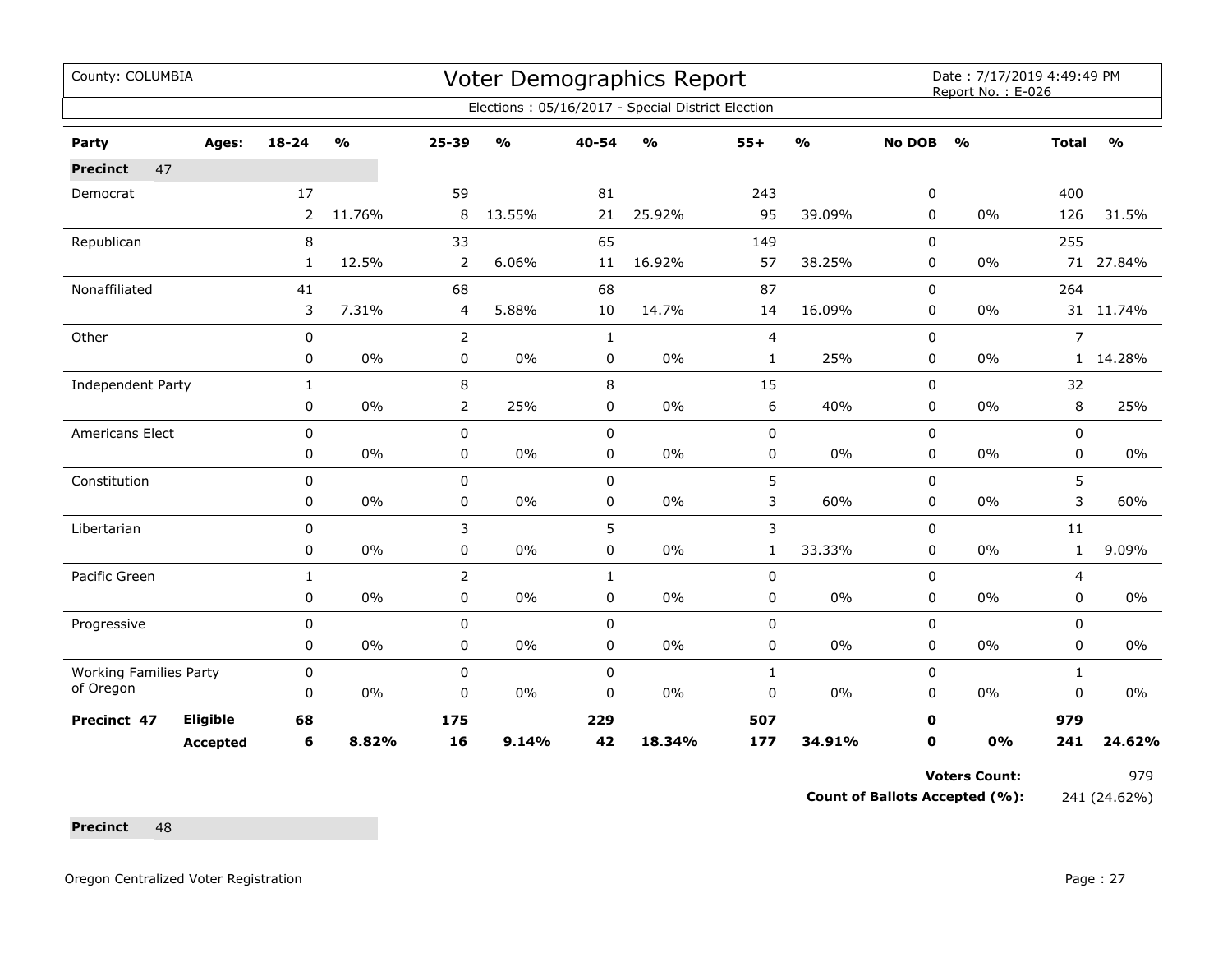| County: COLUMBIA<br><b>Voter Demographics Report</b><br>Date: 7/17/2019 4:49:49 PM<br>Report No.: E-026<br>Elections: 05/16/2017 - Special District Election<br>$18 - 24$<br>$\mathsf{o}\mathsf{v}_\mathsf{o}$<br>25-39<br>$\frac{0}{0}$<br>40-54<br>$\frac{1}{2}$<br>$55+$<br>$\frac{1}{2}$<br><b>No DOB</b><br>$\mathbf{O}/\mathbf{O}$<br>$\frac{1}{2}$<br><b>Total</b><br>Party<br>Ages:<br>47<br><b>Precinct</b><br>17<br>59<br>243<br>400<br>81<br>0<br>Democrat<br>95<br>$\overline{2}$<br>11.76%<br>8<br>13.55%<br>25.92%<br>39.09%<br>0%<br>126<br>21<br>0<br>8<br>65<br>149<br>255<br>Republican<br>33<br>0<br>12.5%<br>$\overline{2}$<br>16.92%<br>57<br>38.25%<br>$\mathbf{1}$<br>6.06%<br>0<br>0%<br>71 27.84%<br>11<br>87<br>Nonaffiliated<br>68<br>68<br>0<br>264<br>41 |                 |              |       |                |       |              |        |              |        |             |    |                |           |
|---------------------------------------------------------------------------------------------------------------------------------------------------------------------------------------------------------------------------------------------------------------------------------------------------------------------------------------------------------------------------------------------------------------------------------------------------------------------------------------------------------------------------------------------------------------------------------------------------------------------------------------------------------------------------------------------------------------------------------------------------------------------------------------|-----------------|--------------|-------|----------------|-------|--------------|--------|--------------|--------|-------------|----|----------------|-----------|
|                                                                                                                                                                                                                                                                                                                                                                                                                                                                                                                                                                                                                                                                                                                                                                                       |                 |              |       |                |       |              |        |              |        |             |    |                |           |
|                                                                                                                                                                                                                                                                                                                                                                                                                                                                                                                                                                                                                                                                                                                                                                                       |                 |              |       |                |       |              |        |              |        |             |    |                |           |
|                                                                                                                                                                                                                                                                                                                                                                                                                                                                                                                                                                                                                                                                                                                                                                                       |                 |              |       |                |       |              |        |              |        |             |    |                |           |
|                                                                                                                                                                                                                                                                                                                                                                                                                                                                                                                                                                                                                                                                                                                                                                                       |                 |              |       |                |       |              |        |              |        |             |    |                |           |
|                                                                                                                                                                                                                                                                                                                                                                                                                                                                                                                                                                                                                                                                                                                                                                                       |                 |              |       |                |       |              |        |              |        |             |    |                | 31.5%     |
|                                                                                                                                                                                                                                                                                                                                                                                                                                                                                                                                                                                                                                                                                                                                                                                       |                 |              |       |                |       |              |        |              |        |             |    |                |           |
|                                                                                                                                                                                                                                                                                                                                                                                                                                                                                                                                                                                                                                                                                                                                                                                       |                 |              |       |                |       |              |        |              |        |             |    |                |           |
|                                                                                                                                                                                                                                                                                                                                                                                                                                                                                                                                                                                                                                                                                                                                                                                       |                 |              |       |                |       |              |        |              |        |             |    |                |           |
|                                                                                                                                                                                                                                                                                                                                                                                                                                                                                                                                                                                                                                                                                                                                                                                       |                 | 3            | 7.31% | 4              | 5.88% | 10           | 14.7%  | 14           | 16.09% | 0           | 0% |                | 31 11.74% |
| Other                                                                                                                                                                                                                                                                                                                                                                                                                                                                                                                                                                                                                                                                                                                                                                                 |                 | $\pmb{0}$    |       | 2              |       | $\mathbf{1}$ |        | 4            |        | 0           |    | $\overline{7}$ |           |
|                                                                                                                                                                                                                                                                                                                                                                                                                                                                                                                                                                                                                                                                                                                                                                                       |                 | 0            | 0%    | 0              | $0\%$ | 0            | 0%     | $\mathbf{1}$ | 25%    | 0           | 0% | $\mathbf{1}$   | 14.28%    |
| Independent Party                                                                                                                                                                                                                                                                                                                                                                                                                                                                                                                                                                                                                                                                                                                                                                     |                 | $\mathbf{1}$ |       | 8              |       | 8            |        | 15           |        | 0           |    | 32             |           |
|                                                                                                                                                                                                                                                                                                                                                                                                                                                                                                                                                                                                                                                                                                                                                                                       |                 | 0            | 0%    | $\overline{2}$ | 25%   | 0            | 0%     | 6            | 40%    | $\Omega$    | 0% | 8              | 25%       |
| <b>Americans Elect</b>                                                                                                                                                                                                                                                                                                                                                                                                                                                                                                                                                                                                                                                                                                                                                                |                 | $\mathbf 0$  |       | 0              |       | $\mathsf 0$  |        | $\pmb{0}$    |        | 0           |    | 0              |           |
|                                                                                                                                                                                                                                                                                                                                                                                                                                                                                                                                                                                                                                                                                                                                                                                       |                 | 0            | $0\%$ | $\mathbf 0$    | $0\%$ | $\pmb{0}$    | 0%     | $\pmb{0}$    | 0%     | $\mathbf 0$ | 0% | 0              | $0\%$     |
| Constitution                                                                                                                                                                                                                                                                                                                                                                                                                                                                                                                                                                                                                                                                                                                                                                          |                 | $\mathbf 0$  |       | 0              |       | $\mathsf 0$  |        | 5            |        | $\Omega$    |    | 5              |           |
|                                                                                                                                                                                                                                                                                                                                                                                                                                                                                                                                                                                                                                                                                                                                                                                       |                 | 0            | $0\%$ | $\mathbf 0$    | 0%    | $\mathbf 0$  | 0%     | 3            | 60%    | $\Omega$    | 0% | 3              | 60%       |
| Libertarian                                                                                                                                                                                                                                                                                                                                                                                                                                                                                                                                                                                                                                                                                                                                                                           |                 | 0            |       | 3              |       | 5            |        | 3            |        | 0           |    | 11             |           |
|                                                                                                                                                                                                                                                                                                                                                                                                                                                                                                                                                                                                                                                                                                                                                                                       |                 | 0            | $0\%$ | 0              | $0\%$ | $\pmb{0}$    | $0\%$  | $\mathbf{1}$ | 33.33% | 0           | 0% | $\mathbf{1}$   | 9.09%     |
| Pacific Green                                                                                                                                                                                                                                                                                                                                                                                                                                                                                                                                                                                                                                                                                                                                                                         |                 | 1            |       |                |       | $\mathbf{1}$ |        | $\pmb{0}$    |        | 0           |    | 4              |           |
|                                                                                                                                                                                                                                                                                                                                                                                                                                                                                                                                                                                                                                                                                                                                                                                       |                 | 0            | 0%    | 0              | 0%    | $\pmb{0}$    | $0\%$  | $\pmb{0}$    | 0%     | 0           | 0% | 0              | 0%        |
| Progressive                                                                                                                                                                                                                                                                                                                                                                                                                                                                                                                                                                                                                                                                                                                                                                           |                 | $\pmb{0}$    |       | 0              |       | $\pmb{0}$    |        | $\pmb{0}$    |        | 0           |    | 0              |           |
|                                                                                                                                                                                                                                                                                                                                                                                                                                                                                                                                                                                                                                                                                                                                                                                       |                 | 0            | $0\%$ | 0              | $0\%$ | $\pmb{0}$    | $0\%$  | $\pmb{0}$    | 0%     | 0           | 0% | 0              | $0\%$     |
| <b>Working Families Party</b>                                                                                                                                                                                                                                                                                                                                                                                                                                                                                                                                                                                                                                                                                                                                                         |                 | 0            |       | 0              |       | $\pmb{0}$    |        | $\mathbf{1}$ |        | 0           |    | 1              |           |
| of Oregon                                                                                                                                                                                                                                                                                                                                                                                                                                                                                                                                                                                                                                                                                                                                                                             |                 | 0            | 0%    | 0              | $0\%$ | $\pmb{0}$    | $0\%$  | $\pmb{0}$    | 0%     | 0           | 0% | 0              | 0%        |
| Precinct 47                                                                                                                                                                                                                                                                                                                                                                                                                                                                                                                                                                                                                                                                                                                                                                           | <b>Eligible</b> | 68           |       | 175            |       | 229          |        | 507          |        | $\mathbf 0$ |    | 979            |           |
|                                                                                                                                                                                                                                                                                                                                                                                                                                                                                                                                                                                                                                                                                                                                                                                       | <b>Accepted</b> | 6            | 8.82% | 16             | 9.14% | 42           | 18.34% | 177          | 34.91% | 0           | 0% | 241            | 24.62%    |

Voters Count: 979

**Count of Ballots Accepted (%):** 241 (24.62%)

Precinct 48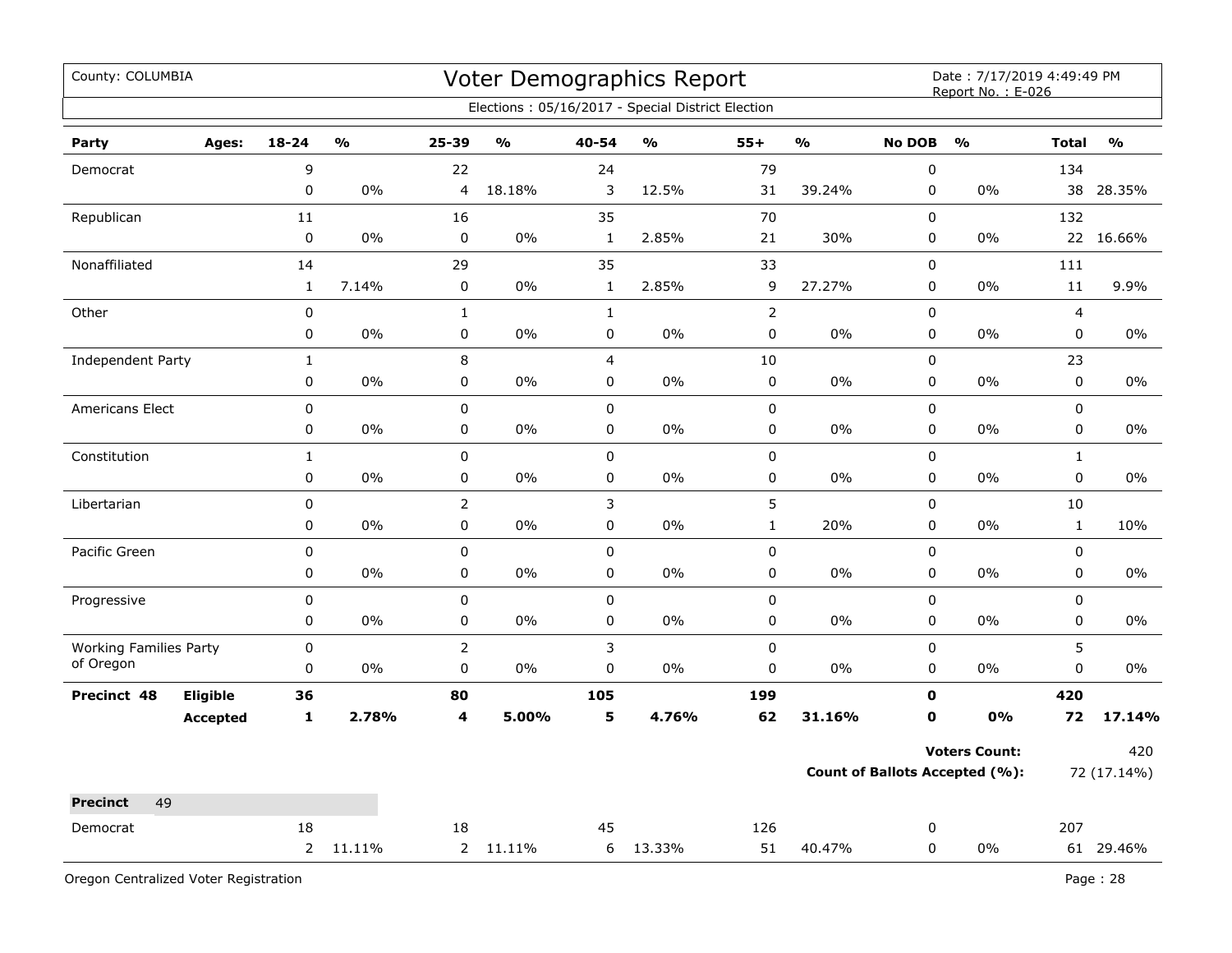| County: COLUMBIA                           |                             |                    |               |                             |          |                  | Voter Demographics Report                         |              |               |                             | Date: 7/17/2019 4:49:49 PM<br>Report No.: E-026 |                         |               |
|--------------------------------------------|-----------------------------|--------------------|---------------|-----------------------------|----------|------------------|---------------------------------------------------|--------------|---------------|-----------------------------|-------------------------------------------------|-------------------------|---------------|
|                                            |                             |                    |               |                             |          |                  | Elections: 05/16/2017 - Special District Election |              |               |                             |                                                 |                         |               |
| Party                                      | Ages:                       | 18-24              | $\frac{1}{2}$ | 25-39                       | %        | 40-54            | %                                                 | $55+$        | $\frac{0}{0}$ | <b>No DOB</b>               | $\mathbf{O}/\mathbf{o}$                         | <b>Total</b>            | $\frac{1}{2}$ |
| Democrat                                   |                             | 9                  |               | 22                          |          | 24               |                                                   | 79           |               | $\mathbf 0$                 |                                                 | 134                     |               |
|                                            |                             | 0                  | 0%            | 4                           | 18.18%   | 3                | 12.5%                                             | 31           | 39.24%        | 0                           | 0%                                              | 38                      | 28.35%        |
| Republican                                 |                             | 11                 |               | 16                          |          | 35               |                                                   | 70           |               | 0                           |                                                 | 132                     |               |
|                                            |                             | $\pmb{0}$          | 0%            | $\pmb{0}$                   | 0%       | $\mathbf{1}$     | 2.85%                                             | 21           | 30%           | 0                           | $0\%$                                           | 22                      | 16.66%        |
| Nonaffiliated                              |                             | 14                 |               | 29                          |          | 35               |                                                   | 33           |               | 0                           |                                                 | 111                     |               |
|                                            |                             | $\mathbf{1}$       | 7.14%         | $\pmb{0}$                   | 0%       | $\mathbf 1$      | 2.85%                                             | 9            | 27.27%        | 0                           | 0%                                              | $11\,$                  | 9.9%          |
| Other                                      |                             | $\pmb{0}$          |               | $\mathbf 1$                 |          | $\mathbf{1}$     |                                                   | $\mathbf 2$  |               | 0                           |                                                 | $\overline{\mathbf{4}}$ |               |
|                                            |                             | 0                  | 0%            | $\mathbf 0$                 | 0%       | 0                | 0%                                                | 0            | 0%            | 0                           | 0%                                              | 0                       | $0\%$         |
| <b>Independent Party</b>                   |                             | $\mathbf{1}$       |               | 8                           |          | $\overline{4}$   |                                                   | $10\,$       |               | 0                           |                                                 | 23                      |               |
|                                            |                             | 0                  | 0%            | $\pmb{0}$                   | 0%       | $\mathbf 0$      | 0%                                                | 0            | $0\%$         | 0                           | 0%                                              | 0                       | $0\%$         |
| <b>Americans Elect</b>                     |                             | $\pmb{0}$          |               | $\pmb{0}$                   |          | $\mathbf 0$      |                                                   | $\pmb{0}$    |               | 0                           |                                                 | $\pmb{0}$               |               |
|                                            |                             | 0                  | 0%            | $\pmb{0}$                   | 0%       | 0                | 0%                                                | 0            | $0\%$         | 0                           | $0\%$                                           | 0                       | 0%            |
| Constitution                               |                             | $\mathbf{1}$       |               | $\pmb{0}$                   |          | $\mathbf 0$      |                                                   | 0            |               | $\mathbf 0$                 |                                                 | $\mathbf 1$             |               |
|                                            |                             | 0                  | $0\%$         | $\pmb{0}$                   | 0%       | $\mathbf 0$      | 0%                                                | 0            | $0\%$         | $\mathbf 0$                 | $0\%$                                           | $\mathbf 0$             | $0\%$         |
| Libertarian                                |                             | 0                  |               | $\overline{2}$              |          | 3                |                                                   | 5            |               | 0                           |                                                 | $10\,$                  |               |
|                                            |                             | 0                  | $0\%$         | $\pmb{0}$                   | $0\%$    | $\mathbf 0$      | $0\%$                                             | $\mathbf{1}$ | 20%           | $\mathbf 0$                 | $0\%$                                           | $\mathbf{1}$            | 10%           |
| Pacific Green                              |                             | 0                  |               | $\pmb{0}$                   |          | 0                |                                                   | 0            |               | 0                           |                                                 | 0                       |               |
|                                            |                             | $\pmb{0}$          | 0%            | $\mathsf 0$                 | 0%       | 0                | 0%                                                | 0            | 0%            | 0                           | 0%                                              | 0                       | $0\%$         |
| Progressive                                |                             | $\pmb{0}$          |               | $\pmb{0}$                   |          | $\pmb{0}$        |                                                   | 0            |               | 0                           |                                                 | 0                       |               |
|                                            |                             | 0                  | 0%            | $\mathbf 0$                 | 0%       | 0                | 0%                                                | 0            | 0%            | 0                           | 0%                                              | 0                       | 0%            |
| <b>Working Families Party</b><br>of Oregon |                             | $\mathbf 0$<br>0   | 0%            | $\overline{2}$<br>$\pmb{0}$ | 0%       | 3<br>$\mathbf 0$ | $0\%$                                             | 0<br>0       | 0%            | 0<br>0                      | 0%                                              | 5<br>0                  | $0\%$         |
|                                            |                             |                    |               |                             |          |                  |                                                   |              |               |                             |                                                 |                         |               |
| Precinct 48                                | Eligible<br><b>Accepted</b> | 36<br>$\mathbf{1}$ | 2.78%         | 80<br>4                     | 5.00%    | 105<br>5         | 4.76%                                             | 199<br>62    | 31.16%        | $\mathbf 0$<br>$\mathbf{0}$ | 0%                                              | 420<br>72               | 17.14%        |
|                                            |                             |                    |               |                             |          |                  |                                                   |              |               |                             |                                                 |                         |               |
|                                            |                             |                    |               |                             |          |                  |                                                   |              |               |                             | <b>Voters Count:</b>                            |                         | 420           |
|                                            |                             |                    |               |                             |          |                  |                                                   |              |               |                             | <b>Count of Ballots Accepted (%):</b>           |                         | 72 (17.14%)   |
| 49<br><b>Precinct</b>                      |                             |                    |               |                             |          |                  |                                                   |              |               |                             |                                                 |                         |               |
| Democrat                                   |                             | 18                 |               | 18                          |          | 45               |                                                   | 126          |               | 0                           |                                                 | 207                     |               |
|                                            |                             | $2^{\circ}$        | 11.11%        |                             | 2 11.11% | 6                | 13.33%                                            | 51           | 40.47%        | 0                           | 0%                                              |                         | 61 29.46%     |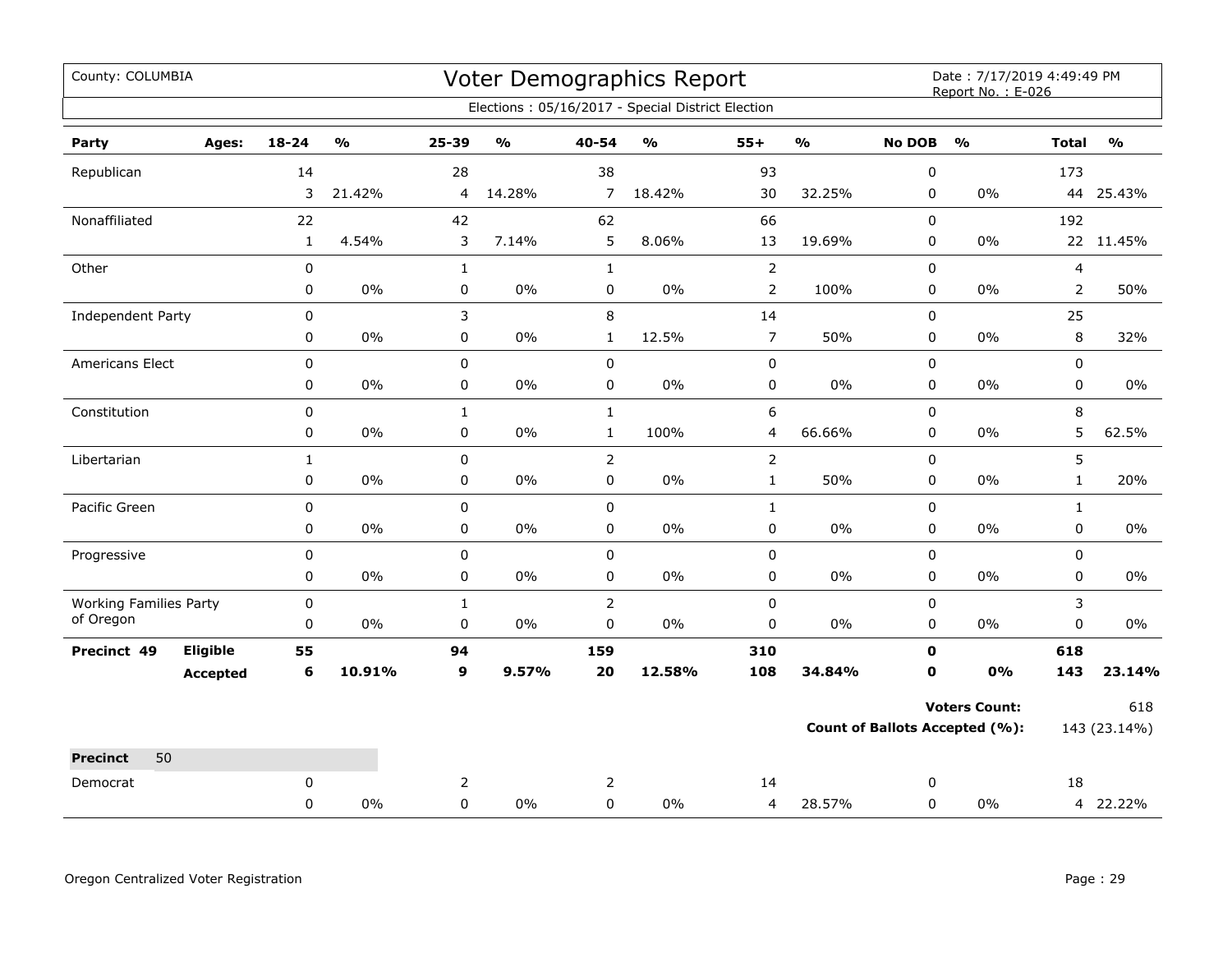| County: COLUMBIA              |                 |              |               |                |               |                  | <b>Voter Demographics Report</b>                  |                |               |                                       | Date: 7/17/2019 4:49:49 PM<br>Report No.: E-026 |                             |               |
|-------------------------------|-----------------|--------------|---------------|----------------|---------------|------------------|---------------------------------------------------|----------------|---------------|---------------------------------------|-------------------------------------------------|-----------------------------|---------------|
|                               |                 |              |               |                |               |                  | Elections: 05/16/2017 - Special District Election |                |               |                                       |                                                 |                             |               |
| Party                         | Ages:           | $18 - 24$    | $\frac{0}{0}$ | $25 - 39$      | $\frac{1}{2}$ | $40 - 54$        | $\frac{9}{0}$                                     | $55+$          | $\frac{1}{2}$ | <b>No DOB</b>                         | $\frac{1}{2}$                                   | <b>Total</b>                | $\frac{1}{2}$ |
| Republican                    |                 | 14           |               | 28             |               | 38               |                                                   | 93             |               | 0                                     |                                                 | 173                         |               |
|                               |                 | 3            | 21.42%        | $\overline{4}$ | 14.28%        | $\overline{7}$   | 18.42%                                            | 30             | 32.25%        | 0                                     | $0\%$                                           |                             | 44 25.43%     |
| Nonaffiliated                 |                 | 22           |               | 42             |               | 62               |                                                   | 66             |               | 0                                     |                                                 | 192                         |               |
|                               |                 | $\mathbf{1}$ | 4.54%         | 3              | 7.14%         | 5                | 8.06%                                             | 13             | 19.69%        | 0                                     | $0\%$                                           |                             | 22 11.45%     |
| Other                         |                 | $\pmb{0}$    |               | $\mathbf{1}$   |               | $\mathbf{1}$     |                                                   | $\overline{2}$ |               | 0                                     |                                                 | 4                           |               |
|                               |                 | 0            | 0%            | $\pmb{0}$      | 0%            | 0                | 0%                                                | $\overline{2}$ | 100%          | 0                                     | $0\%$                                           | $\overline{2}$              | 50%           |
| Independent Party             |                 | $\pmb{0}$    |               | 3              |               | 8                |                                                   | 14             |               | 0                                     |                                                 | 25                          |               |
|                               |                 | 0            | 0%            | $\pmb{0}$      | $0\%$         | $\mathbf{1}$     | 12.5%                                             | $\overline{7}$ | 50%           | 0                                     | 0%                                              | 8                           | 32%           |
| Americans Elect               |                 | $\pmb{0}$    |               | $\pmb{0}$      |               | $\mathbf 0$      |                                                   | $\pmb{0}$      |               | 0                                     |                                                 | 0                           |               |
|                               |                 | 0            | 0%            | $\pmb{0}$      | $0\%$         | 0                | 0%                                                | 0              | $0\%$         | 0                                     | 0%                                              | 0                           | $0\%$         |
| Constitution                  |                 | 0            |               | $\mathbf{1}$   |               | $\mathbf{1}$     |                                                   | 6              |               | 0                                     |                                                 | 8                           |               |
|                               |                 | 0            | 0%            | $\pmb{0}$      | $0\%$         | $\mathbf{1}$     | 100%                                              | 4              | 66.66%        | 0                                     | $0\%$                                           | 5                           | 62.5%         |
| Libertarian                   |                 | $\mathbf{1}$ |               | $\mathbf 0$    |               | $\overline{2}$   |                                                   | $\overline{2}$ |               | 0                                     |                                                 | 5                           |               |
|                               |                 | $\pmb{0}$    | 0%            | 0              | 0%            | 0                | $0\%$                                             | $\mathbf{1}$   | 50%           | 0                                     | $0\%$                                           | $\mathbf{1}$                | 20%           |
| Pacific Green                 |                 | 0            |               | $\pmb{0}$      |               | 0                |                                                   | $\mathbf 1$    | $0\%$         | 0                                     |                                                 | $\mathbf{1}$<br>$\mathbf 0$ |               |
|                               |                 | 0            | 0%            | 0              | $0\%$         | 0                | $0\%$                                             | 0              |               | 0                                     | $0\%$                                           |                             | $0\%$         |
| Progressive                   |                 | 0<br>0       | 0%            | $\pmb{0}$<br>0 | 0%            | 0<br>0           | $0\%$                                             | 0<br>0         | 0%            | 0<br>0                                | 0%                                              | 0<br>0                      | $0\%$         |
| <b>Working Families Party</b> |                 | $\pmb{0}$    |               | $\mathbf{1}$   |               | $\overline{2}$   |                                                   | $\pmb{0}$      |               | 0                                     |                                                 | 3                           |               |
| of Oregon                     |                 | 0            | 0%            | $\pmb{0}$      | $0\%$         | $\boldsymbol{0}$ | $0\%$                                             | 0              | $0\%$         | 0                                     | $0\%$                                           | 0                           | 0%            |
| Precinct 49                   | Eligible        | 55           |               | 94             |               | 159              |                                                   | 310            |               | 0                                     |                                                 | 618                         |               |
|                               | <b>Accepted</b> | 6            | 10.91%        | 9              | 9.57%         | 20               | 12.58%                                            | 108            | 34.84%        | 0                                     | 0%                                              | 143                         | 23.14%        |
|                               |                 |              |               |                |               |                  |                                                   |                |               |                                       | <b>Voters Count:</b>                            |                             | 618           |
|                               |                 |              |               |                |               |                  |                                                   |                |               | <b>Count of Ballots Accepted (%):</b> |                                                 | 143 (23.14%)                |               |
| 50<br><b>Precinct</b>         |                 |              |               |                |               |                  |                                                   |                |               |                                       |                                                 |                             |               |
| Democrat                      |                 | 0            |               | 2              |               | 2                |                                                   | 14             |               | 0                                     |                                                 | 18                          |               |
|                               |                 | 0            | 0%            | $\mathbf 0$    | 0%            | 0                | 0%                                                | 4              | 28.57%        | 0                                     | 0%                                              |                             | 4 22.22%      |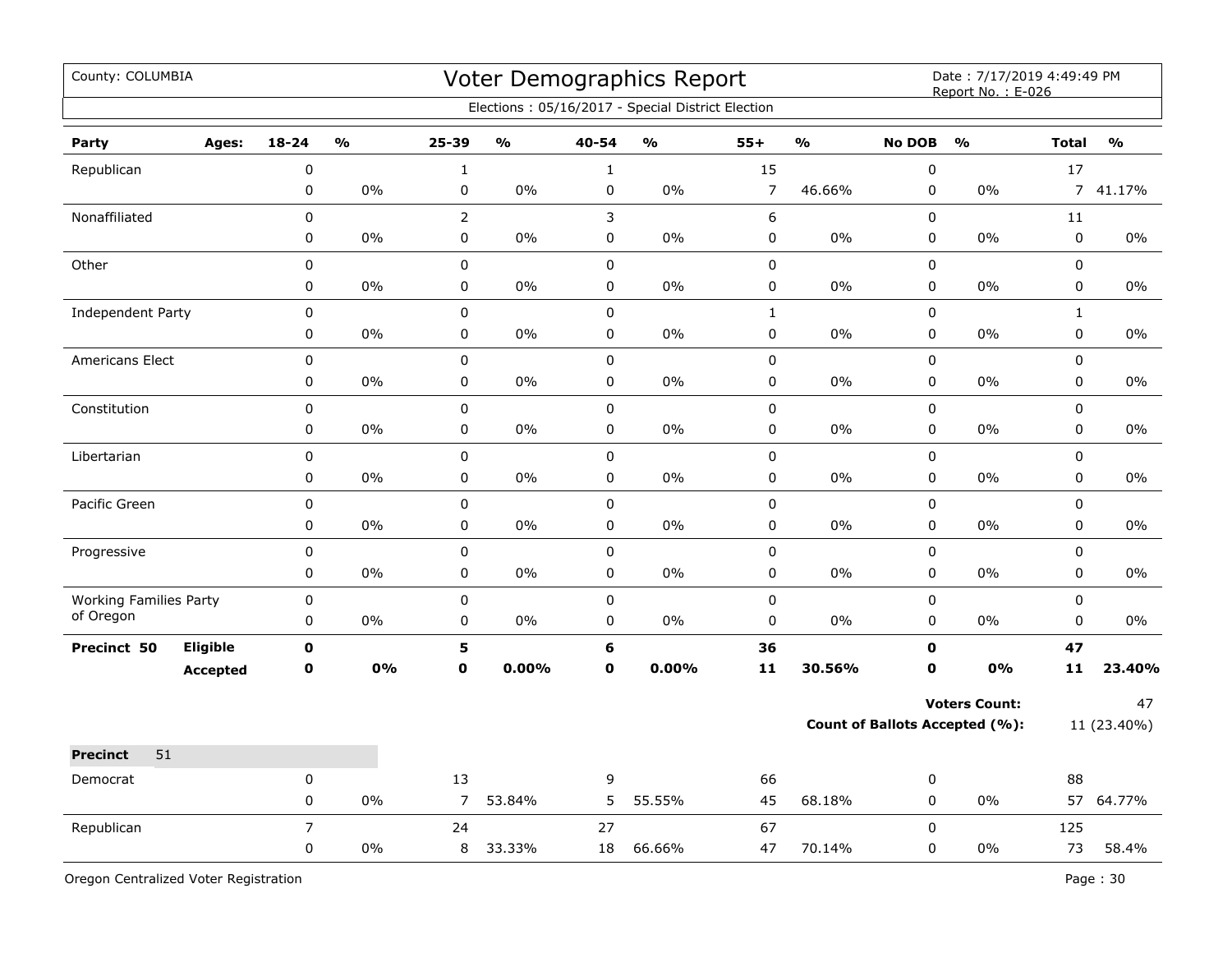| County: COLUMBIA              |                |                         |                |                         |              | Voter Demographics Report                         |                |                                       |               | Date: 7/17/2019 4:49:49 PM<br>Report No.: E-026 |                |                         |
|-------------------------------|----------------|-------------------------|----------------|-------------------------|--------------|---------------------------------------------------|----------------|---------------------------------------|---------------|-------------------------------------------------|----------------|-------------------------|
|                               |                |                         |                |                         |              | Elections: 05/16/2017 - Special District Election |                |                                       |               |                                                 |                |                         |
| Ages:<br>Party                | $18 - 24$      | $\mathbf{0}/\mathbf{0}$ | 25-39          | $\mathbf{0}/\mathbf{0}$ | 40-54        | $\frac{1}{2}$                                     | $55+$          | $\mathbf{0}/\mathbf{0}$               | <b>No DOB</b> | $\mathbf{O}/\mathbf{o}$                         | <b>Total</b>   | $\mathbf{O}/\mathbf{O}$ |
| Republican                    | $\pmb{0}$      |                         | $\mathbf{1}$   |                         | $\mathbf{1}$ |                                                   | 15             |                                       | $\pmb{0}$     |                                                 | 17             |                         |
|                               | $\pmb{0}$      | 0%                      | $\pmb{0}$      | 0%                      | $\pmb{0}$    | $0\%$                                             | $\overline{7}$ | 46.66%                                | $\pmb{0}$     | 0%                                              | $\overline{7}$ | 41.17%                  |
| Nonaffiliated                 | $\pmb{0}$      |                         | $\overline{2}$ |                         | 3            |                                                   | 6              |                                       | $\pmb{0}$     |                                                 | $11\,$         |                         |
|                               | 0              | 0%                      | $\pmb{0}$      | 0%                      | $\pmb{0}$    | 0%                                                | $\pmb{0}$      | 0%                                    | $\pmb{0}$     | 0%                                              | $\pmb{0}$      | $0\%$                   |
| Other                         | $\pmb{0}$      |                         | $\pmb{0}$      |                         | $\pmb{0}$    |                                                   | $\pmb{0}$      |                                       | $\mathsf 0$   |                                                 | $\pmb{0}$      |                         |
|                               | 0              | 0%                      | 0              | 0%                      | $\mathbf 0$  | 0%                                                | 0              | 0%                                    | 0             | 0%                                              | $\pmb{0}$      | 0%                      |
| <b>Independent Party</b>      | 0              |                         | $\mathsf 0$    |                         | $\mathsf 0$  |                                                   | $\mathbf{1}$   |                                       | $\mathsf 0$   |                                                 | $\mathbf{1}$   |                         |
|                               | 0              | $0\%$                   | $\pmb{0}$      | 0%                      | $\pmb{0}$    | 0%                                                | 0              | $0\%$                                 | $\pmb{0}$     | $0\%$                                           | $\pmb{0}$      | 0%                      |
| <b>Americans Elect</b>        | $\pmb{0}$      |                         | $\pmb{0}$      |                         | $\pmb{0}$    |                                                   | $\mathsf 0$    |                                       | $\pmb{0}$     |                                                 | $\pmb{0}$      |                         |
|                               | 0              | 0%                      | $\pmb{0}$      | 0%                      | $\pmb{0}$    | 0%                                                | $\pmb{0}$      | 0%                                    | $\pmb{0}$     | 0%                                              | $\pmb{0}$      | $0\%$                   |
| Constitution                  | $\pmb{0}$      |                         | $\pmb{0}$      |                         | $\pmb{0}$    |                                                   | $\pmb{0}$      |                                       | $\pmb{0}$     |                                                 | $\pmb{0}$      |                         |
|                               | 0              | 0%                      | $\pmb{0}$      | 0%                      | $\pmb{0}$    | 0%                                                | $\pmb{0}$      | 0%                                    | $\mathsf 0$   | 0%                                              | $\pmb{0}$      | 0%                      |
| Libertarian                   | $\pmb{0}$      |                         | $\pmb{0}$      |                         | $\pmb{0}$    |                                                   | $\pmb{0}$      |                                       | $\pmb{0}$     |                                                 | $\pmb{0}$      |                         |
|                               | 0              | 0%                      | $\pmb{0}$      | 0%                      | $\pmb{0}$    | 0%                                                | 0              | 0%                                    | 0             | 0%                                              | 0              | 0%                      |
| Pacific Green                 | 0              |                         | $\mathsf 0$    |                         | $\mathbf 0$  |                                                   | $\pmb{0}$      |                                       | $\mathsf 0$   |                                                 | $\mathsf 0$    |                         |
|                               | 0              | 0%                      | $\pmb{0}$      | 0%                      | $\mathbf 0$  | 0%                                                | 0              | 0%                                    | $\mathsf 0$   | 0%                                              | $\mathsf 0$    | 0%                      |
| Progressive                   | $\pmb{0}$      |                         | $\mathbf 0$    |                         | $\mathsf 0$  |                                                   | $\pmb{0}$      |                                       | $\mathsf 0$   |                                                 | $\mathsf 0$    |                         |
|                               | $\pmb{0}$      | 0%                      | $\pmb{0}$      | 0%                      | $\pmb{0}$    | 0%                                                | $\pmb{0}$      | 0%                                    | $\pmb{0}$     | 0%                                              | $\pmb{0}$      | 0%                      |
| <b>Working Families Party</b> | $\pmb{0}$      |                         | $\pmb{0}$      |                         | $\pmb{0}$    |                                                   | $\pmb{0}$      |                                       | $\pmb{0}$     |                                                 | $\pmb{0}$      |                         |
| of Oregon                     | 0              | 0%                      | 0              | 0%                      | $\mathbf 0$  | 0%                                                | $\pmb{0}$      | 0%                                    | $\mathsf 0$   | $0\%$                                           | $\pmb{0}$      | 0%                      |
| Eligible<br>Precinct 50       | $\mathbf 0$    |                         | 5              |                         | 6            |                                                   | 36             |                                       | 0             |                                                 | 47             |                         |
| <b>Accepted</b>               | $\mathbf 0$    | 0%                      | $\mathbf 0$    | 0.00%                   | $\mathbf 0$  | 0.00%                                             | 11             | 30.56%                                | $\mathbf 0$   | 0%                                              | 11             | 23.40%                  |
|                               |                |                         |                |                         |              |                                                   |                |                                       |               | <b>Voters Count:</b>                            |                | 47                      |
|                               |                |                         |                |                         |              |                                                   |                | <b>Count of Ballots Accepted (%):</b> |               | 11 (23.40%)                                     |                |                         |
| 51<br><b>Precinct</b>         |                |                         |                |                         |              |                                                   |                |                                       |               |                                                 |                |                         |
| Democrat                      | 0              |                         | 13             |                         | 9            |                                                   | 66             |                                       | 0             |                                                 | 88             |                         |
|                               | 0              | 0%                      | $\overline{7}$ | 53.84%                  | 5            | 55.55%                                            | 45             | 68.18%                                | 0             | 0%                                              |                | 57 64.77%               |
| Republican                    | $\overline{7}$ |                         | 24             |                         | 27           |                                                   | 67             |                                       | $\mathbf 0$   |                                                 | 125            |                         |
|                               | 0              | 0%                      | 8              | 33.33%                  | 18           | 66.66%                                            | 47             | 70.14%                                | $\mathbf 0$   | 0%                                              | 73             | 58.4%                   |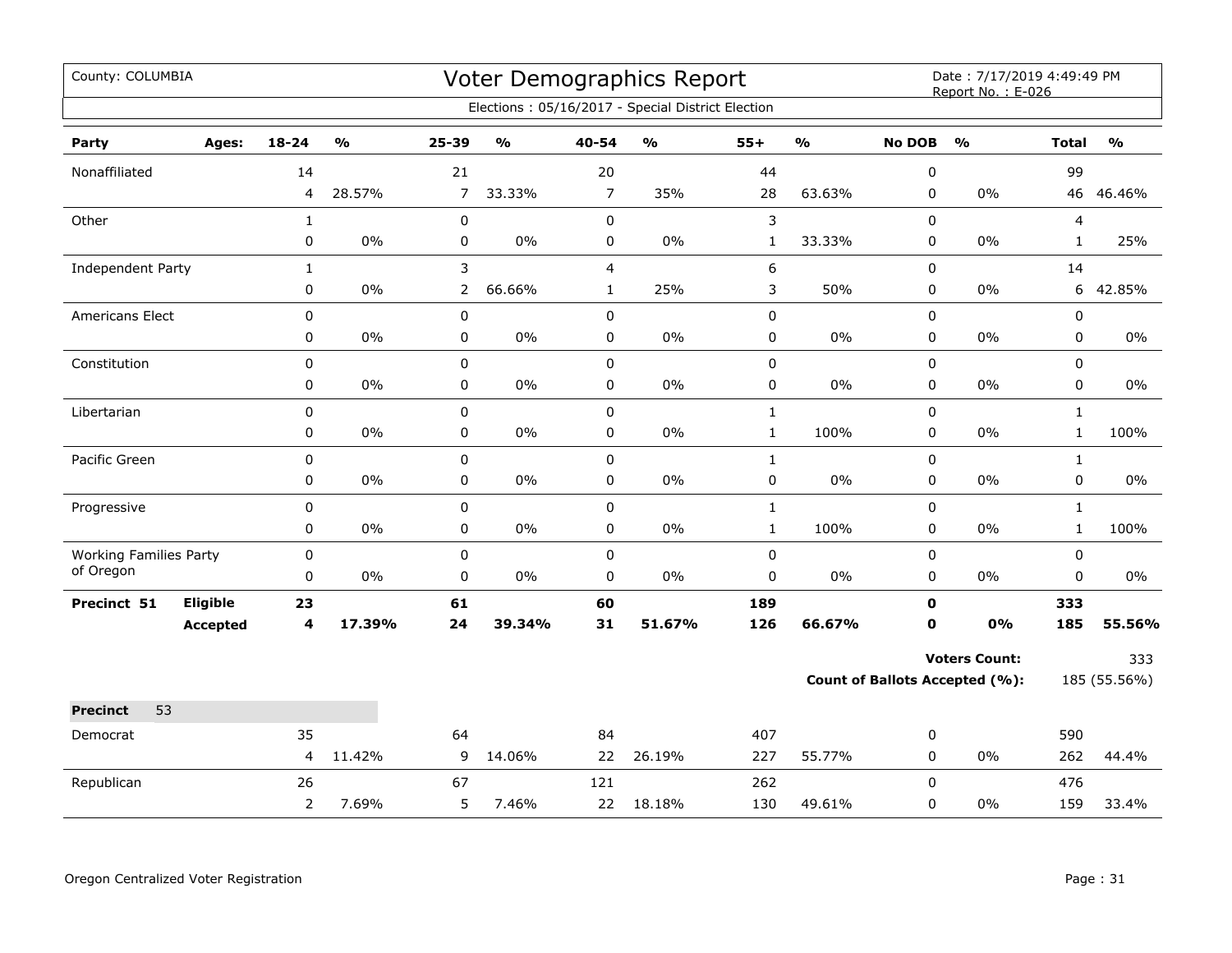| County: COLUMBIA              |                 |                |                         |                |                         |                | Voter Demographics Report                         |              | Date: 7/17/2019 4:49:49 PM<br>Report No.: E-026 |               |                                       |              |                                   |
|-------------------------------|-----------------|----------------|-------------------------|----------------|-------------------------|----------------|---------------------------------------------------|--------------|-------------------------------------------------|---------------|---------------------------------------|--------------|-----------------------------------|
|                               |                 |                |                         |                |                         |                | Elections: 05/16/2017 - Special District Election |              |                                                 |               |                                       |              |                                   |
| Party                         | Ages:           | 18-24          | $\mathbf{O}/\mathbf{o}$ | 25-39          | $\mathbf{0}/\mathbf{0}$ | 40-54          | $\mathsf{o}\mathsf{v}_\mathsf{o}$                 | $55+$        | $\mathbf{O}/\mathbf{o}$                         | <b>No DOB</b> | $\mathbf{O}/\mathbf{O}$               | <b>Total</b> | $\mathsf{o}\mathsf{v}_\mathsf{o}$ |
| Nonaffiliated                 |                 | 14             |                         | 21             |                         | 20             |                                                   | 44           |                                                 | 0             |                                       | 99           |                                   |
|                               |                 | 4              | 28.57%                  | $\overline{7}$ | 33.33%                  | $\overline{7}$ | 35%                                               | 28           | 63.63%                                          | 0             | 0%                                    |              | 46 46.46%                         |
| Other                         |                 | $\mathbf{1}$   |                         | $\pmb{0}$      |                         | $\mathbf 0$    |                                                   | 3            |                                                 | 0             |                                       | 4            |                                   |
|                               |                 | 0              | $0\%$                   | $\pmb{0}$      | 0%                      | $\pmb{0}$      | $0\%$                                             | $\mathbf{1}$ | 33.33%                                          | 0             | 0%                                    | $\mathbf{1}$ | 25%                               |
| <b>Independent Party</b>      |                 | $\mathbf{1}$   |                         | 3              |                         | $\overline{4}$ |                                                   | 6            |                                                 | 0             |                                       | 14           |                                   |
|                               |                 | 0              | $0\%$                   | $\overline{2}$ | 66.66%                  | $\mathbf{1}$   | 25%                                               | 3            | 50%                                             | 0             | $0\%$                                 | 6            | 42.85%                            |
| <b>Americans Elect</b>        |                 | 0              |                         | 0              |                         | $\mathbf 0$    |                                                   | $\pmb{0}$    |                                                 | 0             |                                       | 0            |                                   |
|                               |                 | 0              | $0\%$                   | 0              | $0\%$                   | 0              | $0\%$                                             | 0            | 0%                                              | 0             | $0\%$                                 | 0            | $0\%$                             |
| Constitution                  |                 | 0              |                         | $\mathbf 0$    |                         | $\mathbf 0$    |                                                   | $\mathbf 0$  |                                                 | 0             |                                       | $\mathbf 0$  |                                   |
|                               |                 | 0              | 0%                      | 0              | 0%                      | 0              | 0%                                                | 0            | 0%                                              | 0             | 0%                                    | 0            | 0%                                |
| Libertarian                   |                 | 0              |                         | $\pmb{0}$      |                         | $\mathbf 0$    |                                                   | $\mathbf{1}$ |                                                 | $\mathbf 0$   |                                       | $\mathbf{1}$ |                                   |
|                               |                 | 0              | $0\%$                   | 0              | 0%                      | $\pmb{0}$      | $0\%$                                             | $\mathbf{1}$ | 100%                                            | 0             | $0\%$                                 | $\mathbf{1}$ | 100%                              |
| Pacific Green                 |                 | 0              |                         | 0              |                         | $\mathbf 0$    |                                                   | $\mathbf{1}$ |                                                 | 0             |                                       | $\mathbf{1}$ |                                   |
|                               |                 | 0              | $0\%$                   | 0              | 0%                      | $\pmb{0}$      | $0\%$                                             | $\pmb{0}$    | $0\%$                                           | 0             | 0%                                    | 0            | 0%                                |
| Progressive                   |                 | 0              |                         | 0              |                         | $\mathbf 0$    |                                                   | $\mathbf{1}$ |                                                 | $\mathbf 0$   |                                       | $\mathbf{1}$ |                                   |
|                               |                 | 0              | $0\%$                   | 0              | 0%                      | 0              | $0\%$                                             | $\mathbf{1}$ | 100%                                            | 0             | $0\%$                                 | 1            | 100%                              |
| <b>Working Families Party</b> |                 | 0              |                         | 0              |                         | 0              |                                                   | $\mathbf 0$  |                                                 | 0             |                                       | 0            |                                   |
| of Oregon                     |                 | 0              | 0%                      | $\pmb{0}$      | 0%                      | $\pmb{0}$      | $0\%$                                             | $\pmb{0}$    | $0\%$                                           | 0             | $0\%$                                 | $\pmb{0}$    | 0%                                |
| Precinct 51                   | Eligible        | 23             |                         | 61             |                         | 60             |                                                   | 189          |                                                 | 0             |                                       | 333          |                                   |
|                               | <b>Accepted</b> | 4              | 17.39%                  | 24             | 39.34%                  | 31             | 51.67%                                            | 126          | 66.67%                                          | 0             | 0%                                    | 185          | 55.56%                            |
|                               |                 |                |                         |                |                         |                |                                                   |              |                                                 |               | <b>Voters Count:</b>                  |              | 333                               |
|                               |                 |                |                         |                |                         |                |                                                   |              |                                                 |               | <b>Count of Ballots Accepted (%):</b> |              | 185 (55.56%)                      |
| <b>Precinct</b><br>53         |                 |                |                         |                |                         |                |                                                   |              |                                                 |               |                                       |              |                                   |
| Democrat                      |                 | 35             |                         | 64             |                         | 84             |                                                   | 407          |                                                 | 0             |                                       | 590          |                                   |
|                               |                 | 4              | 11.42%                  | 9              | 14.06%                  | 22             | 26.19%                                            | 227          | 55.77%                                          | 0             | 0%                                    | 262          | 44.4%                             |
| Republican                    |                 | 26             |                         | 67             |                         | 121            |                                                   | 262          |                                                 | 0             |                                       | 476          |                                   |
|                               |                 | $\overline{2}$ | 7.69%                   | 5              | 7.46%                   | 22             | 18.18%                                            | 130          | 49.61%                                          | 0             | $0\%$                                 | 159          | 33.4%                             |